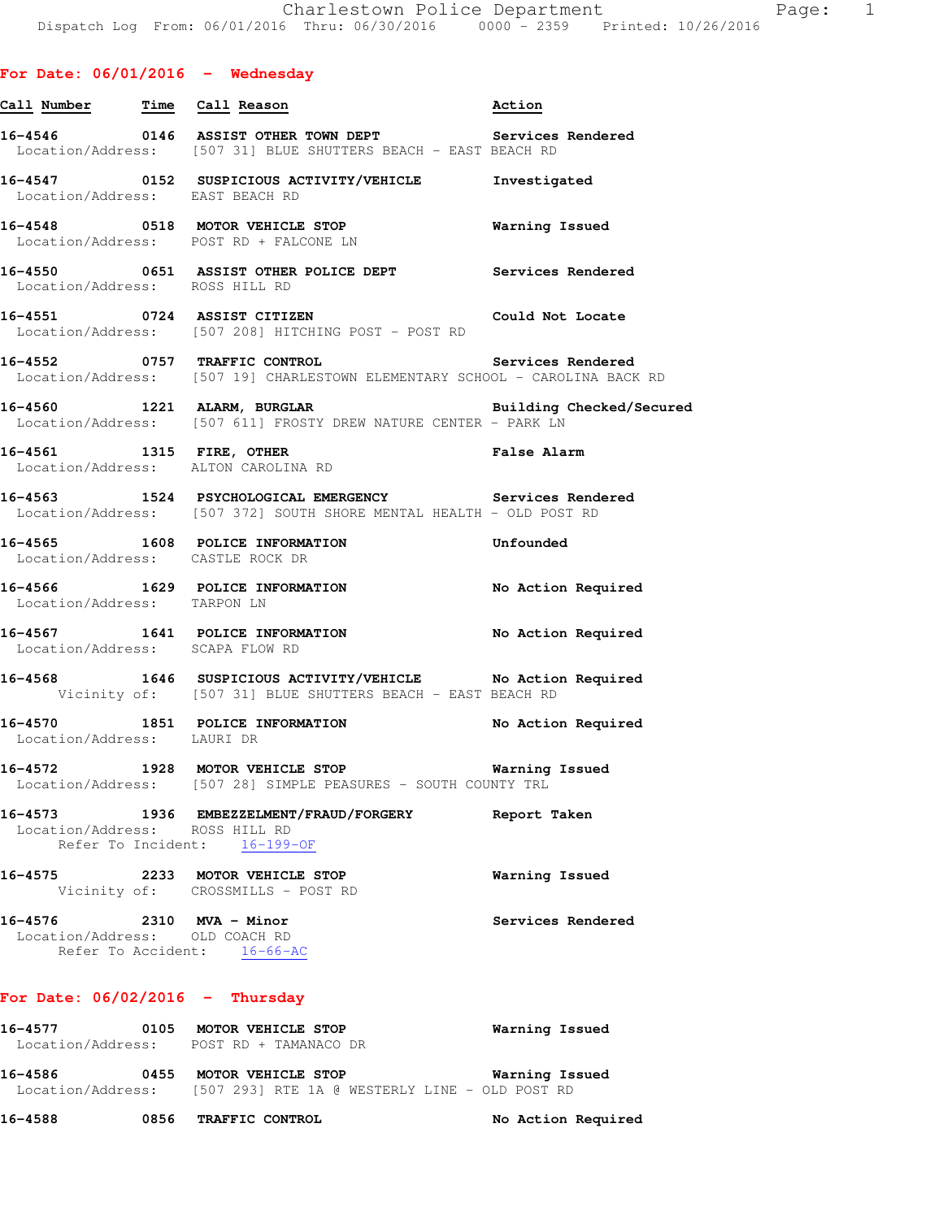|                                                                 | Call Number Time Call Reason                                                                                                                       | Action                |
|-----------------------------------------------------------------|----------------------------------------------------------------------------------------------------------------------------------------------------|-----------------------|
|                                                                 | 16-4546   0146   ASSIST OTHER TOWN DEPT   Services Rendered<br>Location/Address: [507 31] BLUE SHUTTERS BEACH - EAST BEACH RD                      |                       |
| Location/Address: EAST BEACH RD                                 | 16-4547 0152 SUSPICIOUS ACTIVITY/VEHICLE Investigated                                                                                              |                       |
|                                                                 | 16-4548 0518 MOTOR VEHICLE STOP Warning Issued<br>Location/Address: POST RD + FALCONE LN                                                           |                       |
| Location/Address: ROSS HILL RD                                  | 16-4550 0651 ASSIST OTHER POLICE DEPT Services Rendered                                                                                            |                       |
|                                                                 | 16-4551 0724 ASSIST CITIZEN COULD Not Locate<br>Location/Address: [507 208] HITCHING POST - POST RD                                                |                       |
|                                                                 | Services Rendered<br>16-4552 0757 TRAFFIC CONTROL Services Rendered<br>Location/Address: [507 19] CHARLESTOWN ELEMENTARY SCHOOL - CAROLINA BACK RD |                       |
|                                                                 | 16-4560 1221 ALARM, BURGLAR BURGINE Building Checked/Secured<br>Location/Address: [507 611] FROSTY DREW NATURE CENTER - PARK LN                    |                       |
|                                                                 | False Alarm<br>16-4561 1315 FIRE, OTHER<br>Location/Address: ALTON CAROLINA RD                                                                     |                       |
|                                                                 | 16-4563 1524 PSYCHOLOGICAL EMERGENCY Services Rendered<br>Location/Address: [507 372] SOUTH SHORE MENTAL HEALTH - OLD POST RD                      |                       |
| Location/Address: CASTLE ROCK DR                                | 16-4565 1608 POLICE INFORMATION<br><b>Example 1</b> Unfounded                                                                                      |                       |
| Location/Address: TARPON LN                                     | 16-4566 1629 POLICE INFORMATION No Action Required                                                                                                 |                       |
| Location/Address: SCAPA FLOW RD                                 | 16-4567 1641 POLICE INFORMATION No Action Required                                                                                                 |                       |
|                                                                 | 16-4568 1646 SUSPICIOUS ACTIVITY/VEHICLE No Action Required<br>Vicinity of: [507 31] BLUE SHUTTERS BEACH - EAST BEACH RD                           |                       |
| Location/Address: LAURI DR                                      | 16-4570 1851 POLICE INFORMATION No Action Required                                                                                                 |                       |
| 16-4572                                                         | 1928 MOTOR VEHICLE STOP<br>Location/Address: [507 28] SIMPLE PEASURES - SOUTH COUNTY TRL                                                           | <b>Warning Issued</b> |
| 16-4573<br>Location/Address: ROSS HILL RD<br>Refer To Incident: | 1936 EMBEZZELMENT/FRAUD/FORGERY<br>$16 - 199 - OF$                                                                                                 | Report Taken          |
| 16-4575                                                         | 2233 MOTOR VEHICLE STOP<br>Vicinity of: CROSSMILLS - POST RD                                                                                       | Warning Issued        |
| 16-4576 2310 MVA - Minor<br>Location/Address: OLD COACH RD      | Refer To Accident: 16-66-AC                                                                                                                        | Services Rendered     |

# **For Date: 06/02/2016 - Thursday**

| 16-4577           |      | 0105 MOTOR VEHICLE STOP                        | Warning Issued |
|-------------------|------|------------------------------------------------|----------------|
| Location/Address: |      | POST RD + TAMANACO DR                          |                |
| 16–4586           | 0455 | <b>MOTOR VEHICLE STOP</b><br>Warning Issued    |                |
| Location/Address: |      | [507 293] RTE 1A @ WESTERLY LINE - OLD POST RD |                |

**16-4588 0856 TRAFFIC CONTROL No Action Required**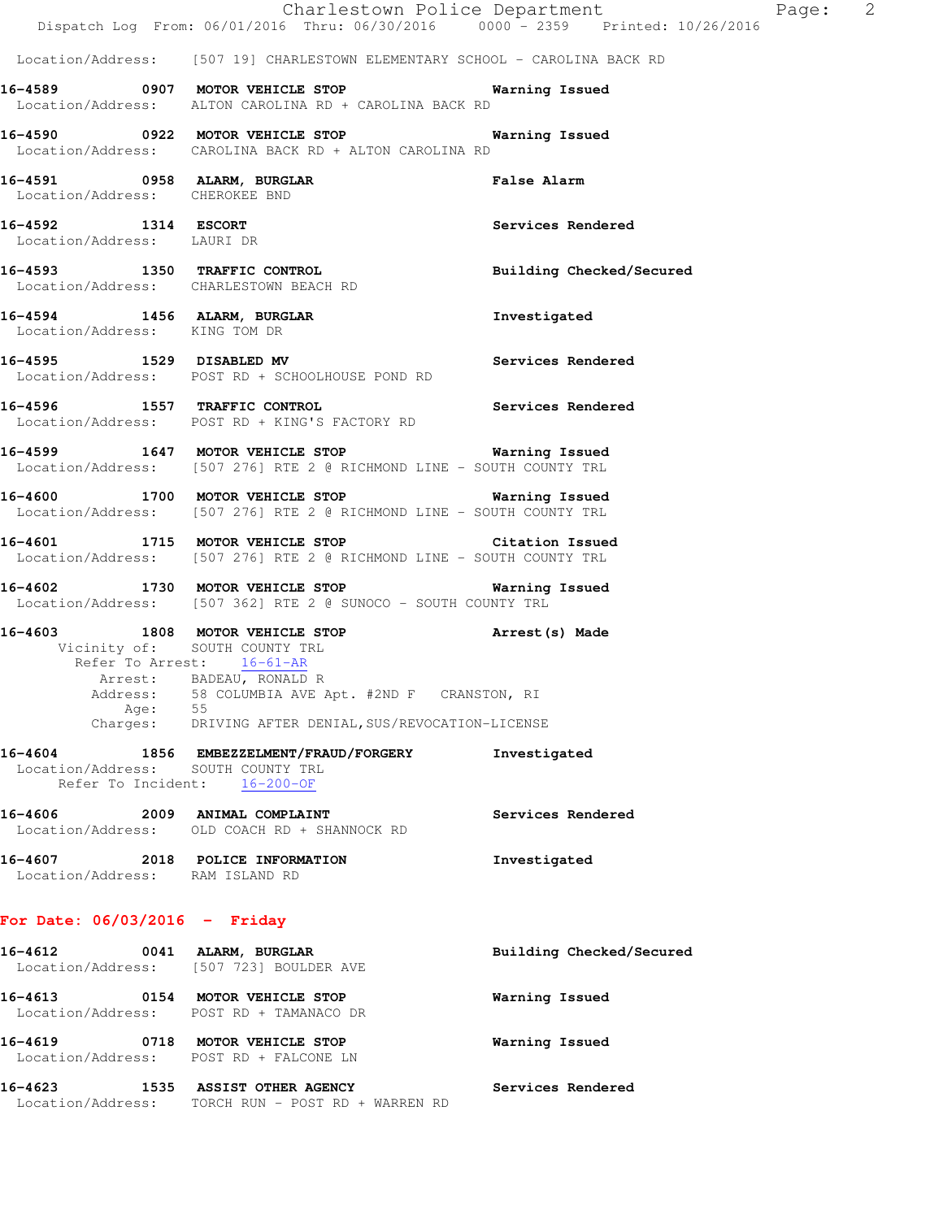|                                 |         |                                                                                                                                        |                 |                          | Charlestown Police Department | Page: 2 |  |
|---------------------------------|---------|----------------------------------------------------------------------------------------------------------------------------------------|-----------------|--------------------------|-------------------------------|---------|--|
|                                 |         | Dispatch Log From: 06/01/2016 Thru: 06/30/2016 0000 - 2359 Printed: 10/26/2016                                                         |                 |                          |                               |         |  |
|                                 |         | Location/Address: [507 19] CHARLESTOWN ELEMENTARY SCHOOL - CAROLINA BACK RD                                                            |                 |                          |                               |         |  |
|                                 |         | 16-4589 0907 MOTOR VEHICLE STOP 6 Warning Issued<br>Location/Address: ALTON CAROLINA RD + CAROLINA BACK RD                             |                 |                          |                               |         |  |
|                                 |         | 16-4590 0922 MOTOR VEHICLE STOP 6 Warning Issued<br>Location/Address: CAROLINA BACK RD + ALTON CAROLINA RD                             |                 |                          |                               |         |  |
|                                 |         | 16-4591 0958 ALARM, BURGLAR False Alarm<br>Location/Address: CHEROKEE BND                                                              |                 |                          |                               |         |  |
| Location/Address: LAURI DR      |         | 16-4592 1314 ESCORT                                                                                                                    |                 | Services Rendered        |                               |         |  |
|                                 |         | 16-4593 1350 TRAFFIC CONTROL<br>Location/Address: CHARLESTOWN BEACH RD                                                                 |                 | Building Checked/Secured |                               |         |  |
| Location/Address: KING TOM DR   |         | 16-4594 1456 ALARM, BURGLAR                                                                                                            |                 | Investigated             |                               |         |  |
|                                 |         | 16-4595 1529 DISABLED MV<br>Location/Address: POST RD + SCHOOLHOUSE POND RD                                                            |                 | Services Rendered        |                               |         |  |
|                                 |         | 16-4596 1557 TRAFFIC CONTROL<br>Location/Address: POST RD + KING'S FACTORY RD                                                          |                 | Services Rendered        |                               |         |  |
|                                 |         | 16-4599 1647 MOTOR VEHICLE STOP 16-4599 Warning Issued<br>Location/Address: [507 276] RTE 2 @ RICHMOND LINE - SOUTH COUNTY TRL         |                 |                          |                               |         |  |
|                                 |         | 16-4600 1700 MOTOR VEHICLE STOP 6 Warning Issued<br>Location/Address: [507 276] RTE 2 @ RICHMOND LINE - SOUTH COUNTY TRL               |                 |                          |                               |         |  |
|                                 |         | 16-4601 1715 MOTOR VEHICLE STOP<br>Location/Address: [507 276] RTE 2 @ RICHMOND LINE - SOUTH COUNTY TRL                                | Citation Issued |                          |                               |         |  |
|                                 |         | 16-4602 1730 MOTOR VEHICLE STOP 6 Warning Issued<br>Location/Address: [507 362] RTE 2 @ SUNOCO - SOUTH COUNTY TRL                      |                 |                          |                               |         |  |
|                                 |         | 16-4603 1808 MOTOR VEHICLE STOP 16-4603 Made<br>Vicinity of: SOUTH COUNTY TRL<br>Refer To Arrest: 16-61-AR<br>Arrest: BADEAU, RONALD R |                 |                          |                               |         |  |
|                                 | Age: 55 | Address: 58 COLUMBIA AVE Apt. #2ND F CRANSTON, RI<br>Charges: DRIVING AFTER DENIAL, SUS/REVOCATION-LICENSE                             |                 |                          |                               |         |  |
|                                 |         | 16-4604 1856 EMBEZZELMENT/FRAUD/FORGERY<br>Location/Address: SOUTH COUNTY TRL<br>Refer To Incident: 16-200-OF                          |                 | Investigated             |                               |         |  |
|                                 |         | 16-4606 2009 ANIMAL COMPLAINT<br>Location/Address: OLD COACH RD + SHANNOCK RD                                                          |                 | Services Rendered        |                               |         |  |
| Location/Address: RAM ISLAND RD |         | 16-4607 2018 POLICE INFORMATION                                                                                                        |                 | Investigated             |                               |         |  |
| For Date: $06/03/2016$ - Friday |         |                                                                                                                                        |                 |                          |                               |         |  |
| 16-4612                         |         | 0041 ALARM, BURGLAR<br>Location/Address: [507 723] BOULDER AVE                                                                         |                 | Building Checked/Secured |                               |         |  |
|                                 |         | 16-4613 0154 MOTOR VEHICLE STOP<br>Location/Address: POST RD + TAMANACO DR                                                             |                 | Warning Issued           |                               |         |  |
|                                 |         | 16-4619 0718 MOTOR VEHICLE STOP<br>Location/Address: POST RD + FALCONE LN                                                              |                 | Warning Issued           |                               |         |  |
|                                 |         |                                                                                                                                        |                 |                          |                               |         |  |

**16-4623 1535 ASSIST OTHER AGENCY Services Rendered** 

Location/Address: TORCH RUN - POST RD + WARREN RD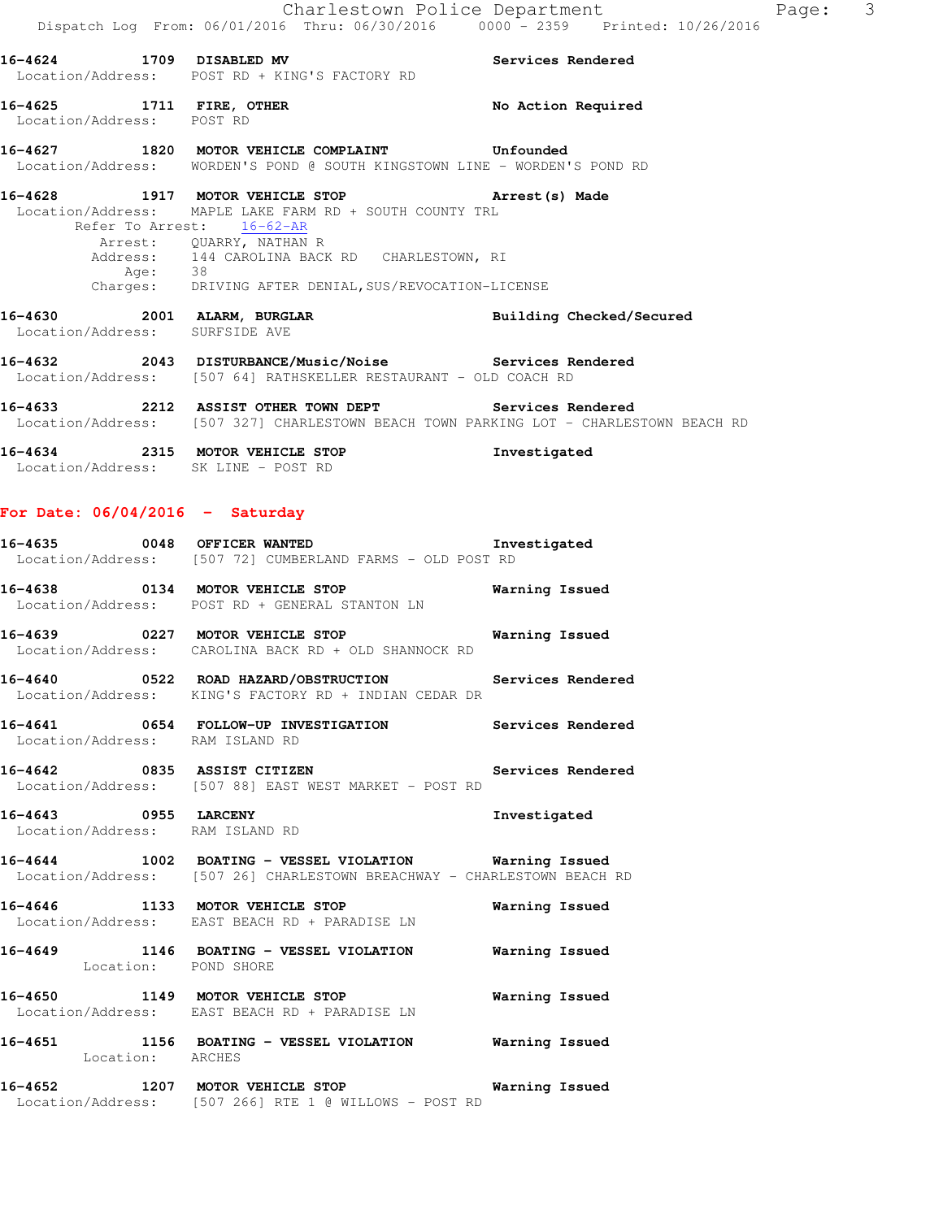|                                                               | 16-4624 1709 DISABLED MV<br>Location/Address: POST RD + KING'S FACTORY RD                                                                                                                                                                                                            | Services Rendered        |
|---------------------------------------------------------------|--------------------------------------------------------------------------------------------------------------------------------------------------------------------------------------------------------------------------------------------------------------------------------------|--------------------------|
| 16-4625 1711 FIRE, OTHER<br>Location/Address: POST RD         |                                                                                                                                                                                                                                                                                      | No Action Required       |
|                                                               | Location/Address: WORDEN'S POND @ SOUTH KINGSTOWN LINE - WORDEN'S POND RD                                                                                                                                                                                                            |                          |
| Age: 38                                                       | 16-4628 1917 MOTOR VEHICLE STOP <b>Arrest</b> (s) Made<br>Location/Address: MAPLE LAKE FARM RD + SOUTH COUNTY TRL<br>Refer To Arrest: 16-62-AR<br>Arrest: QUARRY, NATHAN R<br>Address: 144 CAROLINA BACK RD CHARLESTOWN, RI<br>Charges: DRIVING AFTER DENIAL, SUS/REVOCATION-LICENSE |                          |
| 16-4630 2001 ALARM, BURGLAR<br>Location/Address: SURFSIDE AVE |                                                                                                                                                                                                                                                                                      | Building Checked/Secured |
|                                                               | 16-4632 		 2043 DISTURBANCE/Music/Noise Services Rendered<br>Location/Address: [507 64] RATHSKELLER RESTAURANT - OLD COACH RD                                                                                                                                                        |                          |

**16-4633 2212 ASSIST OTHER TOWN DEPT Services Rendered**  Location/Address: [507 327] CHARLESTOWN BEACH TOWN PARKING LOT - CHARLESTOWN BEACH RD

**16-4634 2315 MOTOR VEHICLE STOP Investigated**  Location/Address: SK LINE - POST RD

### **For Date: 06/04/2016 - Saturday**

|                                 | 16-4635 0048 OFFICER WANTED <b>The Investigated</b><br>Location/Address: [507 72] CUMBERLAND FARMS - OLD POST RD                  |                |
|---------------------------------|-----------------------------------------------------------------------------------------------------------------------------------|----------------|
|                                 | 16-4638 0134 MOTOR VEHICLE STOP <b>Warning Issued</b><br>Location/Address: POST RD + GENERAL STANTON LN                           |                |
|                                 | 16-4639 0227 MOTOR VEHICLE STOP 6 Warning Issued<br>Location/Address: CAROLINA BACK RD + OLD SHANNOCK RD                          |                |
|                                 | 16-4640 0522 ROAD HAZARD/OBSTRUCTION Services Rendered<br>Location/Address: KING'S FACTORY RD + INDIAN CEDAR DR                   |                |
| Location/Address: RAM ISLAND RD | 16-4641 0654 FOLLOW-UP INVESTIGATION Services Rendered                                                                            |                |
|                                 | 16-4642 		 0835 ASSIST CITIZEN 		 Services Rendered<br>Location/Address: [507 88] EAST WEST MARKET - POST RD                      |                |
| Location/Address: RAM ISLAND RD | 16-4643 0955 LARCENY                                                                                                              | Investigated   |
|                                 | 16-4644 1002 BOATING - VESSEL VIOLATION Warning Issued<br>Location/Address: [507 26] CHARLESTOWN BREACHWAY - CHARLESTOWN BEACH RD |                |
|                                 | 16-4646 1133 MOTOR VEHICLE STOP <b>Warning Issued</b><br>Location/Address: EAST BEACH RD + PARADISE LN                            |                |
| Location: POND SHORE            | 16-4649 1146 BOATING - VESSEL VIOLATION Warning Issued                                                                            |                |
|                                 | 16-4650 1149 MOTOR VEHICLE STOP<br>Location/Address: EAST BEACH RD + PARADISE LN                                                  | Warning Issued |
|                                 | 16-4651 1156 BOATING - VESSEL VIOLATION Warning Issued<br>Location: ARCHES                                                        |                |
|                                 | 16-4652 1207 MOTOR VEHICLE STOP <b>Warning Issued</b><br>Location/Address: [507 266] RTE 1 @ WILLOWS - POST RD                    |                |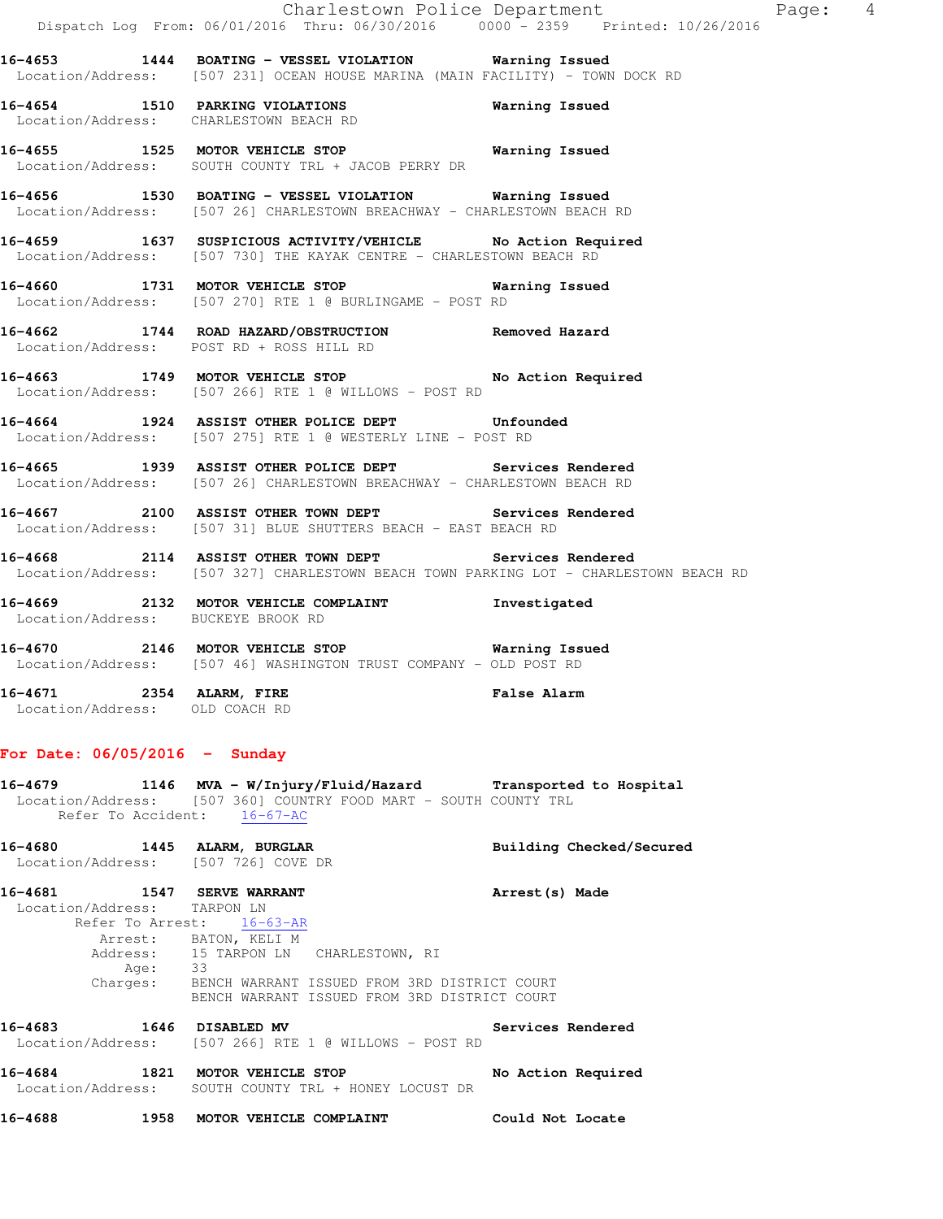|                                                                    | Dispatch Log From: 06/01/2016 Thru: 06/30/2016  0000 - 2359  Printed: 10/26/2016                                                                                    | Charlestown Police Department<br>Page: 4 |  |
|--------------------------------------------------------------------|---------------------------------------------------------------------------------------------------------------------------------------------------------------------|------------------------------------------|--|
|                                                                    | 16-4653 1444 BOATING - VESSEL VIOLATION Warning Issued<br>Location/Address: [507 231] OCEAN HOUSE MARINA (MAIN FACILITY) - TOWN DOCK RD                             |                                          |  |
|                                                                    | 16-4654 1510 PARKING VIOLATIONS<br>Location/Address: CHARLESTOWN BEACH RD                                                                                           | Warning Issued                           |  |
|                                                                    | 16-4655 1525 MOTOR VEHICLE STOP 6 Warning Issued<br>Location/Address: SOUTH COUNTY TRL + JACOB PERRY DR                                                             |                                          |  |
|                                                                    | 16-4656 1530 BOATING - VESSEL VIOLATION Warning Issued<br>Location/Address: [507 26] CHARLESTOWN BREACHWAY - CHARLESTOWN BEACH RD                                   |                                          |  |
|                                                                    | 16-4659 1637 SUSPICIOUS ACTIVITY/VEHICLE No Action Required<br>Location/Address: [507 730] THE KAYAK CENTRE - CHARLESTOWN BEACH RD                                  |                                          |  |
|                                                                    | 16-4660 1731 MOTOR VEHICLE STOP 6 Warning Issued<br>Location/Address: [507 270] RTE 1 @ BURLINGAME - POST RD                                                        |                                          |  |
|                                                                    | 16-4662 1744 ROAD HAZARD/OBSTRUCTION Removed Hazard<br>Location/Address: POST RD + ROSS HILL RD                                                                     |                                          |  |
|                                                                    | 16-4663 1749 MOTOR VEHICLE STOP No Action Required<br>Location/Address: [507 266] RTE 1 @ WILLOWS - POST RD                                                         |                                          |  |
|                                                                    | 16-4664 1924 ASSIST OTHER POLICE DEPT Unfounded<br>Location/Address: [507 275] RTE 1 @ WESTERLY LINE - POST RD                                                      |                                          |  |
|                                                                    | 16-4665 1939 ASSIST OTHER POLICE DEPT Services Rendered<br>Location/Address: [507 26] CHARLESTOWN BREACHWAY - CHARLESTOWN BEACH RD                                  |                                          |  |
|                                                                    | 16-4667 2100 ASSIST OTHER TOWN DEPT Services Rendered<br>Location/Address: [507 31] BLUE SHUTTERS BEACH - EAST BEACH RD                                             |                                          |  |
|                                                                    | 16-4668 2114 ASSIST OTHER TOWN DEPT Services Rendered<br>Location/Address: [507 327] CHARLESTOWN BEACH TOWN PARKING LOT - CHARLESTOWN BEACH RD                      |                                          |  |
| Location/Address: BUCKEYE BROOK RD                                 | 16-4669 2132 MOTOR VEHICLE COMPLAINT 1nvestigated                                                                                                                   |                                          |  |
|                                                                    | 16-4670 2146 MOTOR VEHICLE STOP Warning Issued<br>Location/Address: [507 46] WASHINGTON TRUST COMPANY - OLD POST RD                                                 |                                          |  |
| 16-4671 2354 ALARM, FIRE<br>Location/Address: OLD COACH RD         |                                                                                                                                                                     | <b>False Alarm</b>                       |  |
| For Date: $06/05/2016$ - Sunday                                    |                                                                                                                                                                     |                                          |  |
|                                                                    | 16-4679 1146 MVA - W/Injury/Fluid/Hazard Transported to Hospital<br>Location/Address: [507 360] COUNTRY FOOD MART - SOUTH COUNTY TRL<br>Refer To Accident: 16-67-AC |                                          |  |
| 16-4680 1445 ALARM, BURGLAR<br>Location/Address: [507 726] COVE DR |                                                                                                                                                                     | Building Checked/Secured                 |  |
| 16-4681 1547 SERVE WARRANT<br>Location/Address: TARPON LN          | Refer To Arrest: 16-63-AR<br>Arrest: BATON, KELI M<br>Address: 15 TARPON LN CHARLESTOWN, RI<br>Age: 33<br>Charges: BENCH WARRANT ISSUED FROM 3RD DISTRICT COURT     | Arrest (s) Made                          |  |
| 16-4683                                                            | BENCH WARRANT ISSUED FROM 3RD DISTRICT COURT<br>1646 DISABLED MV                                                                                                    | Services Rendered                        |  |
|                                                                    |                                                                                                                                                                     |                                          |  |

**16-4684 1821 MOTOR VEHICLE STOP No Action Required**  Location/Address: SOUTH COUNTY TRL + HONEY LOCUST DR

Location/Address: [507 266] RTE 1 @ WILLOWS - POST RD

**16-4688 1958 MOTOR VEHICLE COMPLAINT Could Not Locate**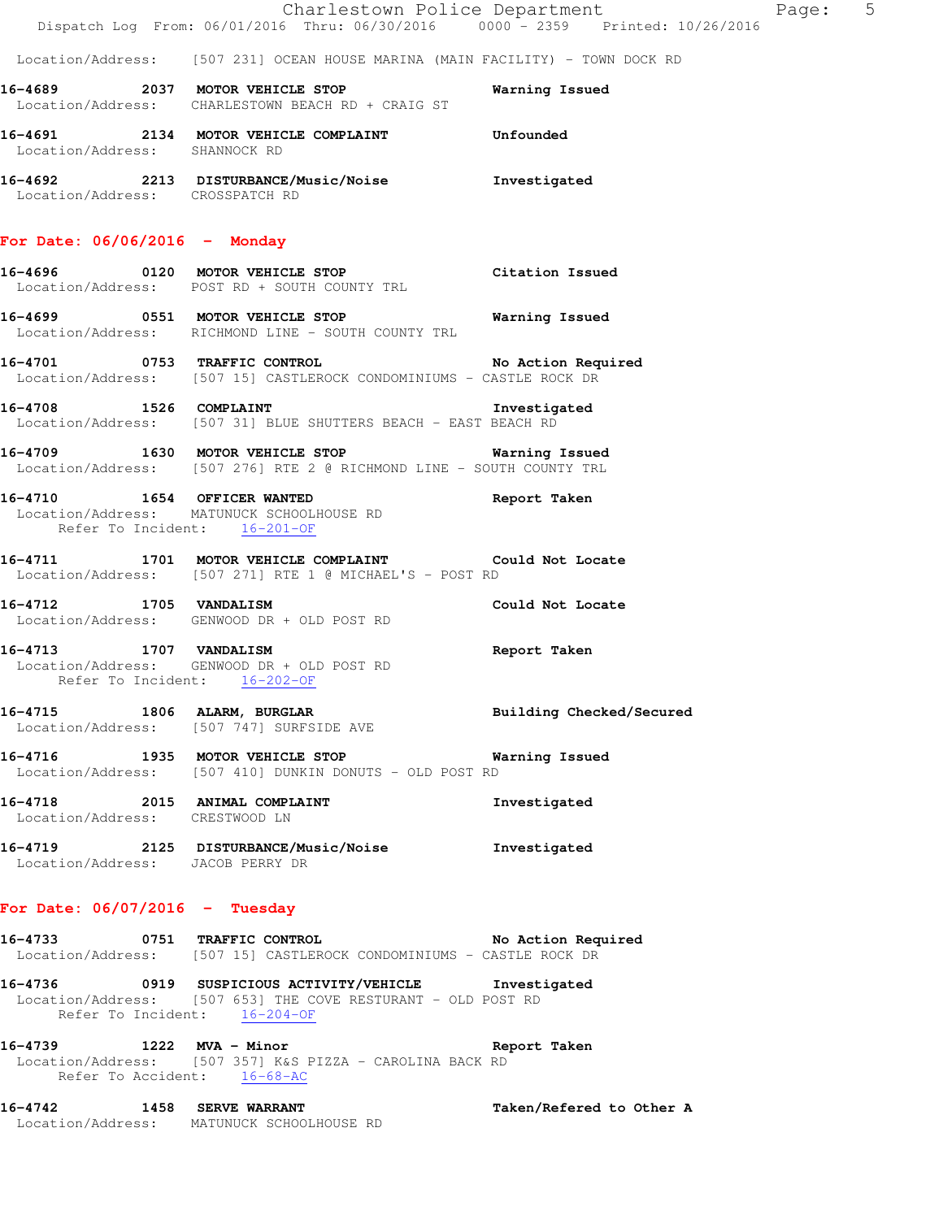|                                  | Dispatch Log From: 06/01/2016 Thru: 06/30/2016 0000 - 2359 Printed: 10/26/2016                                                                        | Charlestown Police Department | Page: 5 |  |
|----------------------------------|-------------------------------------------------------------------------------------------------------------------------------------------------------|-------------------------------|---------|--|
|                                  | Location/Address: [507 231] OCEAN HOUSE MARINA (MAIN FACILITY) - TOWN DOCK RD                                                                         |                               |         |  |
|                                  | 16-4689 2037 MOTOR VEHICLE STOP<br>Location/Address: CHARLESTOWN BEACH RD + CRAIG ST                                                                  | Warning Issued                |         |  |
| Location/Address: SHANNOCK RD    | 16-4691 2134 MOTOR VEHICLE COMPLAINT Unfounded                                                                                                        |                               |         |  |
| Location/Address: CROSSPATCH RD  | 16-4692 2213 DISTURBANCE/Music/Noise Investigated                                                                                                     |                               |         |  |
| For Date: $06/06/2016$ - Monday  |                                                                                                                                                       |                               |         |  |
|                                  | 16-4696 0120 MOTOR VEHICLE STOP<br>Location/Address: POST RD + SOUTH COUNTY TRL                                                                       | Citation Issued               |         |  |
|                                  | 16-4699 0551 MOTOR VEHICLE STOP 6 Warning Issued<br>Location/Address: RICHMOND LINE - SOUTH COUNTY TRL                                                |                               |         |  |
|                                  | 16-4701 0753 TRAFFIC CONTROL No Action Required<br>Location/Address: [507 15] CASTLEROCK CONDOMINIUMS - CASTLE ROCK DR                                |                               |         |  |
|                                  | 16-4708 1526 COMPLAINT<br>Location/Address: [507 31] BLUE SHUTTERS BEACH - EAST BEACH RD                                                              | Investigated                  |         |  |
|                                  | 16-4709 1630 MOTOR VEHICLE STOP 6 Warning Issued<br>Location/Address: [507 276] RTE 2 @ RICHMOND LINE - SOUTH COUNTY TRL                              |                               |         |  |
| Refer To Incident: 16-201-OF     | 16-4710 1654 OFFICER WANTED<br>Location/Address: MATUNUCK SCHOOLHOUSE RD                                                                              | Report Taken                  |         |  |
|                                  | 16-4711 1701 MOTOR VEHICLE COMPLAINT Could Not Locate<br>Location/Address: [507 271] RTE 1 @ MICHAEL'S - POST RD                                      |                               |         |  |
| 16-4712 1705 VANDALISM           | Location/Address: GENWOOD DR + OLD POST RD                                                                                                            | Could Not Locate              |         |  |
| 16-4713 1707 VANDALISM           | Location/Address: GENWOOD DR + OLD POST RD<br>Refer To Incident: 16-202-OF                                                                            | Report Taken                  |         |  |
|                                  | 16-4715 1806 ALARM, BURGLAR<br>Location/Address: [507 747] SURFSIDE AVE                                                                               | Building Checked/Secured      |         |  |
|                                  | 16-4716 1935 MOTOR VEHICLE STOP<br>Location/Address: [507 410] DUNKIN DONUTS - OLD POST RD                                                            | Warning Issued                |         |  |
| Location/Address: CRESTWOOD LN   | 16-4718 2015 ANIMAL COMPLAINT                                                                                                                         | Investigated                  |         |  |
| Location/Address: JACOB PERRY DR | 16-4719 2125 DISTURBANCE/Music/Noise Investigated                                                                                                     |                               |         |  |
| For Date: $06/07/2016$ - Tuesday |                                                                                                                                                       |                               |         |  |
|                                  | 16-4733 0751 TRAFFIC CONTROL No Action Required<br>Location/Address: [507 15] CASTLEROCK CONDOMINIUMS - CASTLE ROCK DR                                |                               |         |  |
|                                  | 16-4736 0919 SUSPICIOUS ACTIVITY/VEHICLE Investigated<br>Location/Address: [507 653] THE COVE RESTURANT - OLD POST RD<br>Refer To Incident: 16-204-OF |                               |         |  |
|                                  | 16-4739 1222 MVA - Minor<br>Location/Address: [507 357] K&S PIZZA - CAROLINA BACK RD<br>Refer To Accident: 16-68-AC                                   | Report Taken                  |         |  |
|                                  | 16-4742 1458 SERVE WARRANT<br>Location/Address: MATUNUCK SCHOOLHOUSE RD                                                                               | Taken/Refered to Other A      |         |  |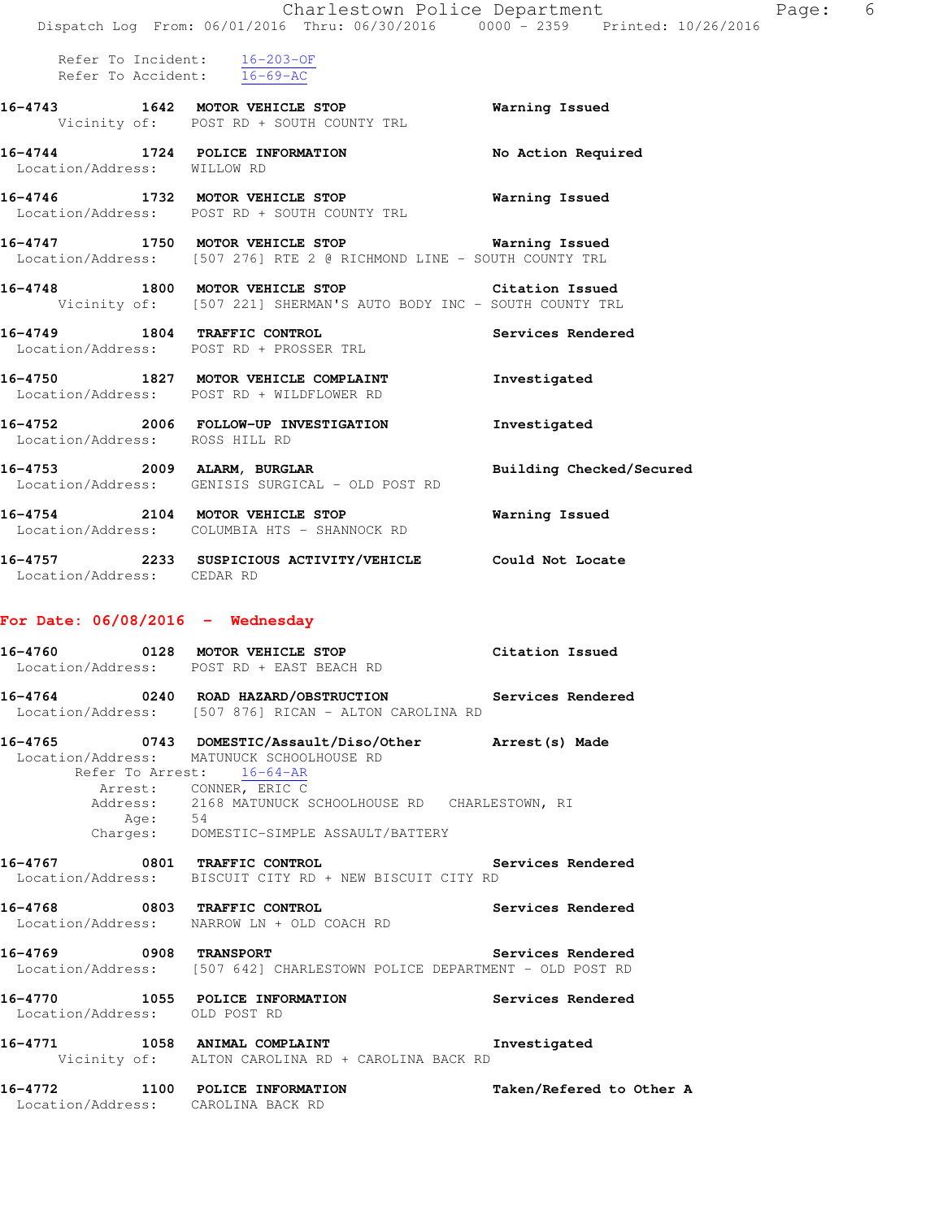|                                    | Dispatch Log From: 06/01/2016 Thru: 06/30/2016 0000 <sup>-</sup> 2359 Printed: 10/26/2016                                         | Charlestown Police Department<br>Page: | 6 |
|------------------------------------|-----------------------------------------------------------------------------------------------------------------------------------|----------------------------------------|---|
|                                    | Refer To Incident: $16-203-OF$<br>Refer To Accident: 16-69-AC                                                                     |                                        |   |
|                                    | 16-4743 1642 MOTOR VEHICLE STOP<br>Vicinity of: POST RD + SOUTH COUNTY TRL                                                        | Warning Issued                         |   |
| Location/Address: WILLOW RD        | 16-4744 1724 POLICE INFORMATION                                                                                                   | No Action Required                     |   |
|                                    | 16-4746 1732 MOTOR VEHICLE STOP<br>Location/Address: POST RD + SOUTH COUNTY TRL                                                   | Warning Issued                         |   |
|                                    | 16-4747 1750 MOTOR VEHICLE STOP 6 Warning Issued<br>Location/Address: [507 276] RTE 2 @ RICHMOND LINE - SOUTH COUNTY TRL          |                                        |   |
|                                    | 16-4748 1800 MOTOR VEHICLE STOP Citation Issued<br>Vicinity of: [507 221] SHERMAN'S AUTO BODY INC - SOUTH COUNTY TRL              |                                        |   |
|                                    | 16-4749 1804 TRAFFIC CONTROL<br>Location/Address: POST RD + PROSSER TRL                                                           | Services Rendered                      |   |
|                                    | 16-4750 1827 MOTOR VEHICLE COMPLAINT<br>Location/Address: POST RD + WILDFLOWER RD                                                 | Investigated                           |   |
| Location/Address: ROSS HILL RD     | 16-4752 2006 FOLLOW-UP INVESTIGATION                                                                                              | Investigated                           |   |
|                                    | 16-4753 2009 ALARM, BURGLAR<br>Location/Address: GENISIS SURGICAL - OLD POST RD                                                   | Building Checked/Secured               |   |
|                                    | 16-4754 2104 MOTOR VEHICLE STOP<br>Location/Address: COLUMBIA HTS - SHANNOCK RD                                                   | Warning Issued                         |   |
| Location/Address: CEDAR RD         | 16-4757 2233 SUSPICIOUS ACTIVITY/VEHICLE Could Not Locate                                                                         |                                        |   |
| For Date: $06/08/2016$ - Wednesday |                                                                                                                                   |                                        |   |
|                                    | 16-4760 0128 MOTOR VEHICLE STOP Citation Issued<br>Location/Address: POST RD + EAST BEACH RD                                      |                                        |   |
| 16-4764                            | 0240 ROAD HAZARD/OBSTRUCTION Services Rendered<br>Location/Address: [507 876] RICAN - ALTON CAROLINA RD                           |                                        |   |
|                                    | 16-4765 0743 DOMESTIC/Assault/Diso/Other Arrest(s) Made<br>Location/Address: MATUNUCK SCHOOLHOUSE RD<br>Refer To Arrest: 16-64-AR |                                        |   |
| Age: 54                            | Arrest: CONNER, ERIC C<br>Address: 2168 MATUNUCK SCHOOLHOUSE RD CHARLESTOWN, RI<br>Charges: DOMESTIC-SIMPLE ASSAULT/BATTERY       |                                        |   |
| 16-4767 0801 TRAFFIC CONTROL       | Location/Address: BISCUIT CITY RD + NEW BISCUIT CITY RD                                                                           | Services Rendered                      |   |
|                                    | 16-4768 0803 TRAFFIC CONTROL<br>Location/Address: NARROW LN + OLD COACH RD                                                        | Services Rendered                      |   |
| 16-4769 0908 TRANSPORT             | Location/Address: [507 642] CHARLESTOWN POLICE DEPARTMENT - OLD POST RD                                                           | Services Rendered                      |   |
| Location/Address: OLD POST RD      | 16-4770 1055 POLICE INFORMATION                                                                                                   | Services Rendered                      |   |
|                                    | 16-4771 1058 ANIMAL COMPLAINT<br>Vicinity of: ALTON CAROLINA RD + CAROLINA BACK RD                                                | Investigated                           |   |
| Location/Address: CAROLINA BACK RD | 16-4772 1100 POLICE INFORMATION                                                                                                   | Taken/Refered to Other A               |   |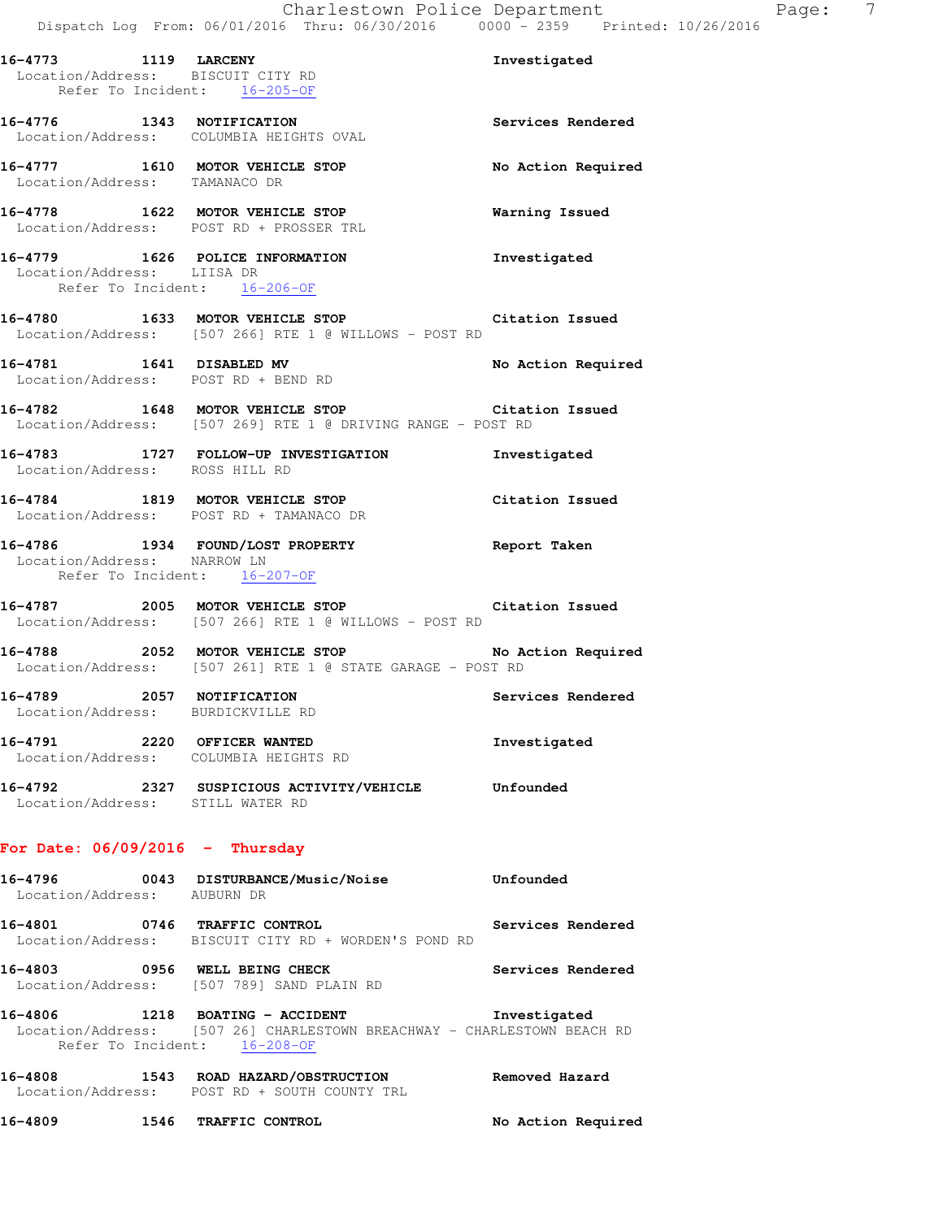|                             | 16-4773 1119 LARCENY<br>Location/Address: BISCUIT CITY RD                                                                                  | Investigated             |
|-----------------------------|--------------------------------------------------------------------------------------------------------------------------------------------|--------------------------|
|                             | Refer To Incident: 16-205-OF                                                                                                               |                          |
|                             | 16-4776 1343 NOTIFICATION<br>Location/Address: COLUMBIA HEIGHTS OVAL                                                                       | Services Rendered        |
|                             | 16-4777 1610 MOTOR VEHICLE STOP<br>Location/Address: TAMANACO DR                                                                           | No Action Required       |
|                             | 16-4778 1622 MOTOR VEHICLE STOP<br>Location/Address: POST RD + PROSSER TRL                                                                 | <b>Warning Issued</b>    |
| Location/Address: LIISA DR  | 16-4779 1626 POLICE INFORMATION<br>Refer To Incident: 16-206-OF                                                                            | Investigated             |
|                             | 16-4780 1633 MOTOR VEHICLE STOP Citation Issued<br>Location/Address: [507 266] RTE 1 @ WILLOWS - POST RD                                   |                          |
|                             | 16-4781 1641 DISABLED MV<br>Location/Address: POST RD + BEND RD                                                                            | No Action Required       |
|                             | 16-4782 1648 MOTOR VEHICLE STOP Citation Issued<br>Location/Address: [507 269] RTE 1 @ DRIVING RANGE - POST RD                             |                          |
|                             | 16-4783 1727 FOLLOW-UP INVESTIGATION Investigated<br>Location/Address: ROSS HILL RD                                                        |                          |
|                             | 16-4784 1819 MOTOR VEHICLE STOP<br>Location/Address: POST RD + TAMANACO DR                                                                 | Citation Issued          |
|                             | 16-4786 1934 FOUND/LOST PROPERTY<br>Location/Address: NARROW LN<br>Refer To Incident: 16-207-OF                                            | Report Taken             |
|                             | 16-4787 2005 MOTOR VEHICLE STOP Citation Issued<br>Location/Address: [507 266] RTE 1 @ WILLOWS - POST RD                                   |                          |
|                             | 16-4788 2052 MOTOR VEHICLE STOP<br>Location/Address: [507 261] RTE 1 @ STATE GARAGE - POST RD                                              | No Action Required       |
|                             | 16-4789 2057 NOTIFICATION<br>Location/Address: BURDICKVILLE RD                                                                             | <b>Services Rendered</b> |
| 16-4791                     | 2220 OFFICER WANTED<br>Location/Address: COLUMBIA HEIGHTS RD                                                                               | Investigated             |
|                             | 16-4792 2327 SUSPICIOUS ACTIVITY/VEHICLE Unfounded<br>Location/Address: STILL WATER RD                                                     |                          |
|                             | For Date: $06/09/2016$ - Thursday                                                                                                          |                          |
| Location/Address: AUBURN DR | 16-4796 0043 DISTURBANCE/Music/Noise                                                                                                       | <b>Unfounded</b>         |
|                             | 16-4801 0746 TRAFFIC CONTROL<br>Location/Address: BISCUIT CITY RD + WORDEN'S POND RD                                                       | Services Rendered        |
|                             | 16-4803 0956 WELL BEING CHECK<br>Location/Address: [507 789] SAND PLAIN RD                                                                 | Services Rendered        |
|                             | 16-4806 1218 BOATING - ACCIDENT<br>Location/Address: [507 26] CHARLESTOWN BREACHWAY - CHARLESTOWN BEACH RD<br>Refer To Incident: 16-208-OF | Investigated             |

**16-4808 1543 ROAD HAZARD/OBSTRUCTION Removed Hazard**  Location/Address: POST RD + SOUTH COUNTY TRL

**16-4809 1546 TRAFFIC CONTROL No Action Required**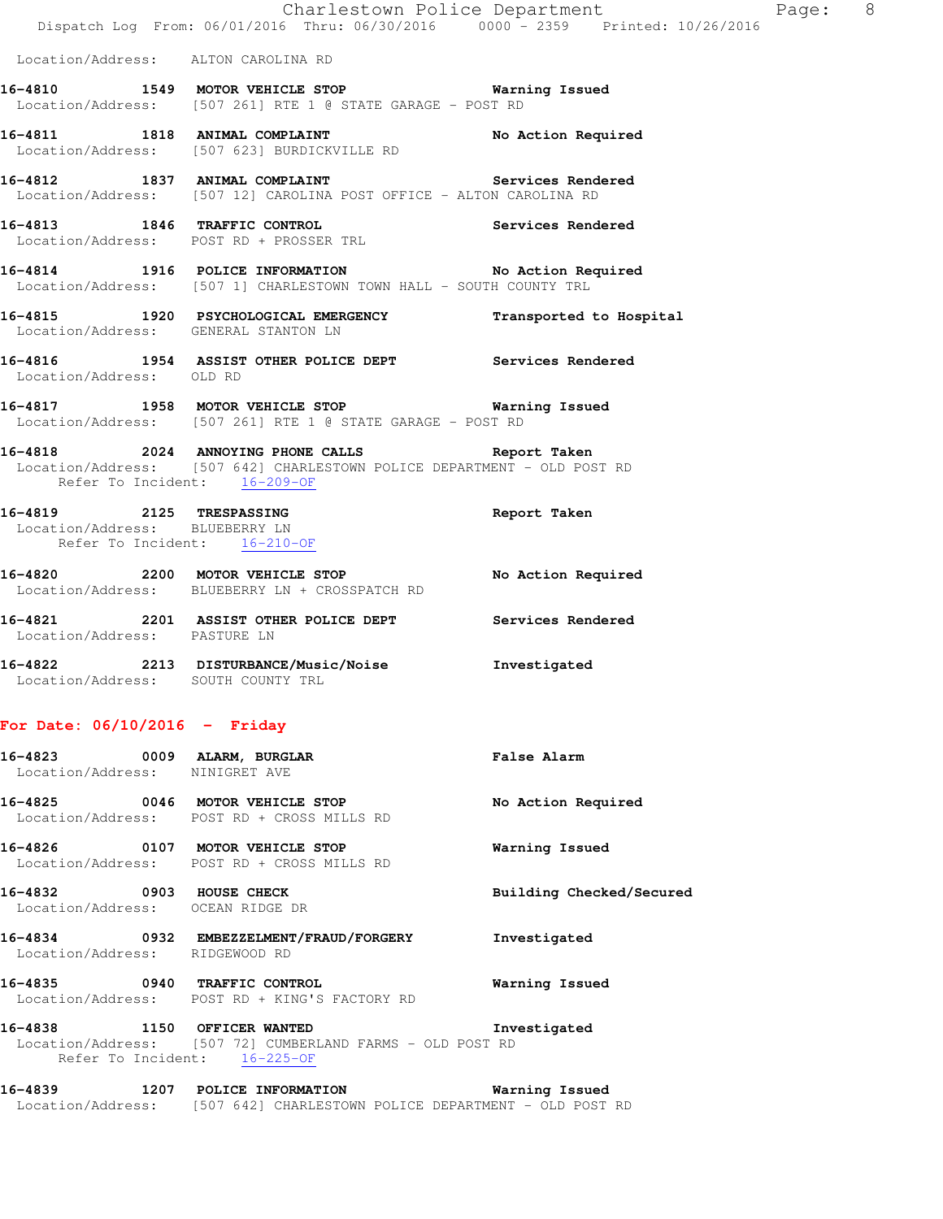|                                 |      |                                                                                                                                                           | Charlestown Police Department<br>Dispatch Log From: 06/01/2016 Thru: 06/30/2016 0000 - 2359 Printed: 10/26/2016 | Page: 8 |  |
|---------------------------------|------|-----------------------------------------------------------------------------------------------------------------------------------------------------------|-----------------------------------------------------------------------------------------------------------------|---------|--|
|                                 |      | Location/Address: ALTON CAROLINA RD                                                                                                                       |                                                                                                                 |         |  |
|                                 |      | 16-4810 1549 MOTOR VEHICLE STOP 6 Warning Issued<br>Location/Address: [507 261] RTE 1 @ STATE GARAGE - POST RD                                            |                                                                                                                 |         |  |
|                                 |      | 16-4811 1818 ANIMAL COMPLAINT 100 No Action Required<br>Location/Address: [507 623] BURDICKVILLE RD                                                       |                                                                                                                 |         |  |
|                                 |      | 16-4812 1837 ANIMAL COMPLAINT Services Rendered<br>Location/Address: [507 12] CAROLINA POST OFFICE - ALTON CAROLINA RD                                    |                                                                                                                 |         |  |
|                                 |      | 16-4813 1846 TRAFFIC CONTROL Services Rendered<br>Location/Address: POST RD + PROSSER TRL                                                                 |                                                                                                                 |         |  |
|                                 |      | 16-4814 1916 POLICE INFORMATION No Action Required<br>Location/Address: [507 1] CHARLESTOWN TOWN HALL - SOUTH COUNTY TRL                                  |                                                                                                                 |         |  |
|                                 |      | 16-4815   1920   PSYCHOLOGICAL EMERGENCY   Transported to Hospital Location/Address: GENERAL STANTON LN                                                   |                                                                                                                 |         |  |
| Location/Address: OLD RD        |      | 16-4816 1954 ASSIST OTHER POLICE DEPT Services Rendered                                                                                                   |                                                                                                                 |         |  |
|                                 |      | 16-4817 1958 MOTOR VEHICLE STOP Warning Issued<br>Location/Address: [507 261] RTE 1 @ STATE GARAGE - POST RD                                              |                                                                                                                 |         |  |
|                                 |      | 16-4818 2024 ANNOYING PHONE CALLS Report Taken<br>Location/Address: [507 642] CHARLESTOWN POLICE DEPARTMENT - OLD POST RD<br>Refer To Incident: 16-209-OF |                                                                                                                 |         |  |
| Location/Address: BLUEBERRY LN  |      | 16-4819 2125 TRESPASSING<br>Refer To Incident: 16-210-OF                                                                                                  | Report Taken                                                                                                    |         |  |
|                                 |      | 16-4820 2200 MOTOR VEHICLE STOP<br>Location/Address: BLUEBERRY LN + CROSSPATCH RD                                                                         | No Action Required                                                                                              |         |  |
| Location/Address: PASTURE LN    |      | 16-4821 2201 ASSIST OTHER POLICE DEPT Services Rendered                                                                                                   |                                                                                                                 |         |  |
|                                 |      | 16-4822 2213 DISTURBANCE/Music/Noise Investigated<br>Location/Address: SOUTH COUNTY TRL                                                                   |                                                                                                                 |         |  |
| For Date: $06/10/2016$ - Friday |      |                                                                                                                                                           |                                                                                                                 |         |  |
| 16-4823<br>Location/Address:    |      | 0009 ALARM, BURGLAR<br>NINIGRET AVE                                                                                                                       | <b>False Alarm</b>                                                                                              |         |  |
| 16-4825                         |      | 0046 MOTOR VEHICLE STOP<br>Location/Address: POST RD + CROSS MILLS RD                                                                                     | No Action Required                                                                                              |         |  |
| 16-4826<br>Location/Address:    |      | 0107 MOTOR VEHICLE STOP<br>POST RD + CROSS MILLS RD                                                                                                       | Warning Issued                                                                                                  |         |  |
| 16-4832                         | 0903 | <b>HOUSE CHECK</b><br>Location/Address: OCEAN RIDGE DR                                                                                                    | Building Checked/Secured                                                                                        |         |  |

- **16-4834 0932 EMBEZZELMENT/FRAUD/FORGERY Investigated**  Location/Address: RIDGEWOOD RD
- **16-4835 0940 TRAFFIC CONTROL Warning Issued**  Location/Address: POST RD + KING'S FACTORY RD

**16-4838 1150 OFFICER WANTED Investigated**  Location/Address: [507 72] CUMBERLAND FARMS - OLD POST RD Refer To Incident: 16-225-OF

**16-4839 1207 POLICE INFORMATION Warning Issued**  Location/Address: [507 642] CHARLESTOWN POLICE DEPARTMENT - OLD POST RD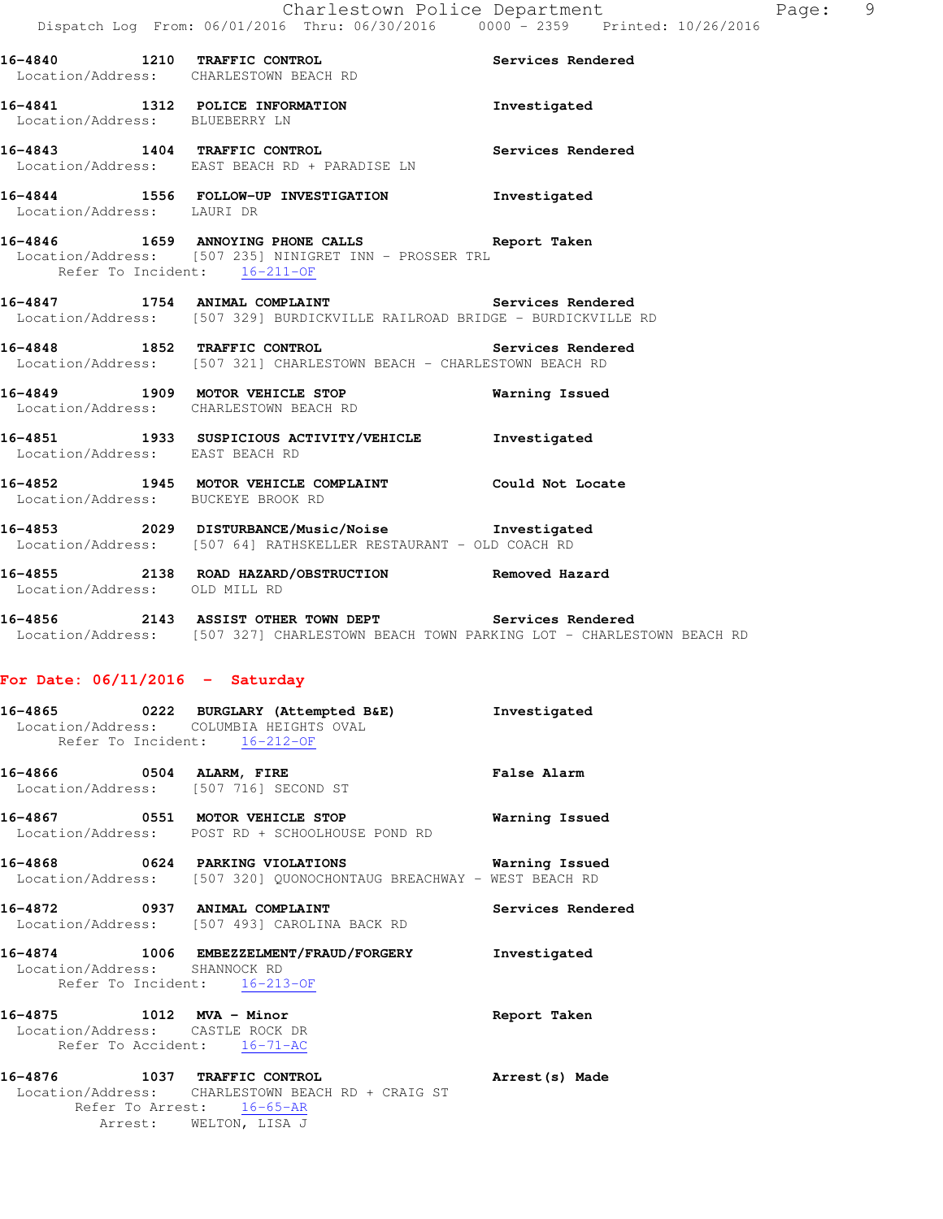|                                    | 16-4840 1210 TRAFFIC CONTROL<br>Location/Address: CHARLESTOWN BEACH RD                                                                         | Services Rendered |
|------------------------------------|------------------------------------------------------------------------------------------------------------------------------------------------|-------------------|
| Location/Address: BLUEBERRY LN     | 16-4841 1312 POLICE INFORMATION                                                                                                                | Investigated      |
|                                    | 16-4843 1404 TRAFFIC CONTROL<br>Location/Address: EAST BEACH RD + PARADISE LN                                                                  | Services Rendered |
| Location/Address: LAURI DR         | 16-4844 1556 FOLLOW-UP INVESTIGATION 1nvestigated                                                                                              |                   |
| Refer To Incident: 16-211-OF       | 16-4846 1659 ANNOYING PHONE CALLS Report Taken<br>Location/Address: [507 235] NINIGRET INN - PROSSER TRL                                       |                   |
|                                    | 16-4847 1754 ANIMAL COMPLAINT Services Rendered<br>Location/Address: [507 329] BURDICKVILLE RAILROAD BRIDGE - BURDICKVILLE RD                  |                   |
|                                    | 16-4848 1852 TRAFFIC CONTROL Services Rendered<br>Location/Address: [507 321] CHARLESTOWN BEACH - CHARLESTOWN BEACH RD                         |                   |
|                                    | 16-4849 1909 MOTOR VEHICLE STOP Warning Issued<br>Location/Address: CHARLESTOWN BEACH RD                                                       |                   |
| Location/Address: EAST BEACH RD    | 16-4851 1933 SUSPICIOUS ACTIVITY/VEHICLE 1nvestigated                                                                                          |                   |
| Location/Address: BUCKEYE BROOK RD | 16-4852 1945 MOTOR VEHICLE COMPLAINT Could Not Locate                                                                                          |                   |
|                                    | 16-4853 2029 DISTURBANCE/Music/Noise Investigated<br>Location/Address: [507 64] RATHSKELLER RESTAURANT - OLD COACH RD                          |                   |
| Location/Address: OLD MILL RD      | 16-4855 2138 ROAD HAZARD/OBSTRUCTION Removed Hazard                                                                                            |                   |
|                                    | 16-4856 2143 ASSIST OTHER TOWN DEPT Services Rendered<br>Location/Address: [507 327] CHARLESTOWN BEACH TOWN PARKING LOT - CHARLESTOWN BEACH RD |                   |
| For Date: $06/11/2016$ - Saturday  |                                                                                                                                                |                   |
| Refer To Incident: 16-212-OF       | 16-4865 0222 BURGLARY (Attempted B&E) Investigated<br>Location/Address: COLUMBIA HEIGHTS OVAL                                                  |                   |

**16-4866 0504 ALARM, FIRE False Alarm**  Location/Address: [507 716] SECOND ST

**16-4867 0551 MOTOR VEHICLE STOP Warning Issued**  Location/Address: POST RD + SCHOOLHOUSE POND RD

**16-4868 0624 PARKING VIOLATIONS Warning Issued**  Location/Address: [507 320] QUONOCHONTAUG BREACHWAY - WEST BEACH RD

**16-4872 0937 ANIMAL COMPLAINT Services Rendered**  Location/Address: [507 493] CAROLINA BACK RD

**16-4874 1006 EMBEZZELMENT/FRAUD/FORGERY Investigated**  Location/Address: SHANNOCK RD Refer To Incident: 16-213-OF

**16-4875 1012 MVA - Minor Report Taken**  Location/Address: CASTLE ROCK DR Refer To Accident:  $\frac{16-71-AC}{2}$ **16-4876 1037 TRAFFIC CONTROL Arrest(s) Made** 

 Location/Address: CHARLESTOWN BEACH RD + CRAIG ST Refer To Arrest: 16-65-AR Arrest: WELTON, LISA J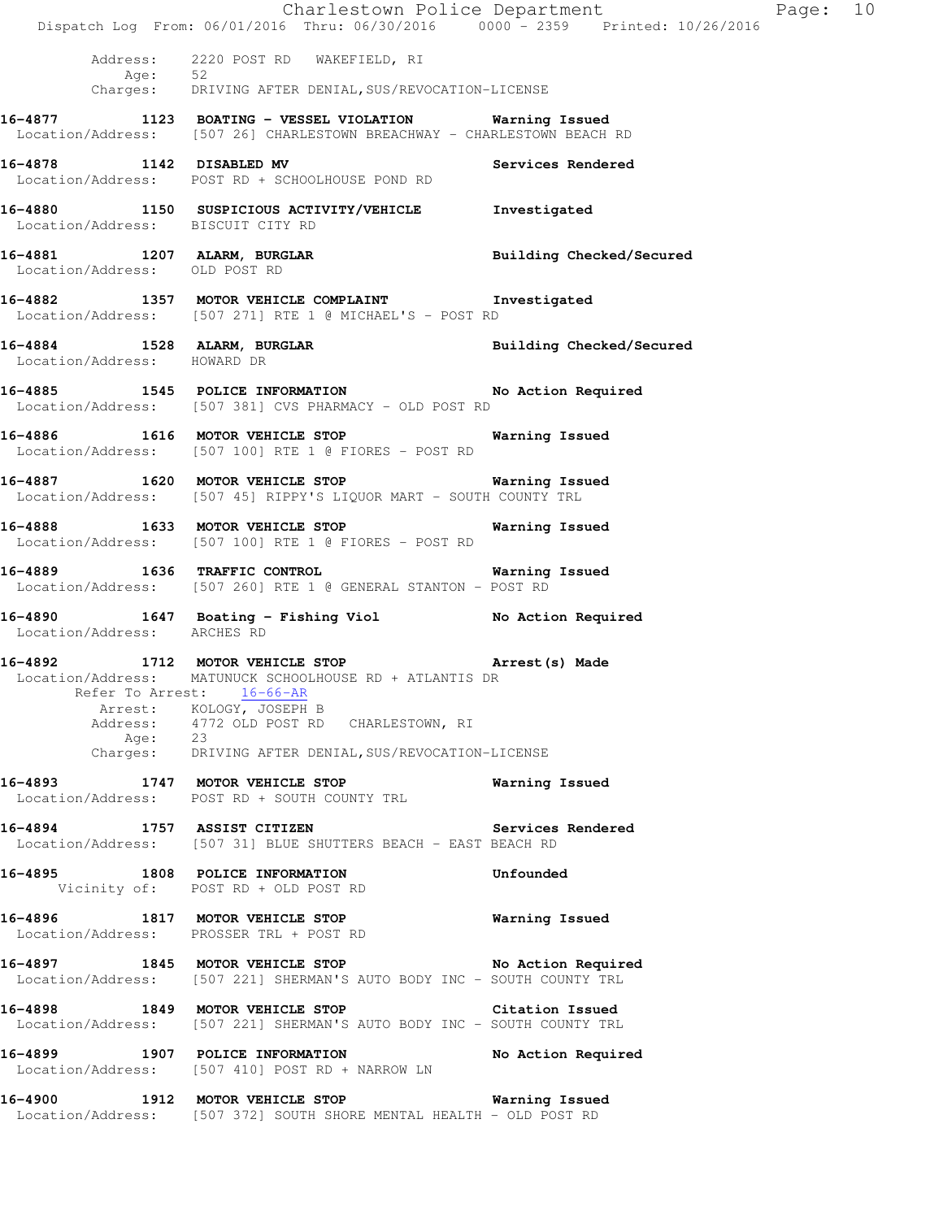|                                   | Dispatch Log From: 06/01/2016 Thru: 06/30/2016 0000 - 2359 Printed: 10/26/2016                                                            | Charlestown Police Department<br>Page: 10 |  |
|-----------------------------------|-------------------------------------------------------------------------------------------------------------------------------------------|-------------------------------------------|--|
|                                   | Address: 2220 POST RD WAKEFIELD, RI<br>Age: 52<br>Charges: DRIVING AFTER DENIAL, SUS/REVOCATION-LICENSE                                   |                                           |  |
|                                   | 16-4877 1123 BOATING - VESSEL VIOLATION Warning Issued<br>Location/Address: [507 26] CHARLESTOWN BREACHWAY - CHARLESTOWN BEACH RD         |                                           |  |
|                                   | 16-4878 1142 DISABLED MV 3ervices Rendered<br>Location/Address: POST RD + SCHOOLHOUSE POND RD                                             |                                           |  |
| Location/Address: BISCUIT CITY RD | 16-4880 1150 SUSPICIOUS ACTIVITY/VEHICLE Investigated                                                                                     |                                           |  |
| Location/Address: OLD POST RD     | 16-4881 1207 ALARM, BURGLAR 1997 Building Checked/Secured                                                                                 |                                           |  |
|                                   | 16-4882 1357 MOTOR VEHICLE COMPLAINT 1nvestigated<br>Location/Address: [507 271] RTE 1 @ MICHAEL'S - POST RD                              |                                           |  |
| Location/Address: HOWARD DR       | 16-4884 1528 ALARM, BURGLAR 1999 Building Checked/Secured                                                                                 |                                           |  |
|                                   | 16-4885 1545 POLICE INFORMATION No Action Required<br>Location/Address: [507 381] CVS PHARMACY - OLD POST RD                              |                                           |  |
|                                   | 16-4886 1616 MOTOR VEHICLE STOP 6 Warning Issued<br>Location/Address: [507 100] RTE 1 @ FIORES - POST RD                                  |                                           |  |
|                                   | 16-4887 1620 MOTOR VEHICLE STOP 6 Warning Issued<br>Location/Address: [507 45] RIPPY'S LIQUOR MART - SOUTH COUNTY TRL                     |                                           |  |
|                                   | 16-4888 1633 MOTOR VEHICLE STOP<br>Location/Address: [507 100] RTE 1 @ FIORES - POST RD                                                   | Warning Issued                            |  |
|                                   | 16-4889 1636 TRAFFIC CONTROL 16-4889 Warning Issued<br>Location/Address: [507 260] RTE 1 @ GENERAL STANTON - POST RD                      |                                           |  |
| Location/Address: ARCHES RD       | 16-4890 1647 Boating - Fishing Viol No Action Required                                                                                    |                                           |  |
| Refer To Arrest: 16-66-AR         | 16-4892 1712 MOTOR VEHICLE STOP 10 Arrest (s) Made<br>Location/Address: MATUNUCK SCHOOLHOUSE RD + ATLANTIS DR<br>Arrest: KOLOGY, JOSEPH B |                                           |  |
|                                   | Address: 4772 OLD POST RD CHARLESTOWN, RI<br>Age: 23<br>Charges: DRIVING AFTER DENIAL, SUS/REVOCATION-LICENSE                             |                                           |  |
|                                   | 16-4893 1747 MOTOR VEHICLE STOP<br>Location/Address: POST RD + SOUTH COUNTY TRL                                                           | Warning Issued                            |  |
|                                   | 16-4894 1757 ASSIST CITIZEN Services Rendered<br>Location/Address: [507 31] BLUE SHUTTERS BEACH - EAST BEACH RD                           |                                           |  |
|                                   | 16-4895 1808 POLICE INFORMATION<br>Vicinity of: POST RD + OLD POST RD                                                                     | Unfounded                                 |  |
|                                   | 16-4896 1817 MOTOR VEHICLE STOP<br>Location/Address: PROSSER TRL + POST RD                                                                | Warning Issued                            |  |
|                                   | 16-4897 1845 MOTOR VEHICLE STOP No Action Required<br>Location/Address: [507 221] SHERMAN'S AUTO BODY INC - SOUTH COUNTY TRL              |                                           |  |
|                                   | 16-4898 1849 MOTOR VEHICLE STOP 6 Citation Issued<br>Location/Address: [507 221] SHERMAN'S AUTO BODY INC - SOUTH COUNTY TRL               |                                           |  |
| 16-4899 1907 POLICE INFORMATION   | Location/Address: [507 410] POST RD + NARROW LN                                                                                           | No Action Required                        |  |
|                                   | 16-4900 1912 MOTOR VEHICLE STOP <b>Warning Issued</b><br>Location/Address: [507 372] SOUTH SHORE MENTAL HEALTH - OLD POST RD              |                                           |  |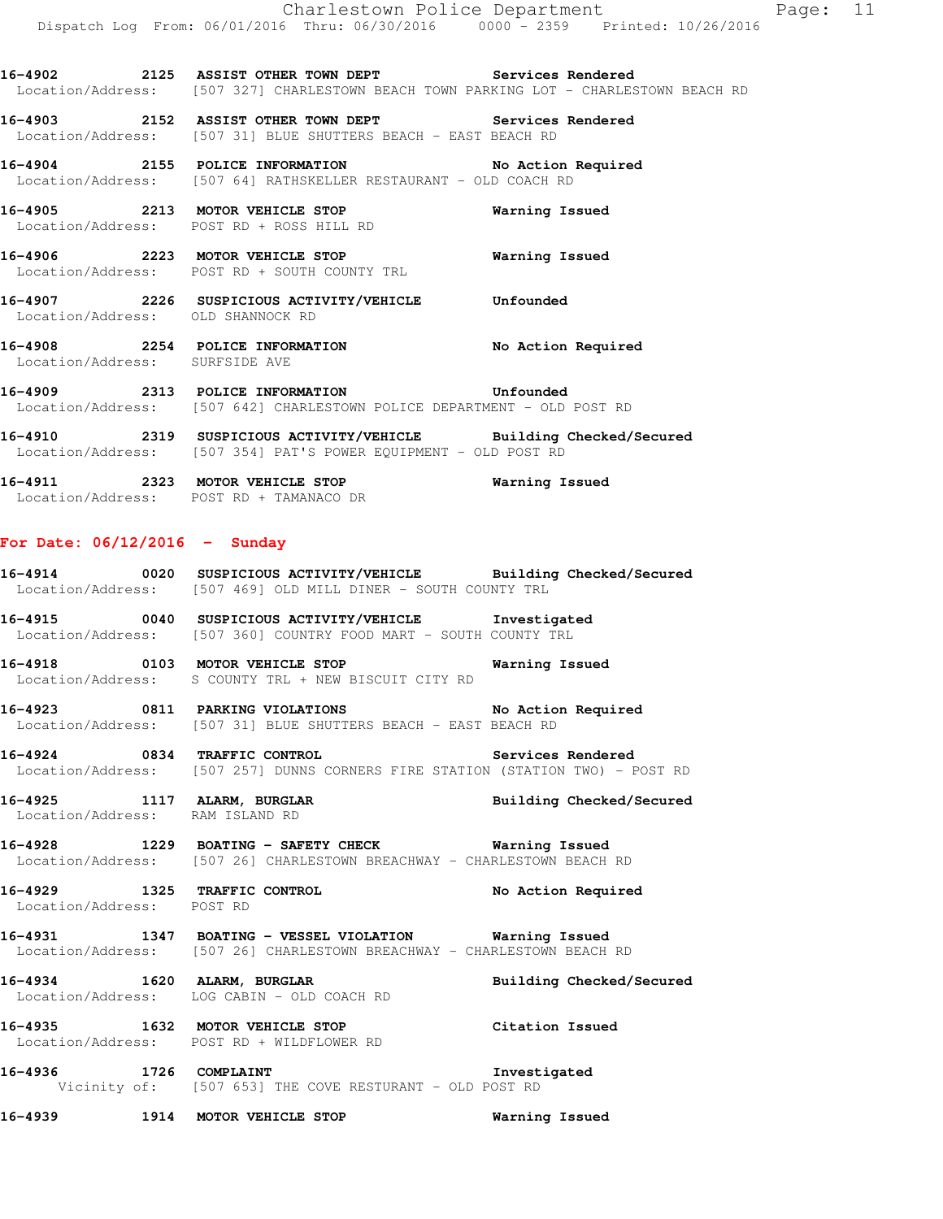**16-4902 2125 ASSIST OTHER TOWN DEPT Services Rendered**  Location/Address: [507 327] CHARLESTOWN BEACH TOWN PARKING LOT - CHARLESTOWN BEACH RD

**16-4903 2152 ASSIST OTHER TOWN DEPT Services Rendered**  Location/Address: [507 31] BLUE SHUTTERS BEACH - EAST BEACH RD

**16-4904 2155 POLICE INFORMATION No Action Required**  Location/Address: [507 64] RATHSKELLER RESTAURANT - OLD COACH RD

**16-4905 2213 MOTOR VEHICLE STOP Warning Issued**  Location/Address: POST RD + ROSS HILL RD

**16-4906 2223 MOTOR VEHICLE STOP Warning Issued**  Location/Address: POST RD + SOUTH COUNTY TRL

**16-4907 2226 SUSPICIOUS ACTIVITY/VEHICLE Unfounded**  Location/Address: OLD SHANNOCK RD

**16-4908 2254 POLICE INFORMATION No Action Required**  Location/Address: SURFSIDE AVE

**16-4909 2313 POLICE INFORMATION Unfounded**  Location/Address: [507 642] CHARLESTOWN POLICE DEPARTMENT - OLD POST RD

**16-4910 2319 SUSPICIOUS ACTIVITY/VEHICLE Building Checked/Secured**  Location/Address: [507 354] PAT'S POWER EQUIPMENT - OLD POST RD

**16-4911 2323 MOTOR VEHICLE STOP Warning Issued**  Location/Address: POST RD + TAMANACO DR

#### **For Date: 06/12/2016 - Sunday**

**16-4914 0020 SUSPICIOUS ACTIVITY/VEHICLE Building Checked/Secured**  Location/Address: [507 469] OLD MILL DINER - SOUTH COUNTY TRL

**16-4915 0040 SUSPICIOUS ACTIVITY/VEHICLE Investigated**  Location/Address: [507 360] COUNTRY FOOD MART - SOUTH COUNTY TRL

**16-4918 0103 MOTOR VEHICLE STOP Warning Issued**  Location/Address: S COUNTY TRL + NEW BISCUIT CITY RD

**16-4923 0811 PARKING VIOLATIONS No Action Required**  Location/Address: [507 31] BLUE SHUTTERS BEACH - EAST BEACH RD

**16-4924 0834 TRAFFIC CONTROL Services Rendered**  Location/Address: [507 257] DUNNS CORNERS FIRE STATION (STATION TWO) - POST RD

**16-4925 1117 ALARM, BURGLAR Building Checked/Secured**  Location/Address: RAM ISLAND RD

**16-4928 1229 BOATING - SAFETY CHECK Warning Issued**  Location/Address: [507 26] CHARLESTOWN BREACHWAY - CHARLESTOWN BEACH RD

**16-4929 1325 TRAFFIC CONTROL No Action Required**  Location/Address: POST RD

**16-4931 1347 BOATING - VESSEL VIOLATION Warning Issued**  Location/Address: [507 26] CHARLESTOWN BREACHWAY - CHARLESTOWN BEACH RD

**16-4934 1620 ALARM, BURGLAR Building Checked/Secured**  Location/Address: LOG CABIN - OLD COACH RD

**16-4935 1632 MOTOR VEHICLE STOP Citation Issued**  Location/Address: POST RD + WILDFLOWER RD

**16-4936 1726 COMPLAINT Investigated**  Vicinity of: [507 653] THE COVE RESTURANT - OLD POST RD

**16-4939 1914 MOTOR VEHICLE STOP Warning Issued**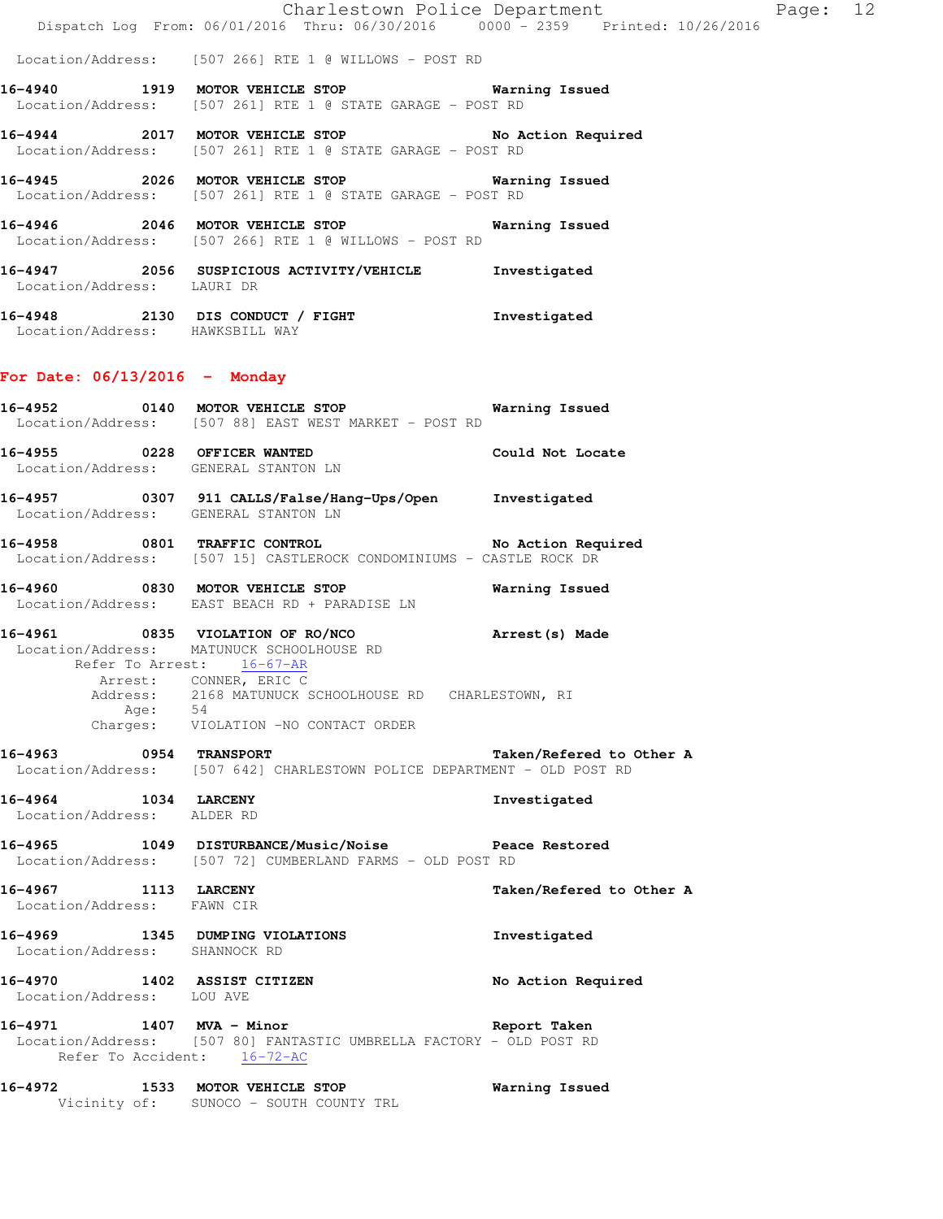Charlestown Police Department Page: 12 Dispatch Log From: 06/01/2016 Thru: 06/30/2016 0000 - 2359 Printed: 10/26/2016

Location/Address: [507 266] RTE 1 @ WILLOWS - POST RD

**16-4940 1919 MOTOR VEHICLE STOP Warning Issued**  Location/Address: [507 261] RTE 1 @ STATE GARAGE - POST RD

**16-4944 2017 MOTOR VEHICLE STOP No Action Required**  Location/Address: [507 261] RTE 1 @ STATE GARAGE - POST RD

**16-4945 2026 MOTOR VEHICLE STOP Warning Issued**  Location/Address: [507 261] RTE 1 @ STATE GARAGE - POST RD

**16-4946 2046 MOTOR VEHICLE STOP Warning Issued**  Location/Address: [507 266] RTE 1 @ WILLOWS - POST RD

**16-4947 2056 SUSPICIOUS ACTIVITY/VEHICLE Investigated**  Location/Address: LAURI DR

**16-4948 2130 DIS CONDUCT / FIGHT Investigated**  Location/Address: HAWKSBILL WAY

#### **For Date: 06/13/2016 - Monday**

**16-4952 0140 MOTOR VEHICLE STOP Warning Issued**  Location/Address: [507 88] EAST WEST MARKET - POST RD **16-4955 0228 OFFICER WANTED Could Not Locate** 

Location/Address: GENERAL STANTON LN

**16-4957 0307 911 CALLS/False/Hang-Ups/Open Investigated**  Location/Address: GENERAL STANTON LN

**16-4958 0801 TRAFFIC CONTROL No Action Required**  Location/Address: [507 15] CASTLEROCK CONDOMINIUMS - CASTLE ROCK DR

**16-4960 0830 MOTOR VEHICLE STOP Warning Issued**  Location/Address: EAST BEACH RD + PARADISE LN

**16-4961 0835 VIOLATION OF RO/NCO Arrest(s) Made**  Location/Address: MATUNUCK SCHOOLHOUSE RD

 Refer To Arrest: 16-67-AR Arrest: CONNER, ERIC C Address: 2168 MATUNUCK SCHOOLHOUSE RD CHARLESTOWN, RI Age: 54 Charges: VIOLATION -NO CONTACT ORDER

**16-4963 0954 TRANSPORT Taken/Refered to Other A**  Location/Address: [507 642] CHARLESTOWN POLICE DEPARTMENT - OLD POST RD

**16-4964 1034 LARCENY Investigated**  Location/Address: ALDER RD

**16-4965 1049 DISTURBANCE/Music/Noise Peace Restored**  Location/Address: [507 72] CUMBERLAND FARMS - OLD POST RD

**16-4967 1113 LARCENY Taken/Refered to Other A**  Location/Address: FAWN CIR

**16-4969 1345 DUMPING VIOLATIONS Investigated**  Location/Address: SHANNOCK RD

**16-4970 1402 ASSIST CITIZEN No Action Required**  Location/Address: LOU AVE

**16-4971 1407 MVA - Minor Report Taken**  Location/Address: [507 80] FANTASTIC UMBRELLA FACTORY - OLD POST RD Refer To Accident: 16-72-AC

**16-4972 1533 MOTOR VEHICLE STOP Warning Issued**  Vicinity of: SUNOCO - SOUTH COUNTY TRL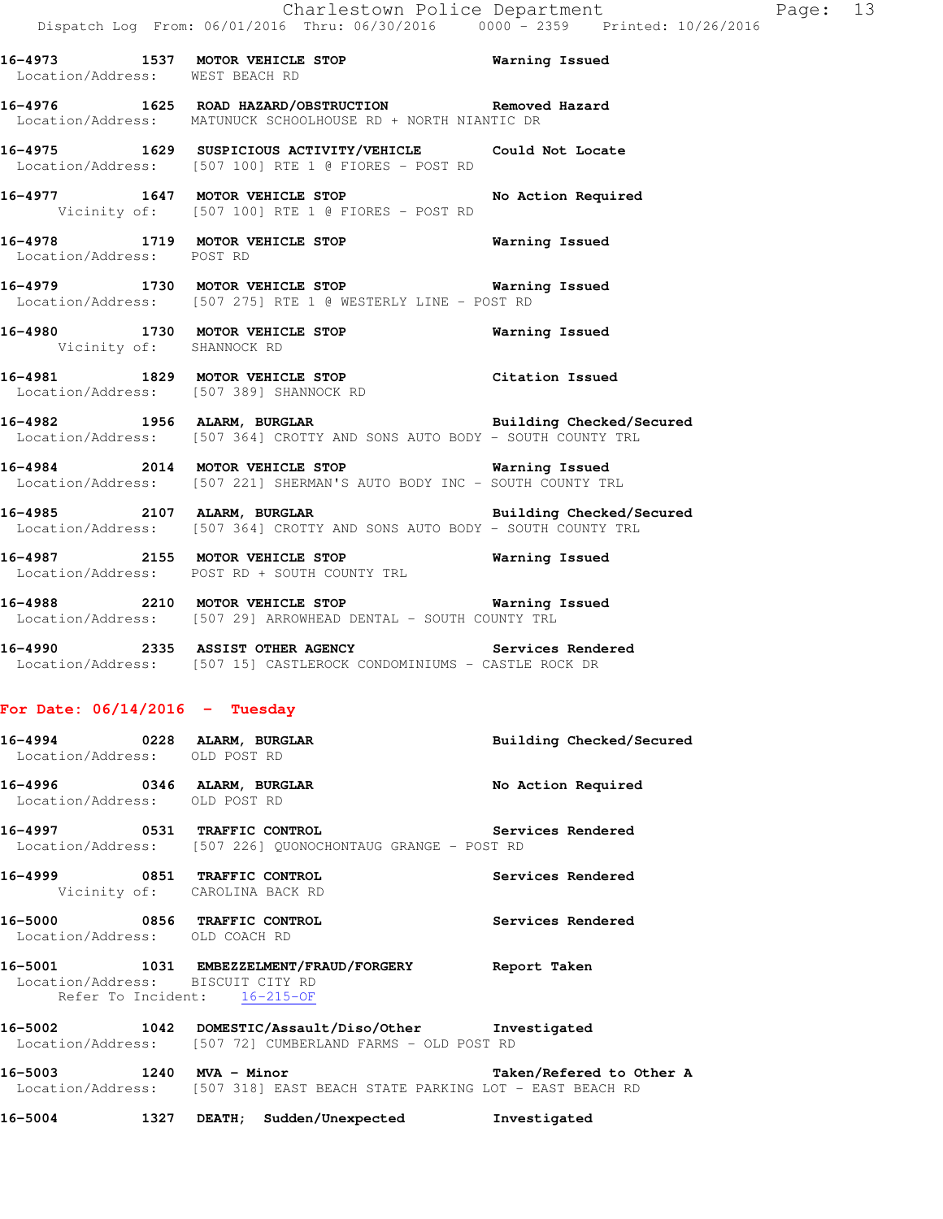**16-4973 1537 MOTOR VEHICLE STOP Warning Issued**  Location/Address: WEST BEACH RD **16-4976 1625 ROAD HAZARD/OBSTRUCTION Removed Hazard**  Location/Address: MATUNUCK SCHOOLHOUSE RD + NORTH NIANTIC DR **16-4975 1629 SUSPICIOUS ACTIVITY/VEHICLE Could Not Locate**  Location/Address: [507 100] RTE 1 @ FIORES - POST RD **16-4977 1647 MOTOR VEHICLE STOP No Action Required**  Vicinity of: [507 100] RTE 1 @ FIORES - POST RD **16-4978 1719 MOTOR VEHICLE STOP Warning Issued**  Location/Address: POST RD **16-4979 1730 MOTOR VEHICLE STOP Warning Issued** 

**16-4980 1730 MOTOR VEHICLE STOP Warning Issued**  Vicinity of: SHANNOCK RD

**16-4981 1829 MOTOR VEHICLE STOP Citation Issued**  Location/Address: [507 389] SHANNOCK RD

Location/Address: [507 275] RTE 1 @ WESTERLY LINE - POST RD

**16-4982 1956 ALARM, BURGLAR Building Checked/Secured**  Location/Address: [507 364] CROTTY AND SONS AUTO BODY - SOUTH COUNTY TRL

**16-4984 2014 MOTOR VEHICLE STOP Warning Issued**  Location/Address: [507 221] SHERMAN'S AUTO BODY INC - SOUTH COUNTY TRL

16-4985 2107 ALARM, BURGLAR **Building Checked/Secured** Location/Address: [507 364] CROTTY AND SONS AUTO BODY - SOUTH COUNTY TRL

**16-4987 2155 MOTOR VEHICLE STOP Warning Issued**  Location/Address: POST RD + SOUTH COUNTY TRL

**16-4988 2210 MOTOR VEHICLE STOP Warning Issued**  Location/Address: [507 29] ARROWHEAD DENTAL - SOUTH COUNTY TRL

**16-4990 2335 ASSIST OTHER AGENCY Services Rendered**  Location/Address: [507 15] CASTLEROCK CONDOMINIUMS - CASTLE ROCK DR

#### **For Date: 06/14/2016 - Tuesday**

| Location/Address: OLD POST RD                                  | 16-4994 0228 ALARM, BURGLAR                                                                                        | Building Checked/Secured |
|----------------------------------------------------------------|--------------------------------------------------------------------------------------------------------------------|--------------------------|
| 16-4996 0346 ALARM, BURGLAR<br>Location/Address: OLD POST RD   |                                                                                                                    | No Action Required       |
|                                                                | 16-4997 		 0531 TRAFFIC CONTROL 		 Services Rendered<br>Location/Address: [507 226] QUONOCHONTAUG GRANGE - POST RD |                          |
| 16-4999 0851 TRAFFIC CONTROL                                   | Vicinity of: CAROLINA BACK RD                                                                                      | Services Rendered        |
| 16-5000 0856 TRAFFIC CONTROL<br>Location/Address: OLD COACH RD |                                                                                                                    | <b>Services Rendered</b> |
| Location/Address: BISCUIT CITY RD                              | 16-5001 1031 EMBEZZELMENT/FRAUD/FORGERY Report Taken<br>Refer To Incident: 16-215-OF                               |                          |
|                                                                | 16-5002 1042 DOMESTIC/Assault/Diso/Other Investigated<br>Location/Address: [507 72] CUMBERLAND FARMS - OLD POST RD |                          |
|                                                                | 16-5003 1240 MVA - Minor<br>Location/Address: [507 318] EAST BEACH STATE PARKING LOT - EAST BEACH RD               | Taken/Refered to Other A |

**16-5004 1327 DEATH; Sudden/Unexpected Investigated**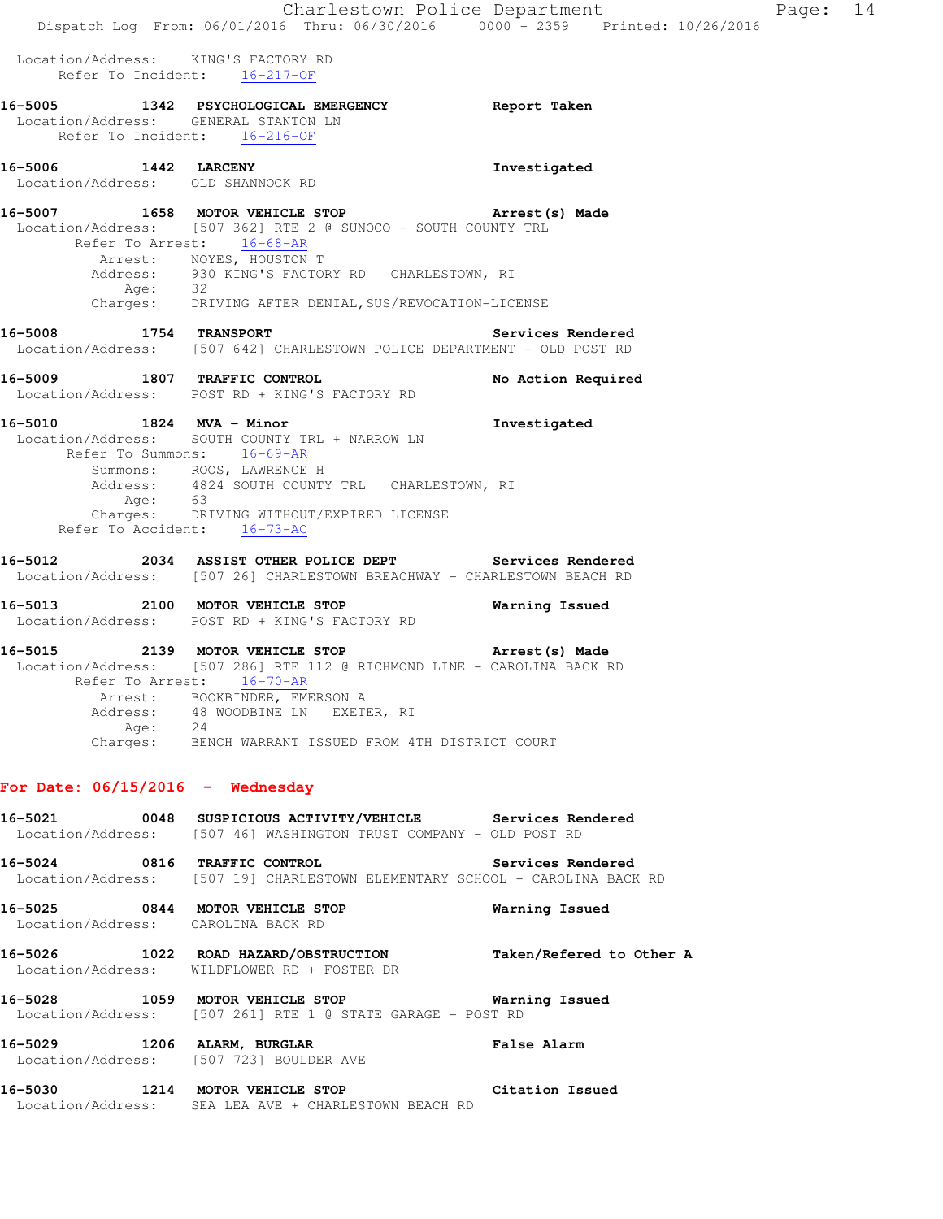Location/Address: KING'S FACTORY RD Refer To Incident: 16-217-OF

**16-5005 1342 PSYCHOLOGICAL EMERGENCY Report Taken**  Location/Address: GENERAL STANTON LN Refer To Incident: 16-216-OF **16-5006 1442 LARCENY Investigated**  Location/Address: OLD SHANNOCK RD **16-5007 1658 MOTOR VEHICLE STOP Arrest(s) Made**  Location/Address: [507 362] RTE 2 @ SUNOCO - SOUTH COUNTY TRL Refer To Arrest: 16-68-AR Arrest: NOYES, HOUSTON T Address: 930 KING'S FACTORY RD CHARLESTOWN, RI Age: 32 Charges: DRIVING AFTER DENIAL,SUS/REVOCATION-LICENSE **16-5008 1754 TRANSPORT Services Rendered**  Location/Address: [507 642] CHARLESTOWN POLICE DEPARTMENT - OLD POST RD **16-5009 1807 TRAFFIC CONTROL No Action Required**  Location/Address: POST RD + KING'S FACTORY RD **16-5010 1824 MVA - Minor Investigated**  Location/Address: SOUTH COUNTY TRL + NARROW LN Refer To Summons:  $\frac{16-69-AR}{2}$ Summons: ROOS, LAWRENCE H Address: 4824 SOUTH COUNTY TRL CHARLESTOWN, RI Age: 63 Charges: DRIVING WITHOUT/EXPIRED LICENSE Refer To Accident: 16-73-AC **16-5012 2034 ASSIST OTHER POLICE DEPT Services Rendered**  Location/Address: [507 26] CHARLESTOWN BREACHWAY - CHARLESTOWN BEACH RD **16-5013 2100 MOTOR VEHICLE STOP Warning Issued**  Location/Address: POST RD + KING'S FACTORY RD **16-5015 2139 MOTOR VEHICLE STOP Arrest(s) Made**  Location/Address: [507 286] RTE 112 @ RICHMOND LINE - CAROLINA BACK RD Refer To Arrest: 16-70-AR Arrest: BOOKBINDER, EMERSON A<br>Address: 48 WOODBINE LN EXET 48 WOODBINE LN EXETER, RI Age: 24 Charges: BENCH WARRANT ISSUED FROM 4TH DISTRICT COURT **For Date: 06/15/2016 - Wednesday 16-5021 0048 SUSPICIOUS ACTIVITY/VEHICLE Services Rendered**  Location/Address: [507 46] WASHINGTON TRUST COMPANY - OLD POST RD **16-5024 0816 TRAFFIC CONTROL Services Rendered**  Location/Address: [507 19] CHARLESTOWN ELEMENTARY SCHOOL - CAROLINA BACK RD **16-5025 0844 MOTOR VEHICLE STOP Warning Issued**  Location/Address: CAROLINA BACK RD **16-5026 1022 ROAD HAZARD/OBSTRUCTION Taken/Refered to Other A**  Location/Address: WILDFLOWER RD + FOSTER DR **16-5028 1059 MOTOR VEHICLE STOP Warning Issued**  Location/Address: [507 261] RTE 1 @ STATE GARAGE - POST RD **16-5029 1206 ALARM, BURGLAR False Alarm**  Location/Address: [507 723] BOULDER AVE **16-5030 1214 MOTOR VEHICLE STOP Citation Issued**  Location/Address: SEA LEA AVE + CHARLESTOWN BEACH RD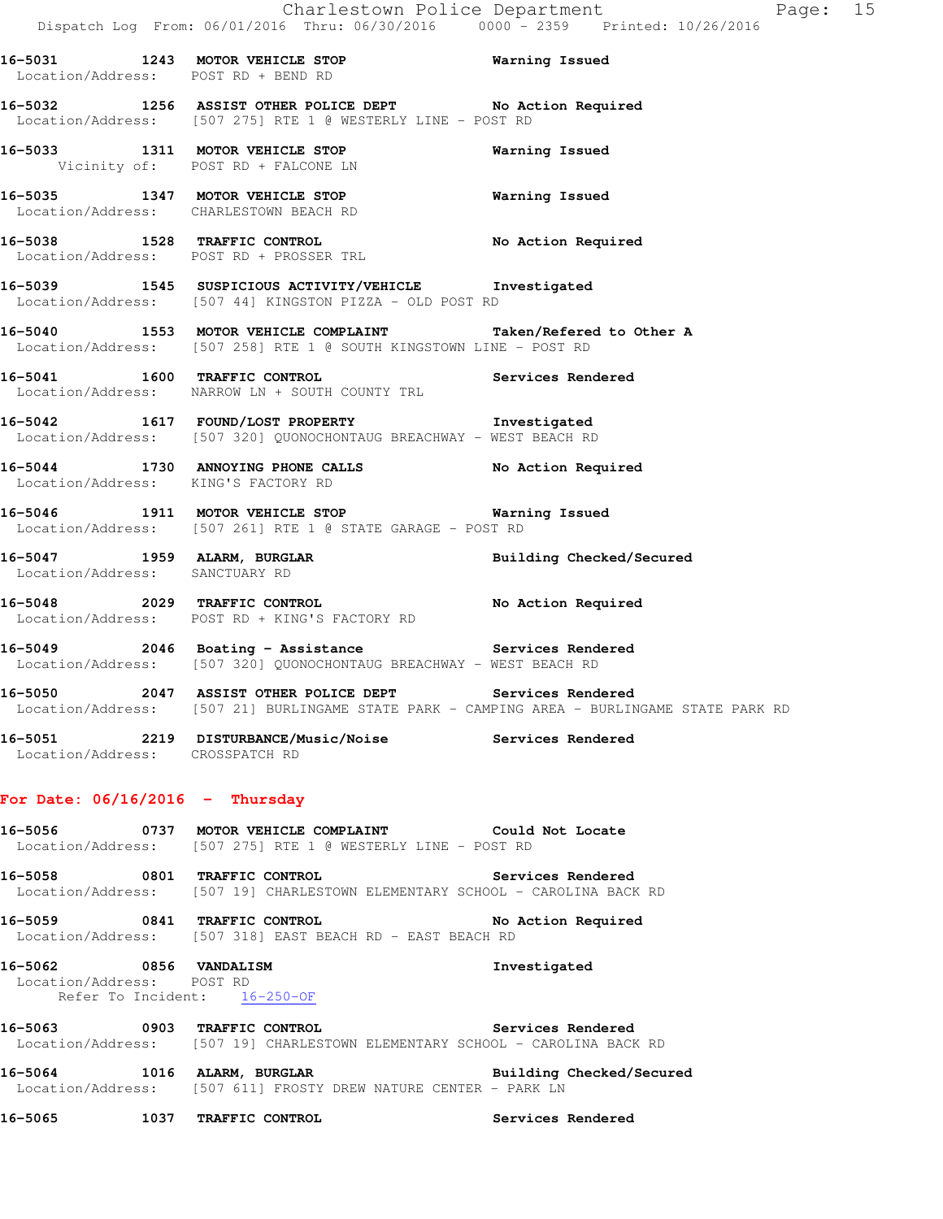**16-5031 1243 MOTOR VEHICLE STOP Warning Issued**  Location/Address: POST RD + BEND RD **16-5032 1256 ASSIST OTHER POLICE DEPT No Action Required**  Location/Address: [507 275] RTE 1 @ WESTERLY LINE - POST RD **16-5033 1311 MOTOR VEHICLE STOP Warning Issued**  Vicinity of: POST RD + FALCONE LN **16-5035 1347 MOTOR VEHICLE STOP Warning Issued**  Location/Address: CHARLESTOWN BEACH RD 16-5038 1528 TRAFFIC CONTROL **No Action Required**  Location/Address: POST RD + PROSSER TRL **16-5039 1545 SUSPICIOUS ACTIVITY/VEHICLE Investigated**  Location/Address: [507 44] KINGSTON PIZZA - OLD POST RD **16-5040 1553 MOTOR VEHICLE COMPLAINT Taken/Refered to Other A**  Location/Address: [507 258] RTE 1 @ SOUTH KINGSTOWN LINE - POST RD **16-5041 1600 TRAFFIC CONTROL Services Rendered**  Location/Address: NARROW LN + SOUTH COUNTY TRL **16-5042 1617 FOUND/LOST PROPERTY Investigated**  Location/Address: [507 320] QUONOCHONTAUG BREACHWAY - WEST BEACH RD **16-5044 1730 ANNOYING PHONE CALLS No Action Required**  Location/Address: KING'S FACTORY RD **16-5046 1911 MOTOR VEHICLE STOP Warning Issued**  Location/Address: [507 261] RTE 1 @ STATE GARAGE - POST RD **16-5047 1959 ALARM, BURGLAR Building Checked/Secured**  Location/Address: SANCTUARY RD **16-5048 2029 TRAFFIC CONTROL No Action Required**  Location/Address: POST RD + KING'S FACTORY RD **16-5049 2046 Boating - Assistance Services Rendered**  Location/Address: [507 320] QUONOCHONTAUG BREACHWAY - WEST BEACH RD **16-5050 2047 ASSIST OTHER POLICE DEPT Services Rendered**  Location/Address: [507 21] BURLINGAME STATE PARK - CAMPING AREA - BURLINGAME STATE PARK RD **16-5051 2219 DISTURBANCE/Music/Noise Services Rendered**  Location/Address: CROSSPATCH RD **For Date: 06/16/2016 - Thursday 16-5056 0737 MOTOR VEHICLE COMPLAINT Could Not Locate**  Location/Address: [507 275] RTE 1 @ WESTERLY LINE - POST RD **16-5058 0801 TRAFFIC CONTROL Services Rendered**  Location/Address: [507 19] CHARLESTOWN ELEMENTARY SCHOOL - CAROLINA BACK RD **16-5059 0841 TRAFFIC CONTROL No Action Required**  Location/Address: [507 318] EAST BEACH RD - EAST BEACH RD

**16-5062 0856 VANDALISM Investigated**  Location/Address: POST RD Refer To Incident: 16-250-OF

**16-5063 0903 TRAFFIC CONTROL Services Rendered**  Location/Address: [507 19] CHARLESTOWN ELEMENTARY SCHOOL - CAROLINA BACK RD

**16-5064 1016 ALARM, BURGLAR Building Checked/Secured**  Location/Address: [507 611] FROSTY DREW NATURE CENTER - PARK LN

**16-5065 1037 TRAFFIC CONTROL Services Rendered**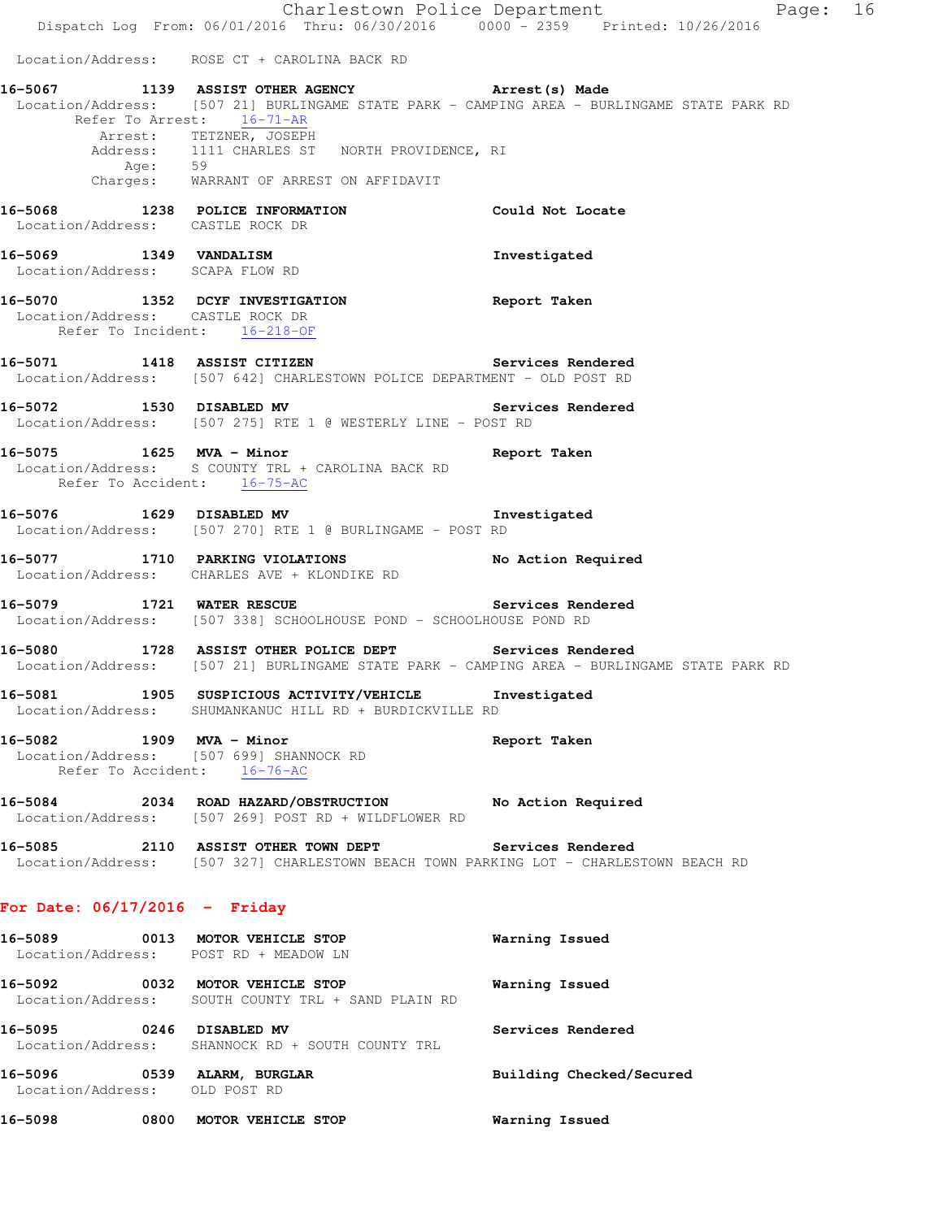Dispatch Log From: 06/01/2016 Thru: 06/30/2016 0000 - 2359 Printed: 10/26/2016 Location/Address: ROSE CT + CAROLINA BACK RD **16-5067 1139 ASSIST OTHER AGENCY Arrest(s) Made**  Location/Address: [507 21] BURLINGAME STATE PARK - CAMPING AREA - BURLINGAME STATE PARK RD Refer To Arrest: 16-71-AR Arrest: TETZNER, JOSEPH Address: 1111 CHARLES ST NORTH PROVIDENCE, RI Age: 59 Charges: WARRANT OF ARREST ON AFFIDAVIT **16-5068 1238 POLICE INFORMATION Could Not Locate**  Location/Address: CASTLE ROCK DR **16-5069 1349 VANDALISM Investigated**  Location/Address: SCAPA FLOW RD **16-5070 1352 DCYF INVESTIGATION Report Taken**  Location/Address: CASTLE ROCK DR Refer To Incident: 16-218-OF **16-5071 1418 ASSIST CITIZEN Services Rendered**  Location/Address: [507 642] CHARLESTOWN POLICE DEPARTMENT - OLD POST RD **16-5072 1530 DISABLED MV Services Rendered**  Location/Address: [507 275] RTE 1 @ WESTERLY LINE - POST RD **16-5075 1625 MVA - Minor Report Taken**  Location/Address: S COUNTY TRL + CAROLINA BACK RD Refer To Accident: 16-75-AC **16-5076 1629 DISABLED MV Investigated**  Location/Address: [507 270] RTE 1 @ BURLINGAME - POST RD **16-5077 1710 PARKING VIOLATIONS No Action Required**  Location/Address: CHARLES AVE + KLONDIKE RD **16-5079 1721 WATER RESCUE Services Rendered**  Location/Address: [507 338] SCHOOLHOUSE POND - SCHOOLHOUSE POND RD **16-5080 1728 ASSIST OTHER POLICE DEPT Services Rendered**  Location/Address: [507 21] BURLINGAME STATE PARK - CAMPING AREA - BURLINGAME STATE PARK RD **16-5081 1905 SUSPICIOUS ACTIVITY/VEHICLE Investigated**  Location/Address: SHUMANKANUC HILL RD + BURDICKVILLE RD **16-5082 1909 MVA - Minor Report Taken**  Location/Address: [507 699] SHANNOCK RD Refer To Accident: 16-76-AC **16-5084 2034 ROAD HAZARD/OBSTRUCTION No Action Required**  Location/Address: [507 269] POST RD + WILDFLOWER RD **16-5085 2110 ASSIST OTHER TOWN DEPT Services Rendered**  Location/Address: [507 327] CHARLESTOWN BEACH TOWN PARKING LOT - CHARLESTOWN BEACH RD **For Date: 06/17/2016 - Friday 16-5089 0013 MOTOR VEHICLE STOP Warning Issued**  Location/Address: POST RD + MEADOW LN **16-5092 0032 MOTOR VEHICLE STOP Warning Issued**  Location/Address: SOUTH COUNTY TRL + SAND PLAIN RD **16-5095 0246 DISABLED MV Services Rendered**  Location/Address: SHANNOCK RD + SOUTH COUNTY TRL **16-5096 0539 ALARM, BURGLAR Building Checked/Secured**  Location/Address: OLD POST RD **16-5098 0800 MOTOR VEHICLE STOP Warning Issued** 

Charlestown Police Department Fage: 16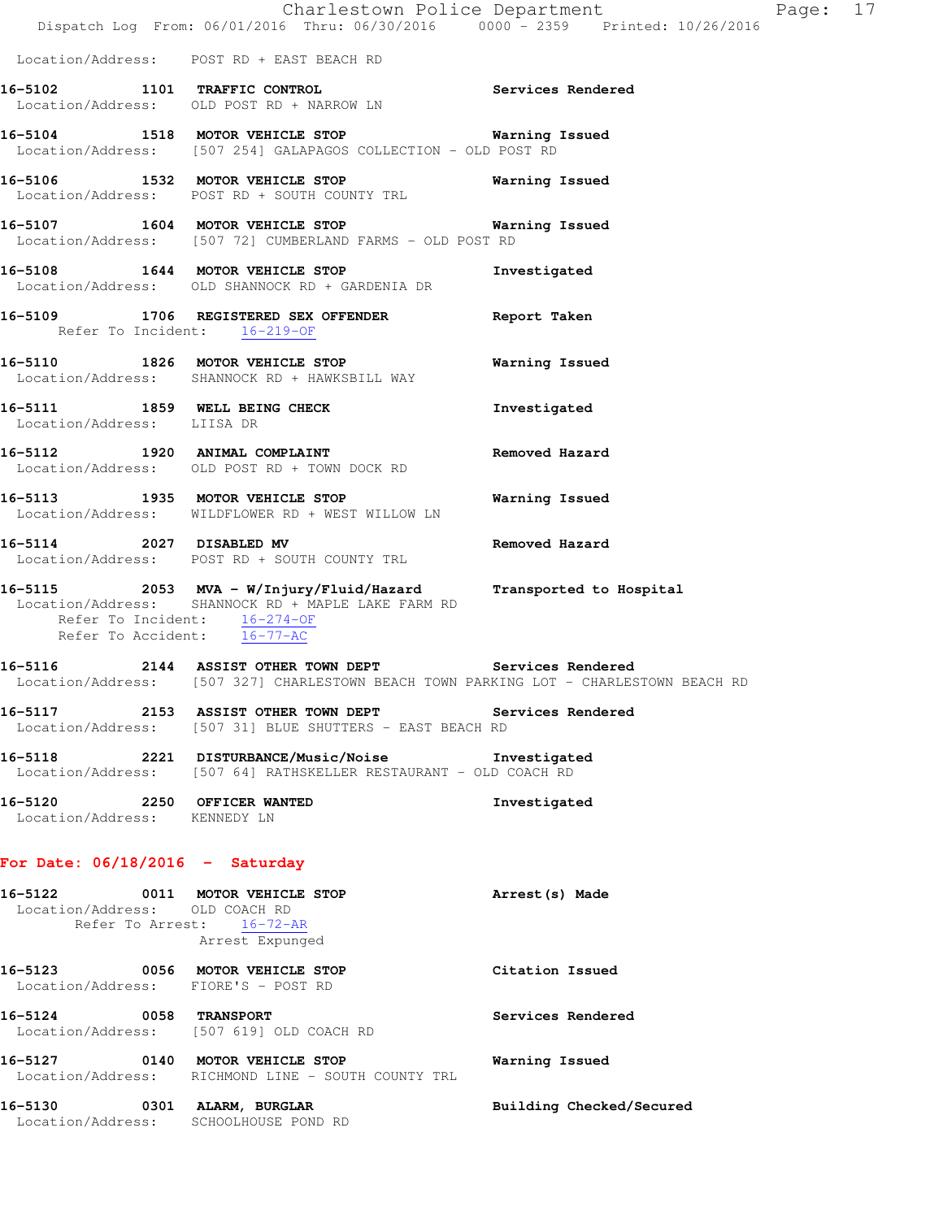|                                                             | Dispatch Log From: 06/01/2016 Thru: 06/30/2016 0000 - 2359 Printed: 10/26/2016                                                                 | Charlestown Police Department | Page: 17 |  |
|-------------------------------------------------------------|------------------------------------------------------------------------------------------------------------------------------------------------|-------------------------------|----------|--|
|                                                             | Location/Address: POST RD + EAST BEACH RD                                                                                                      |                               |          |  |
|                                                             | 16-5102 1101 TRAFFIC CONTROL Services Rendered<br>Location/Address: OLD POST RD + NARROW LN                                                    |                               |          |  |
|                                                             | 16-5104 1518 MOTOR VEHICLE STOP Warning Issued<br>Location/Address: [507 254] GALAPAGOS COLLECTION - OLD POST RD                               |                               |          |  |
|                                                             | 16-5106 1532 MOTOR VEHICLE STOP 6 Warning Issued<br>Location/Address: POST RD + SOUTH COUNTY TRL                                               |                               |          |  |
|                                                             | 16-5107 1604 MOTOR VEHICLE STOP 6 Warning Issued<br>Location/Address: [507 72] CUMBERLAND FARMS - OLD POST RD                                  |                               |          |  |
|                                                             | 16-5108 1644 MOTOR VEHICLE STOP<br>Location/Address: OLD SHANNOCK RD + GARDENIA DR                                                             | Investigated                  |          |  |
| Refer To Incident: 16-219-OF                                | 16-5109 1706 REGISTERED SEX OFFENDER Report Taken                                                                                              |                               |          |  |
|                                                             | 16-5110 1826 MOTOR VEHICLE STOP<br>Location/Address: SHANNOCK RD + HAWKSBILL WAY                                                               | Warning Issued                |          |  |
| Location/Address: LIISA DR                                  | 16-5111 1859 WELL BEING CHECK                                                                                                                  | Investigated                  |          |  |
|                                                             | 16-5112 1920 ANIMAL COMPLAINT<br>Location/Address: OLD POST RD + TOWN DOCK RD                                                                  | Removed Hazard                |          |  |
|                                                             | 16-5113 1935 MOTOR VEHICLE STOP<br>Location/Address: WILDFLOWER RD + WEST WILLOW LN                                                            | Warning Issued                |          |  |
|                                                             | 16-5114 2027 DISABLED MV<br>Location/Address: POST RD + SOUTH COUNTY TRL                                                                       | Removed Hazard                |          |  |
| Refer To Incident: 16-274-OF<br>Refer To Accident: 16-77-AC | 16-5115 2053 MVA - W/Injury/Fluid/Hazard Transported to Hospital<br>Location/Address: SHANNOCK RD + MAPLE LAKE FARM RD                         |                               |          |  |
|                                                             | 16-5116 2144 ASSIST OTHER TOWN DEPT Services Rendered<br>Location/Address: [507 327] CHARLESTOWN BEACH TOWN PARKING LOT - CHARLESTOWN BEACH RD |                               |          |  |
|                                                             | 16-5117 2153 ASSIST OTHER TOWN DEPT Services Rendered<br>Location/Address: [507 31] BLUE SHUTTERS - EAST BEACH RD                              |                               |          |  |
|                                                             | 16-5118 2221 DISTURBANCE/Music/Noise Investigated<br>Location/Address: [507 64] RATHSKELLER RESTAURANT - OLD COACH RD                          |                               |          |  |
| 16-5120 2250 OFFICER WANTED<br>Location/Address: KENNEDY LN |                                                                                                                                                | Investigated                  |          |  |
| For Date: $06/18/2016$ - Saturday                           |                                                                                                                                                |                               |          |  |
| Location/Address: OLD COACH RD                              | 16-5122 0011 MOTOR VEHICLE STOP<br>Refer To Arrest: 16-72-AR<br>Arrest Expunged                                                                | Arrest(s) Made                |          |  |
| Location/Address: FIORE'S - POST RD                         | 16-5123 0056 MOTOR VEHICLE STOP                                                                                                                | Citation Issued               |          |  |
|                                                             | 16-5124 0058 TRANSPORT<br>Location/Address: [507 619] OLD COACH RD                                                                             | Services Rendered             |          |  |
|                                                             | 16-5127 0140 MOTOR VEHICLE STOP<br>Location/Address: RICHMOND LINE - SOUTH COUNTY TRL                                                          | Warning Issued                |          |  |

**16-5130 0301 ALARM, BURGLAR Building Checked/Secured** 

Location/Address: SCHOOLHOUSE POND RD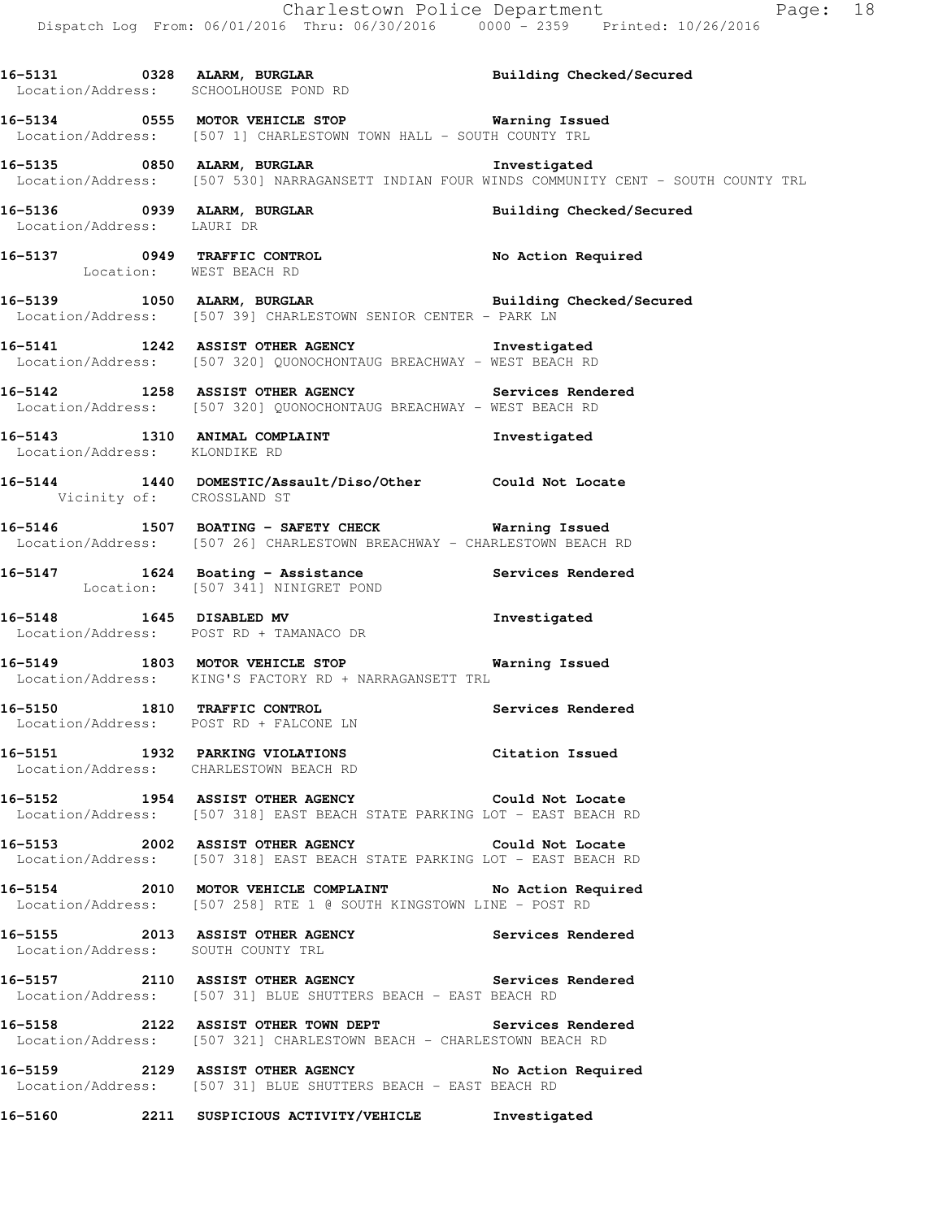**16-5131 0328 ALARM, BURGLAR Building Checked/Secured**  Location/Address: SCHOOLHOUSE POND RD **16-5134 0555 MOTOR VEHICLE STOP Warning Issued**  Location/Address: [507 1] CHARLESTOWN TOWN HALL - SOUTH COUNTY TRL **16-5135 0850 ALARM, BURGLAR Investigated**  Location/Address: [507 530] NARRAGANSETT INDIAN FOUR WINDS COMMUNITY CENT - SOUTH COUNTY TRL **16-5136 0939 ALARM, BURGLAR Building Checked/Secured**  Location/Address: LAURI DR **16-5137 0949 TRAFFIC CONTROL No Action Required**  Location: WEST BEACH RD 16-5139 1050 ALARM, BURGLAR **Building Checked/Secured**  Location/Address: [507 39] CHARLESTOWN SENIOR CENTER - PARK LN **16-5141 1242 ASSIST OTHER AGENCY Investigated**  Location/Address: [507 320] QUONOCHONTAUG BREACHWAY - WEST BEACH RD **16-5142 1258 ASSIST OTHER AGENCY Services Rendered**  Location/Address: [507 320] QUONOCHONTAUG BREACHWAY - WEST BEACH RD **16-5143 1310 ANIMAL COMPLAINT Investigated**  Location/Address: KLONDIKE RD **16-5144 1440 DOMESTIC/Assault/Diso/Other Could Not Locate**  Vicinity of: CROSSLAND ST **16-5146 1507 BOATING - SAFETY CHECK Warning Issued**  Location/Address: [507 26] CHARLESTOWN BREACHWAY - CHARLESTOWN BEACH RD **16-5147 1624 Boating - Assistance Services Rendered**  Location: [507 341] NINIGRET POND **16-5148 1645 DISABLED MV Investigated**  Location/Address: POST RD + TAMANACO DR **16-5149 1803 MOTOR VEHICLE STOP Warning Issued**  Location/Address: KING'S FACTORY RD + NARRAGANSETT TRL **16-5150 1810 TRAFFIC CONTROL Services Rendered**  Location/Address: POST RD + FALCONE LN **16-5151 1932 PARKING VIOLATIONS Citation Issued**  Location/Address: CHARLESTOWN BEACH RD **16-5152 1954 ASSIST OTHER AGENCY Could Not Locate**  Location/Address: [507 318] EAST BEACH STATE PARKING LOT - EAST BEACH RD **16-5153 2002 ASSIST OTHER AGENCY Could Not Locate**  Location/Address: [507 318] EAST BEACH STATE PARKING LOT - EAST BEACH RD **16-5154 2010 MOTOR VEHICLE COMPLAINT No Action Required**  Location/Address: [507 258] RTE 1 @ SOUTH KINGSTOWN LINE - POST RD **16-5155 2013 ASSIST OTHER AGENCY Services Rendered**  Location/Address: SOUTH COUNTY TRL **16-5157 2110 ASSIST OTHER AGENCY Services Rendered**  Location/Address: [507 31] BLUE SHUTTERS BEACH - EAST BEACH RD **16-5158 2122 ASSIST OTHER TOWN DEPT Services Rendered**  Location/Address: [507 321] CHARLESTOWN BEACH - CHARLESTOWN BEACH RD **16-5159 2129 ASSIST OTHER AGENCY No Action Required**  Location/Address: [507 31] BLUE SHUTTERS BEACH - EAST BEACH RD

**16-5160 2211 SUSPICIOUS ACTIVITY/VEHICLE Investigated**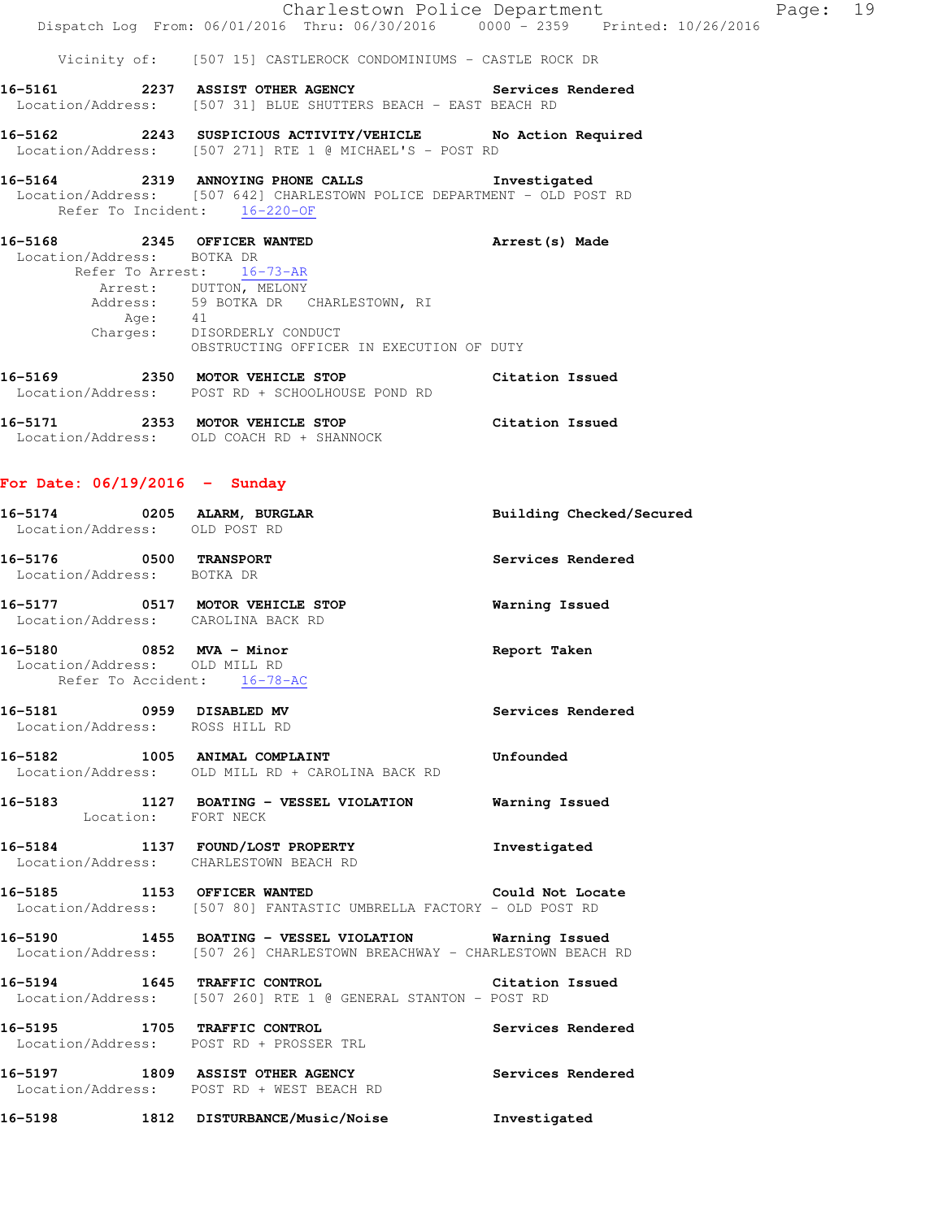|                                                                                          | Dispatch Log From: 06/01/2016 Thru: 06/30/2016 0000 - 2359 Printed: 10/26/2016                                                                                                      | Charlestown Police Department | Page: 19 |  |
|------------------------------------------------------------------------------------------|-------------------------------------------------------------------------------------------------------------------------------------------------------------------------------------|-------------------------------|----------|--|
|                                                                                          | Vicinity of: [507 15] CASTLEROCK CONDOMINIUMS - CASTLE ROCK DR                                                                                                                      |                               |          |  |
|                                                                                          | 16-5161 2237 ASSIST OTHER AGENCY Services Rendered<br>Location/Address: [507 31] BLUE SHUTTERS BEACH - EAST BEACH RD                                                                |                               |          |  |
|                                                                                          | 16-5162 2243 SUSPICIOUS ACTIVITY/VEHICLE No Action Required<br>Location/Address: [507 271] RTE 1 @ MICHAEL'S - POST RD                                                              |                               |          |  |
| Refer To Incident: 16-220-OF                                                             | 16-5164 2319 ANNOYING PHONE CALLS Investigated<br>Location/Address: [507 642] CHARLESTOWN POLICE DEPARTMENT - OLD POST RD                                                           |                               |          |  |
| Location/Address: BOTKA DR<br>Refer To Arrest: 16-73-AR                                  | 16-5168 2345 OFFICER WANTED<br>Arrest: DUTTON, MELONY<br>Address: 59 BOTKA DR CHARLESTOWN, RI<br>Age: 41<br>Charges: DISORDERLY CONDUCT<br>OBSTRUCTING OFFICER IN EXECUTION OF DUTY | Arrest(s) Made                |          |  |
|                                                                                          | 16-5169 2350 MOTOR VEHICLE STOP Citation Issued<br>Location/Address: POST RD + SCHOOLHOUSE POND RD                                                                                  |                               |          |  |
|                                                                                          | 16-5171 2353 MOTOR VEHICLE STOP<br>Location/Address: OLD COACH RD + SHANNOCK                                                                                                        | Citation Issued               |          |  |
| For Date: $06/19/2016$ - Sunday                                                          |                                                                                                                                                                                     |                               |          |  |
| Location/Address: OLD POST RD                                                            | 16-5174 0205 ALARM, BURGLAR                                                                                                                                                         | Building Checked/Secured      |          |  |
| 16-5176 0500 TRANSPORT<br>Location/Address: BOTKA DR                                     |                                                                                                                                                                                     | Services Rendered             |          |  |
| Location/Address: CAROLINA BACK RD                                                       | 16-5177 0517 MOTOR VEHICLE STOP                                                                                                                                                     | Warning Issued                |          |  |
| 16-5180 0852 MVA - Minor<br>Location/Address: OLD MILL RD<br>Refer To Accident: 16-78-AC |                                                                                                                                                                                     | Report Taken                  |          |  |
| 16-5181 0959 DISABLED MV<br>Location/Address: ROSS HILL RD                               |                                                                                                                                                                                     | Services Rendered             |          |  |
|                                                                                          | 16-5182 1005 ANIMAL COMPLAINT COMPOSER Unfounded<br>Location/Address: OLD MILL RD + CAROLINA BACK RD                                                                                |                               |          |  |
| Location: FORT NECK                                                                      | 16-5183 1127 BOATING - VESSEL VIOLATION Warning Issued                                                                                                                              |                               |          |  |
|                                                                                          | 16-5184 1137 FOUND/LOST PROPERTY<br>Location/Address: CHARLESTOWN BEACH RD                                                                                                          | Investigated                  |          |  |
|                                                                                          | 16-5185 1153 OFFICER WANTED 16-5185 Could Not Locate<br>Location/Address: [507 80] FANTASTIC UMBRELLA FACTORY - OLD POST RD                                                         |                               |          |  |
|                                                                                          | 16-5190 1455 BOATING - VESSEL VIOLATION Warning Issued<br>Location/Address: [507 26] CHARLESTOWN BREACHWAY - CHARLESTOWN BEACH RD                                                   |                               |          |  |
|                                                                                          | 16-5194 1645 TRAFFIC CONTROL<br>Location/Address: [507 260] RTE 1 @ GENERAL STANTON - POST RD                                                                                       | Citation Issued               |          |  |
|                                                                                          | 16-5195 1705 TRAFFIC CONTROL<br>Location/Address: POST RD + PROSSER TRL                                                                                                             | Services Rendered             |          |  |
|                                                                                          | 16-5197 1809 ASSIST OTHER AGENCY<br>Location/Address: POST RD + WEST BEACH RD                                                                                                       | Services Rendered             |          |  |
|                                                                                          | 16-5198 1812 DISTURBANCE/Music/Noise                                                                                                                                                | Investigated                  |          |  |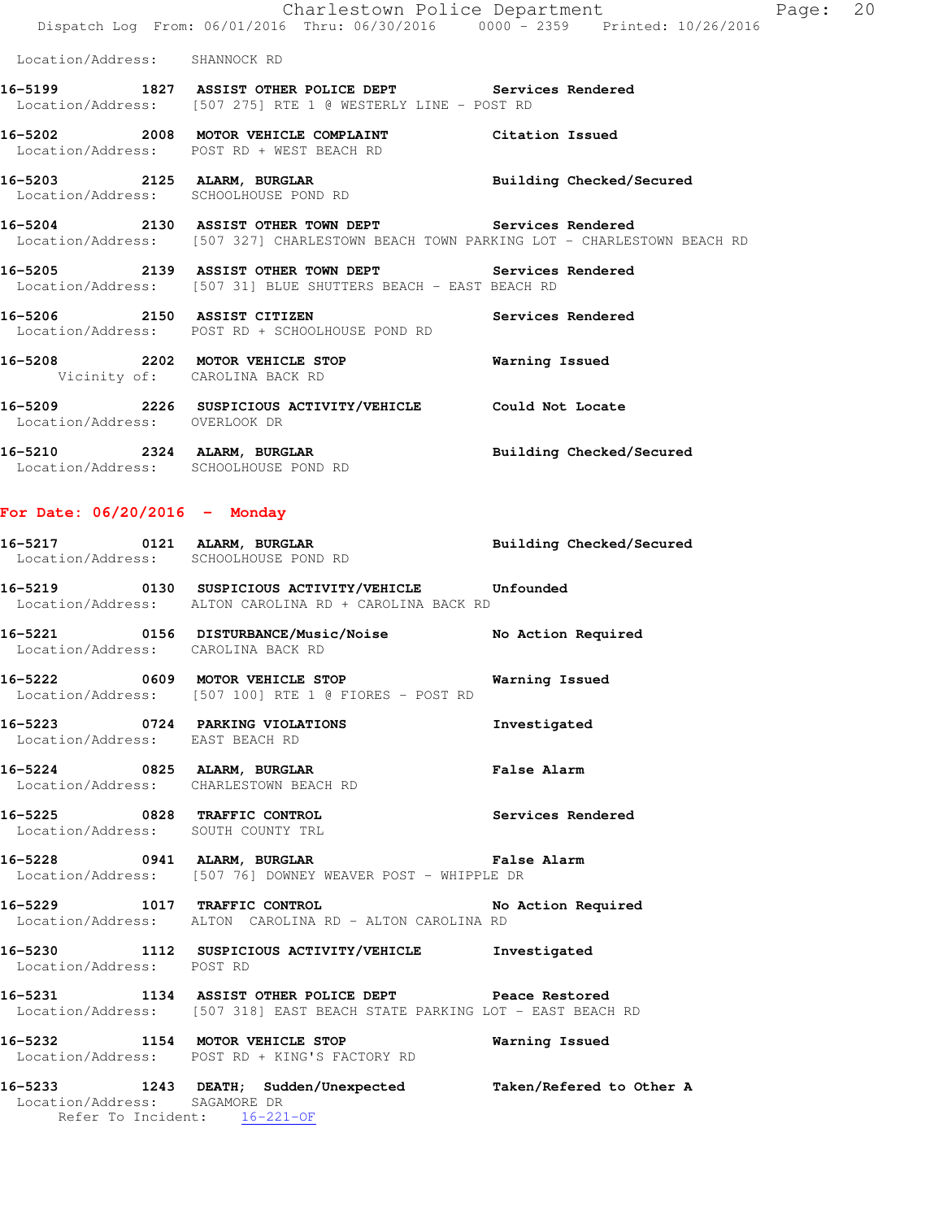|                               | Charlestown Police Department<br>Dispatch Log From: 06/01/2016 Thru: 06/30/2016 0000 - 2359 Printed: 10/26/2016                                | Page: 20                 |  |
|-------------------------------|------------------------------------------------------------------------------------------------------------------------------------------------|--------------------------|--|
| Location/Address: SHANNOCK RD |                                                                                                                                                |                          |  |
|                               | 16-5199 1827 ASSIST OTHER POLICE DEPT Services Rendered<br>Location/Address: [507 275] RTE 1 @ WESTERLY LINE - POST RD                         |                          |  |
|                               | 16-5202 2008 MOTOR VEHICLE COMPLAINT Citation Issued<br>Location/Address: POST RD + WEST BEACH RD                                              |                          |  |
|                               | 16-5203 2125 ALARM, BURGLAR<br>Location/Address: SCHOOLHOUSE POND RD                                                                           | Building Checked/Secured |  |
|                               | 16-5204 2130 ASSIST OTHER TOWN DEPT Services Rendered<br>Location/Address: [507 327] CHARLESTOWN BEACH TOWN PARKING LOT - CHARLESTOWN BEACH RD |                          |  |
|                               | 16-5205 2139 ASSIST OTHER TOWN DEPT Services Rendered<br>Location/Address: [507 31] BLUE SHUTTERS BEACH - EAST BEACH RD                        |                          |  |
|                               | 16-5206 2150 ASSIST CITIZEN<br>Location/Address: POST RD + SCHOOLHOUSE POND RD                                                                 | Services Rendered        |  |
| Vicinity of: CAROLINA BACK RD | 16-5208 2202 MOTOR VEHICLE STOP                                                                                                                | Warning Issued           |  |
| Location/Address: OVERLOOK DR | 16-5209 2226 SUSPICIOUS ACTIVITY/VEHICLE Could Not Locate                                                                                      |                          |  |
|                               | 16-5210 2324 ALARM, BURGLAR<br>Location/Address: SCHOOLHOUSE POND RD                                                                           | Building Checked/Secured |  |
|                               |                                                                                                                                                |                          |  |

# **For Date: 06/20/2016 - Monday**

|                                 | 16-5217 0121 ALARM, BURGLAR<br>Location/Address: SCHOOLHOUSE POND RD                                                             | Building Checked/Secured |
|---------------------------------|----------------------------------------------------------------------------------------------------------------------------------|--------------------------|
|                                 | 16-5219 0130 SUSPICIOUS ACTIVITY/VEHICLE Unfounded<br>Location/Address: ALTON CAROLINA RD + CAROLINA BACK RD                     |                          |
|                                 | 16-5221 0156 DISTURBANCE/Music/Noise No Action Required<br>Location/Address: CAROLINA BACK RD                                    |                          |
|                                 | 16-5222 0609 MOTOR VEHICLE STOP 6 Warning Issued<br>Location/Address: [507 100] RTE 1 @ FIORES - POST RD                         |                          |
| Location/Address: EAST BEACH RD | 16-5223 0724 PARKING VIOLATIONS                                                                                                  | Investigated             |
|                                 | 16-5224 0825 ALARM, BURGLAR CHARM False Alarm<br>Location/Address: CHARLESTOWN BEACH RD                                          |                          |
|                                 | 16-5225 0828 TRAFFIC CONTROL<br>Location/Address: SOUTH COUNTY TRL                                                               | Services Rendered        |
|                                 | 16-5228 0941 ALARM, BURGLAR COMPARENT PALSE Alarm<br>Location/Address: [507 76] DOWNEY WEAVER POST - WHIPPLE DR                  |                          |
|                                 | 16-5229 1017 TRAFFIC CONTROL No Action Required<br>Location/Address: ALTON CAROLINA RD - ALTON CAROLINA RD                       |                          |
|                                 | 16-5230 1112 SUSPICIOUS ACTIVITY/VEHICLE Investigated<br>Location/Address: POST RD                                               |                          |
|                                 | 16-5231 1134 ASSIST OTHER POLICE DEPT Peace Restored<br>Location/Address: [507 318] EAST BEACH STATE PARKING LOT - EAST BEACH RD |                          |
|                                 | 16-5232 1154 MOTOR VEHICLE STOP 6 Warning Issued<br>Location/Address: POST RD + KING'S FACTORY RD                                |                          |
|                                 | 16-5233 1243 DEATH; Sudden/Unexpected Taken/Refered to Other A Location/Address: SAGAMORE DR<br>Refer To Incident: 16-221-OF     |                          |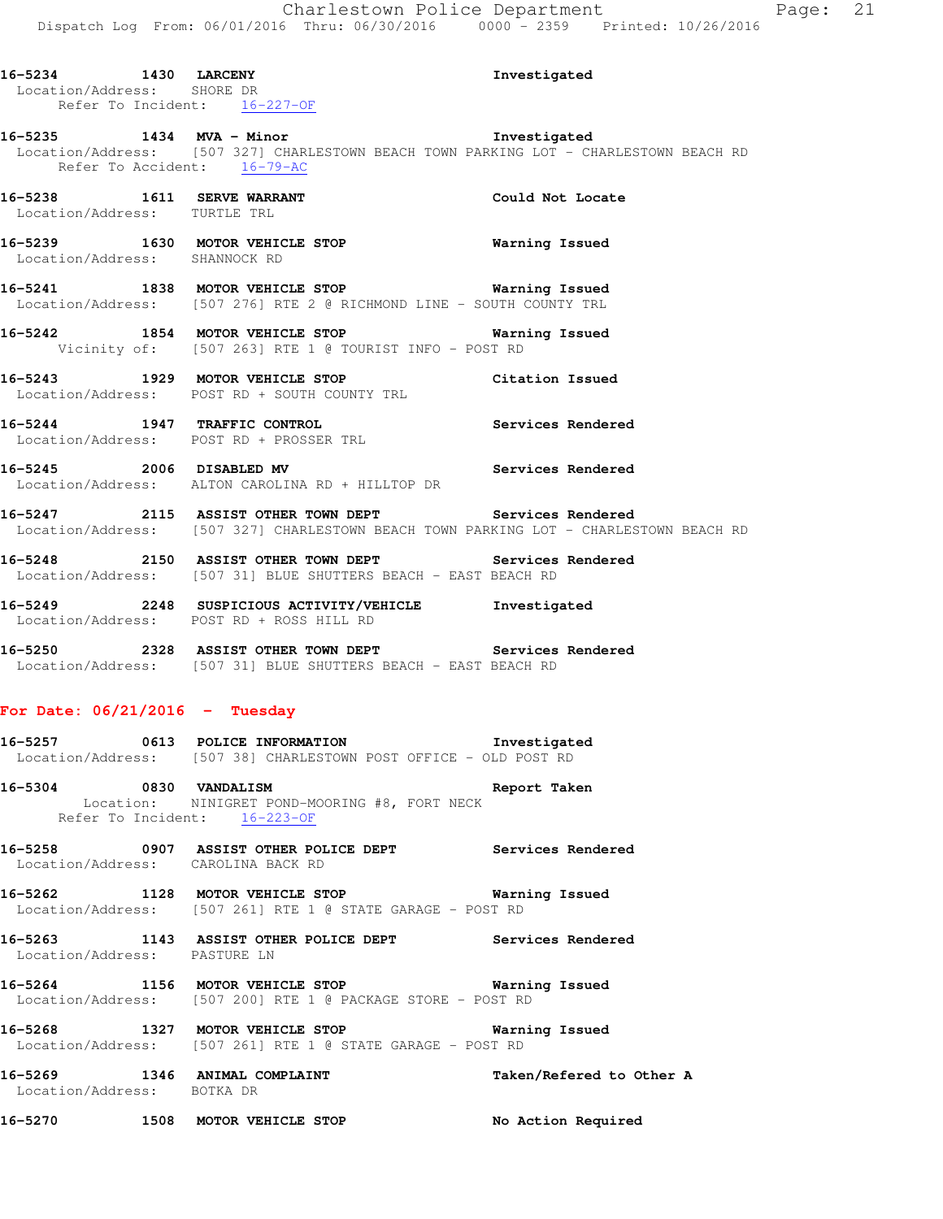| 16-5234 1430 LARCENY             | Location/Address: SHORE DR<br>Refer To Incident: 16-227-OF                                                                                                    | Investigated      |
|----------------------------------|---------------------------------------------------------------------------------------------------------------------------------------------------------------|-------------------|
|                                  | 16-5235 1434 MVA - Minor Threstigated<br>Location/Address: [507 327] CHARLESTOWN BEACH TOWN PARKING LOT - CHARLESTOWN BEACH RD<br>Refer To Accident: 16-79-AC |                   |
| Location/Address: TURTLE TRL     | 16-5238 1611 SERVE WARRANT Could Not Locate                                                                                                                   |                   |
|                                  | 16-5239 1630 MOTOR VEHICLE STOP 16-5239<br>Location/Address: SHANNOCK RD                                                                                      |                   |
|                                  | 16-5241 1838 MOTOR VEHICLE STOP <b>Warning Issued</b><br>Location/Address: [507 276] RTE 2 @ RICHMOND LINE - SOUTH COUNTY TRL                                 |                   |
|                                  | 16-5242 1854 MOTOR VEHICLE STOP 6 Warning Issued<br>Vicinity of: [507 263] RTE 1 @ TOURIST INFO - POST RD                                                     |                   |
|                                  | 16-5243 1929 MOTOR VEHICLE STOP Citation Issued<br>Location/Address: POST RD + SOUTH COUNTY TRL                                                               |                   |
|                                  | 16-5244 1947 TRAFFIC CONTROL Services Rendered Location/Address: POST RD + PROSSER TRL                                                                        |                   |
|                                  | 16-5245 2006 DISABLED MV Services Rendered<br>Location/Address: ALTON CAROLINA RD + HILLTOP DR                                                                |                   |
|                                  | 16-5247 2115 ASSIST OTHER TOWN DEPT Services Rendered<br>Location/Address: [507 327] CHARLESTOWN BEACH TOWN PARKING LOT - CHARLESTOWN BEACH RD                |                   |
|                                  | <b>16-5248</b> 2150 ASSIST OTHER TOWN DEPT <b>Services Rendered</b><br>Location/Address: [507 31] BLUE SHUTTERS BEACH - EAST BEACH RD                         |                   |
|                                  | 16-5249 2248 SUSPICIOUS ACTIVITY/VEHICLE Investigated<br>Location/Address: POST RD + ROSS HILL RD                                                             |                   |
|                                  | 16-5250 2328 ASSIST OTHER TOWN DEPT Services Rendered<br>Location/Address: [507 31] BLUE SHUTTERS BEACH - EAST BEACH RD                                       |                   |
| For Date: $06/21/2016$ - Tuesday |                                                                                                                                                               |                   |
|                                  | 16-5257 0613 POLICE INFORMATION 1nvestigated<br>Location/Address: [507 38] CHARLESTOWN POST OFFICE - OLD POST RD                                              |                   |
|                                  | Location: NINIGRET POND-MOORING #8, FORT NECK<br>Refer To Incident: 16-223-OF                                                                                 |                   |
|                                  | 16-5258 0907 ASSIST OTHER POLICE DEPT                                                                                                                         | Services Rendered |

Location/Address: CAROLINA BACK RD

**16-5262 1128 MOTOR VEHICLE STOP Warning Issued**  Location/Address: [507 261] RTE 1 @ STATE GARAGE - POST RD

**16-5263 1143 ASSIST OTHER POLICE DEPT Services Rendered**  Location/Address: PASTURE LN

**16-5264 1156 MOTOR VEHICLE STOP Warning Issued**  Location/Address: [507 200] RTE 1 @ PACKAGE STORE - POST RD

**16-5268 1327 MOTOR VEHICLE STOP Warning Issued**  Location/Address: [507 261] RTE 1 @ STATE GARAGE - POST RD

**16-5269 1346 ANIMAL COMPLAINT Taken/Refered to Other A**  Location/Address: BOTKA DR

**16-5270 1508 MOTOR VEHICLE STOP No Action Required**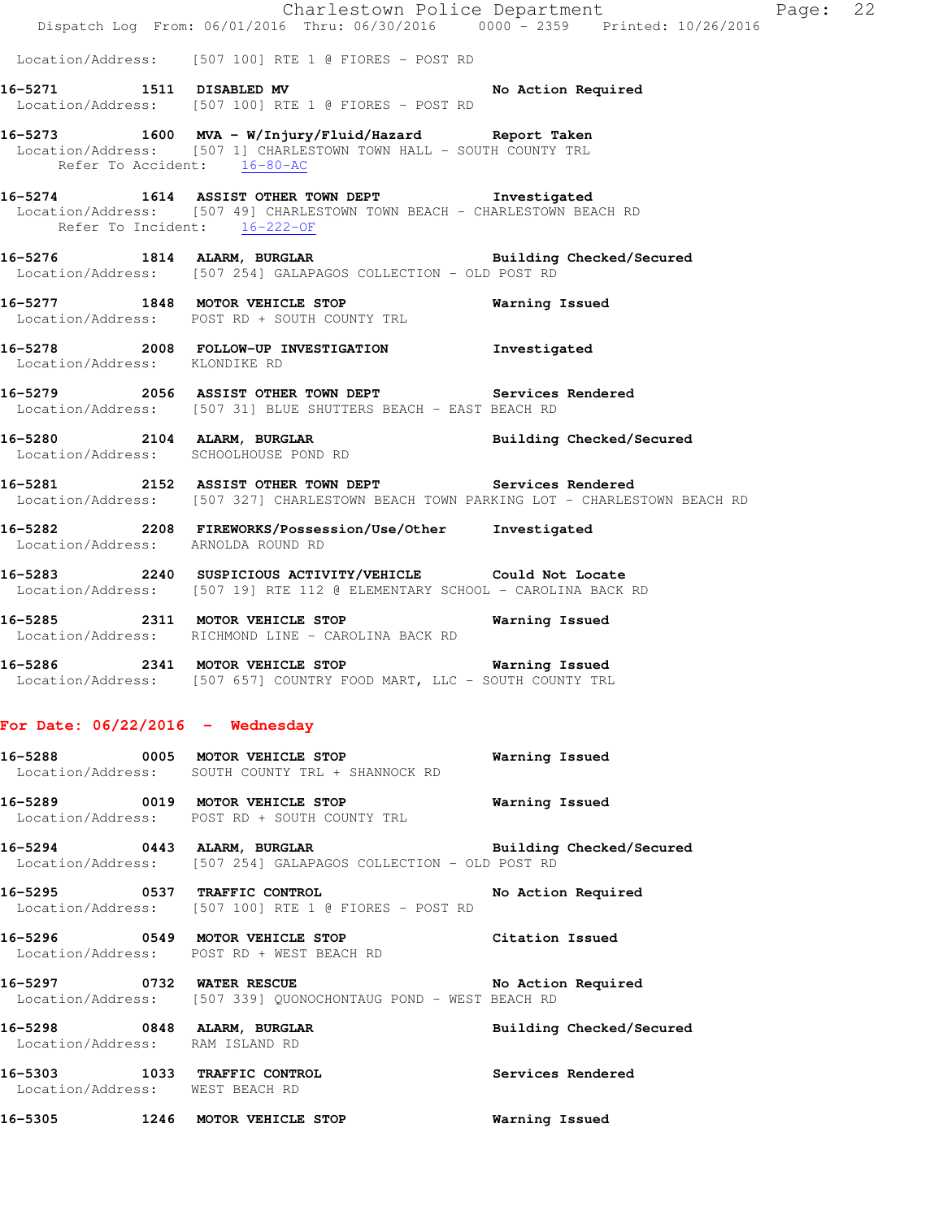|                                                                | Dispatch Log From: 06/01/2016 Thru: 06/30/2016 0000 - 2359 Printed: 10/26/2016                                                                                 | Charlestown Police Department<br>Page: | 22 |
|----------------------------------------------------------------|----------------------------------------------------------------------------------------------------------------------------------------------------------------|----------------------------------------|----|
|                                                                | Location/Address: [507 100] RTE 1 @ FIORES - POST RD                                                                                                           |                                        |    |
|                                                                | 16-5271 1511 DISABLED MV 16-5271<br>Location/Address: [507 100] RTE 1 @ FIORES - POST RD                                                                       |                                        |    |
| Refer To Accident: 16-80-AC                                    | 16-5273 1600 MVA - W/Injury/Fluid/Hazard Report Taken<br>Location/Address: [507 1] CHARLESTOWN TOWN HALL - SOUTH COUNTY TRL                                    |                                        |    |
|                                                                | 16-5274 1614 ASSIST OTHER TOWN DEPT Threstigated<br>Location/Address: [507 49] CHARLESTOWN TOWN BEACH - CHARLESTOWN BEACH RD<br>Refer To Incident: $16-222-0F$ |                                        |    |
|                                                                | 16-5276 1814 ALARM, BURGLAR <b>Example 2018</b> Building Checked/Secured<br>Location/Address: [507 254] GALAPAGOS COLLECTION - OLD POST RD                     |                                        |    |
|                                                                | 16-5277 1848 MOTOR VEHICLE STOP <b>Warning Issued</b><br>Location/Address: POST RD + SOUTH COUNTY TRL                                                          |                                        |    |
| Location/Address: KLONDIKE RD                                  | 16-5278 2008 FOLLOW-UP INVESTIGATION Thvestigated                                                                                                              |                                        |    |
|                                                                | 16-5279 2056 ASSIST OTHER TOWN DEPT Services Rendered<br>Location/Address: [507 31] BLUE SHUTTERS BEACH - EAST BEACH RD                                        |                                        |    |
|                                                                | 16-5280 2104 ALARM, BURGLAR BURGER Building Checked/Secured Location/Address: SCHOOLHOUSE POND RD                                                              |                                        |    |
|                                                                | 16-5281 2152 ASSIST OTHER TOWN DEPT Services Rendered<br>Location/Address: [507 327] CHARLESTOWN BEACH TOWN PARKING LOT - CHARLESTOWN BEACH RD                 |                                        |    |
| Location/Address: ARNOLDA ROUND RD                             | 16-5282 2208 FIREWORKS/Possession/Use/Other Investigated                                                                                                       |                                        |    |
|                                                                | 16-5283 2240 SUSPICIOUS ACTIVITY/VEHICLE Could Not Locate<br>Location/Address: [507 19] RTE 112 @ ELEMENTARY SCHOOL - CAROLINA BACK RD                         |                                        |    |
|                                                                | 16-5285 2311 MOTOR VEHICLE STOP 6 Warning Issued<br>Location/Address: RICHMOND LINE - CAROLINA BACK RD                                                         |                                        |    |
|                                                                | 16-5286 2341 MOTOR VEHICLE STOP <b>Warning Issued</b><br>Location/Address: [507 657] COUNTRY FOOD MART, LLC - SOUTH COUNTY TRL                                 |                                        |    |
| For Date: $06/22/2016$ - Wednesday                             |                                                                                                                                                                |                                        |    |
|                                                                | 16-5288 60005 MOTOR VEHICLE STOP 1999 Warning Issued<br>Location/Address: SOUTH COUNTY TRL + SHANNOCK RD                                                       |                                        |    |
|                                                                | 16-5289 0019 MOTOR VEHICLE STOP<br>Location/Address: POST RD + SOUTH COUNTY TRL                                                                                | <b>Warning Issued</b>                  |    |
|                                                                | 16-5294 0443 ALARM, BURGLAR <b>BURGER Building Checked/Secured</b><br>Location/Address: [507 254] GALAPAGOS COLLECTION - OLD POST RD                           |                                        |    |
|                                                                | 16-5295 0537 TRAFFIC CONTROL<br>Location/Address: [507 100] RTE 1 @ FIORES - POST RD                                                                           | No Action Required                     |    |
|                                                                | 16-5296 			 0549 MOTOR VEHICLE STOP 				 Citation Issued<br>Location/Address: POST RD + WEST BEACH RD                                                          |                                        |    |
| 16-5297 0732 WATER RESCUE                                      | Location/Address: [507 339] QUONOCHONTAUG POND - WEST BEACH RD                                                                                                 | No Action Required                     |    |
| 16-5298 0848 ALARM, BURGLAR<br>Location/Address: RAM ISLAND RD |                                                                                                                                                                | Building Checked/Secured               |    |
| Location/Address: WEST BEACH RD                                | 16-5303 1033 TRAFFIC CONTROL                                                                                                                                   | Services Rendered                      |    |
|                                                                | 16-5305 1246 MOTOR VEHICLE STOP                                                                                                                                | Warning Issued                         |    |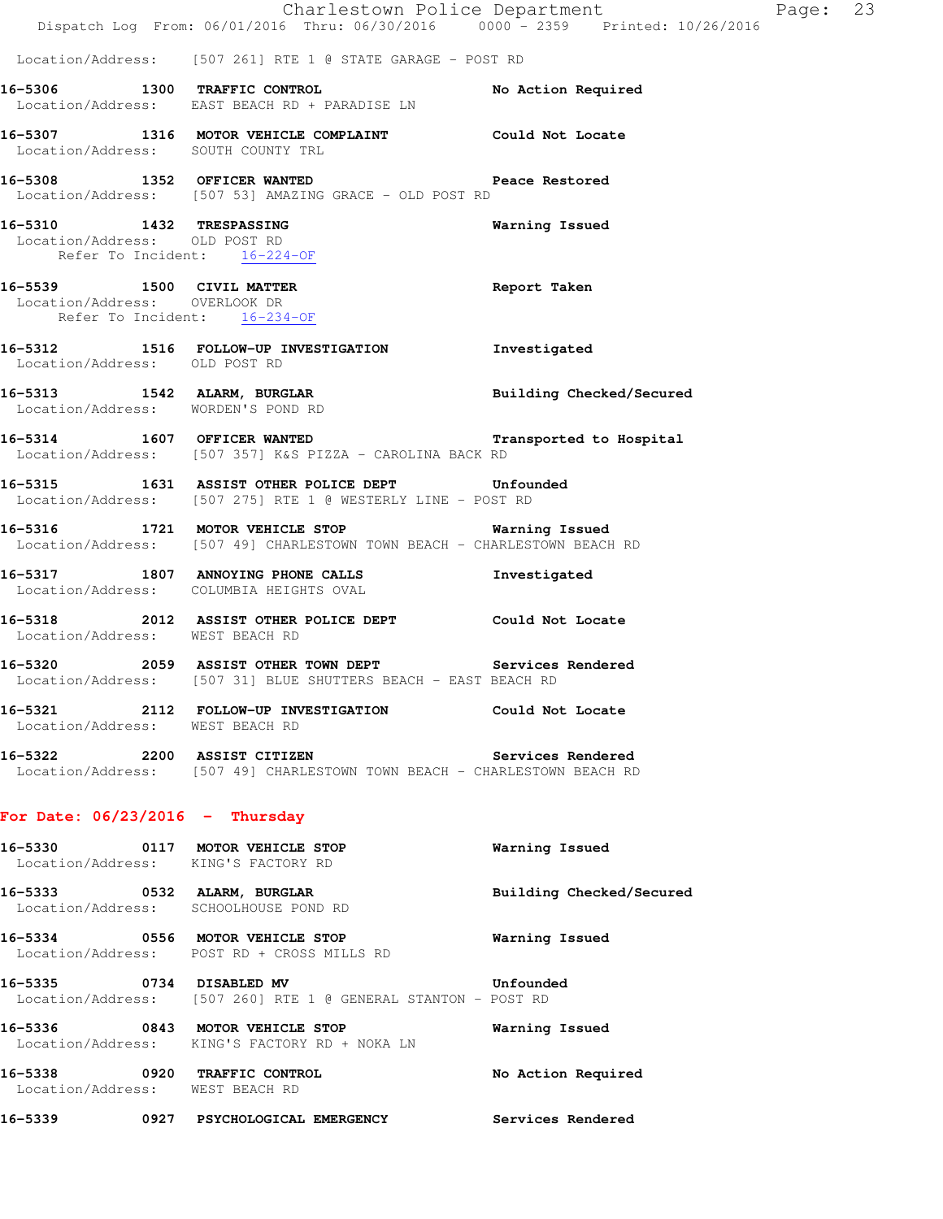|                                   | Charlestown Police Department<br>Dispatch Log From: 06/01/2016 Thru: 06/30/2016 0000 - 2359 Printed: 10/26/2016              |                          |
|-----------------------------------|------------------------------------------------------------------------------------------------------------------------------|--------------------------|
|                                   | Location/Address: [507 261] RTE 1 @ STATE GARAGE - POST RD                                                                   |                          |
|                                   | 16-5306 1300 TRAFFIC CONTROL<br>Location/Address: EAST BEACH RD + PARADISE LN                                                | No Action Required       |
|                                   | 16-5307 1316 MOTOR VEHICLE COMPLAINT Could Not Locate<br>Location/Address: SOUTH COUNTY TRL                                  |                          |
|                                   | 16-5308 1352 OFFICER WANTED Peace Restored<br>Location/Address: [507 53] AMAZING GRACE - OLD POST RD                         |                          |
|                                   | 16-5310 1432 TRESPASSING<br>Location/Address: OLD POST RD<br>Refer To Incident: 16-224-OF                                    | Warning Issued           |
|                                   | 16-5539 1500 CIVIL MATTER<br>Report Taken<br>Location/Address: OVERLOOK DR<br>Refer To Incident: 16-234-OF                   |                          |
| Location/Address: OLD POST RD     | 16-5312 1516 FOLLOW-UP INVESTIGATION Investigated                                                                            |                          |
|                                   | 16-5313 1542 ALARM, BURGLAR BURGINER Building Checked/Secured Location/Address: WORDEN'S POND RD                             |                          |
|                                   | 16-5314 1607 OFFICER WANTED<br>Location/Address: [507 357] K&S PIZZA - CAROLINA BACK RD                                      | Transported to Hospital  |
|                                   | 16-5315 1631 ASSIST OTHER POLICE DEPT Unfounded<br>Location/Address: [507 275] RTE 1 @ WESTERLY LINE - POST RD               |                          |
|                                   | 16-5316 1721 MOTOR VEHICLE STOP 6 Warning Issued<br>Location/Address: [507 49] CHARLESTOWN TOWN BEACH - CHARLESTOWN BEACH RD |                          |
|                                   | 16-5317 1807 ANNOYING PHONE CALLS 1nvestigated<br>Location/Address: COLUMBIA HEIGHTS OVAL                                    |                          |
| Location/Address: WEST BEACH RD   | 16-5318 2012 ASSIST OTHER POLICE DEPT Could Not Locate                                                                       |                          |
|                                   | 16-5320 2059 ASSIST OTHER TOWN DEPT Services Rendered<br>Location/Address: [507 31] BLUE SHUTTERS BEACH - EAST BEACH RD      |                          |
| Location/Address: WEST BEACH RD   | 16-5321 2112 FOLLOW-UP INVESTIGATION Could Not Locate                                                                        |                          |
|                                   | 16-5322 2200 ASSIST CITIZEN Services Rendered<br>Location/Address: [507 49] CHARLESTOWN TOWN BEACH - CHARLESTOWN BEACH RD    |                          |
| For Date: $06/23/2016$ - Thursday |                                                                                                                              |                          |
|                                   | 16-5330 0117 MOTOR VEHICLE STOP<br>Location/Address: KING'S FACTORY RD                                                       | Warning Issued           |
|                                   | 16-5333 0532 ALARM, BURGLAR<br>Location/Address: SCHOOLHOUSE POND RD                                                         | Building Checked/Secured |
|                                   | 16-5334 0556 MOTOR VEHICLE STOP<br>Location/Address: POST RD + CROSS MILLS RD                                                | Warning Issued           |
|                                   | 16-5335 0734 DISABLED MV Unfound<br>Location/Address: [507 260] RTE 1 @ GENERAL STANTON - POST RD                            | Unfounded                |
|                                   | 16-5336 0843 MOTOR VEHICLE STOP<br>Location/Address: KING'S FACTORY RD + NOKA LN                                             | Warning Issued           |
| Location/Address: WEST BEACH RD   | 16-5338 0920 TRAFFIC CONTROL                                                                                                 | No Action Required       |
|                                   | 16-5339 0927 PSYCHOLOGICAL EMERGENCY Services Rendered                                                                       |                          |

Page: 23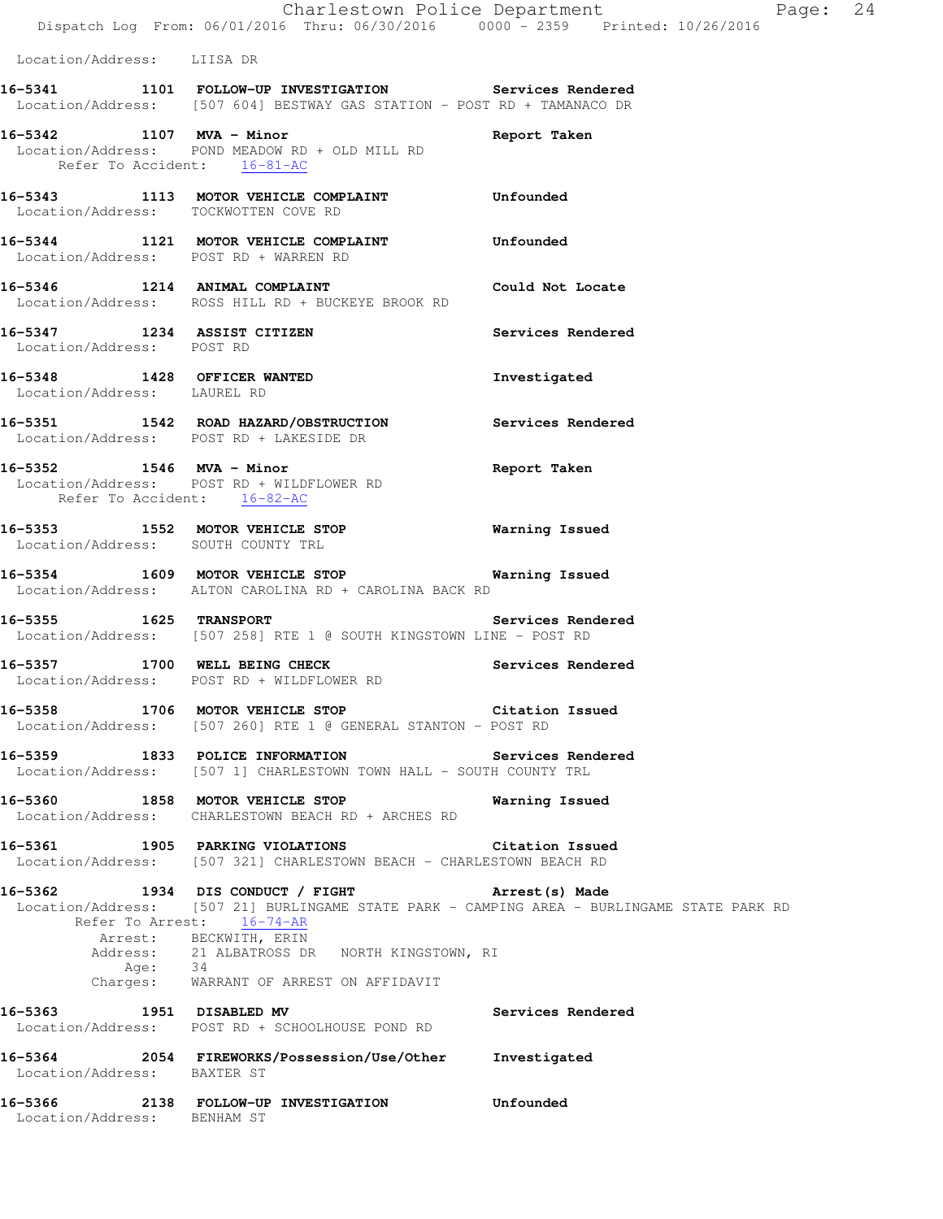## **16-5341 1101 FOLLOW-UP INVESTIGATION Services Rendered**  Location/Address: [507 604] BESTWAY GAS STATION - POST RD + TAMANACO DR

**16-5342 1107 MVA - Minor Report Taken**  Location/Address: POND MEADOW RD + OLD MILL RD Refer To Accident: 16-81-AC

**16-5343 1113 MOTOR VEHICLE COMPLAINT Unfounded**  Location/Address: TOCKWOTTEN COVE RD

**16-5344 1121 MOTOR VEHICLE COMPLAINT Unfounded**  Location/Address: POST RD + WARREN RD

**16-5346 1214 ANIMAL COMPLAINT Could Not Locate**  Location/Address: ROSS HILL RD + BUCKEYE BROOK RD

**16-5347 1234 ASSIST CITIZEN Services Rendered**  Location/Address: POST RD

**16-5348 1428 OFFICER WANTED Investigated**  Location/Address: LAUREL RD

**16-5351 1542 ROAD HAZARD/OBSTRUCTION Services Rendered**  Location/Address: POST RD + LAKESIDE DR

**16-5352 1546 MVA - Minor Report Taken**  Location/Address: POST RD + WILDFLOWER RD Refer To Accident: 16-82-AC

**16-5353 1552 MOTOR VEHICLE STOP Warning Issued**  Location/Address: SOUTH COUNTY TRL

**16-5354 1609 MOTOR VEHICLE STOP Warning Issued**  Location/Address: ALTON CAROLINA RD + CAROLINA BACK RD

**16-5355 1625 TRANSPORT Services Rendered**  Location/Address: [507 258] RTE 1 @ SOUTH KINGSTOWN LINE - POST RD

**16-5357 1700 WELL BEING CHECK Services Rendered**  Location/Address: POST RD + WILDFLOWER RD

**16-5358 1706 MOTOR VEHICLE STOP Citation Issued**  Location/Address: [507 260] RTE 1 @ GENERAL STANTON - POST RD

**16-5359 1833 POLICE INFORMATION Services Rendered**  Location/Address: [507 1] CHARLESTOWN TOWN HALL - SOUTH COUNTY TRL

**16-5360 1858 MOTOR VEHICLE STOP Warning Issued**  Location/Address: CHARLESTOWN BEACH RD + ARCHES RD

**16-5361 1905 PARKING VIOLATIONS Citation Issued**  Location/Address: [507 321] CHARLESTOWN BEACH - CHARLESTOWN BEACH RD

**16-5362 1934 DIS CONDUCT / FIGHT Arrest(s) Made**  Location/Address: [507 21] BURLINGAME STATE PARK - CAMPING AREA - BURLINGAME STATE PARK RD Refer To Arrest: 16-74-AR Arrest: BECKWITH, ERIN Address: 21 ALBATROSS DR NORTH KINGSTOWN, RI<br>Age: 34 Age: 34 Charges: WARRANT OF ARREST ON AFFIDAVIT

**16-5363 1951 DISABLED MV Services Rendered**  Location/Address: POST RD + SCHOOLHOUSE POND RD **16-5364 2054 FIREWORKS/Possession/Use/Other Investigated** 

Location/Address: BAXTER ST

**16-5366 2138 FOLLOW-UP INVESTIGATION Unfounded**  Location/Address: BENHAM ST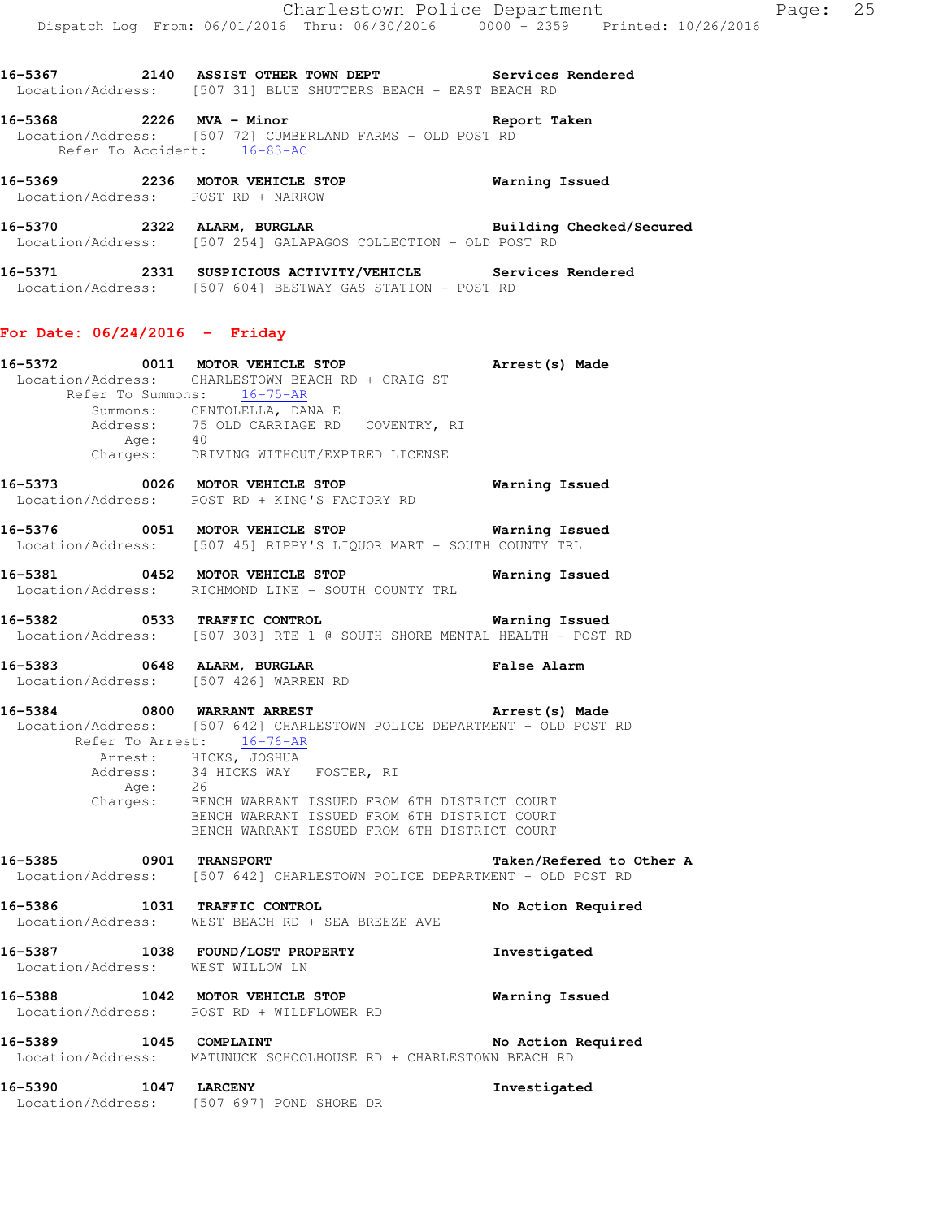|                                 | 16-5367 2140 ASSIST OTHER TOWN DEPT Services Rendered<br>Location/Address: [507 31] BLUE SHUTTERS BEACH - EAST BEACH RD                                                                                                                       |             |
|---------------------------------|-----------------------------------------------------------------------------------------------------------------------------------------------------------------------------------------------------------------------------------------------|-------------|
| Refer To Accident: 16-83-AC     | 16-5368 2226 MVA - Minor <b>Example 2018</b> Report Taken<br>Location/Address: [507 72] CUMBERLAND FARMS - OLD POST RD                                                                                                                        |             |
|                                 | 16-5369 2236 MOTOR VEHICLE STOP <b>Warning Issued</b><br>Location/Address: POST RD + NARROW                                                                                                                                                   |             |
|                                 | 16-5370 2322 ALARM, BURGLAR <b>Example 2014</b> Building Checked/Secured<br>Location/Address: [507 254] GALAPAGOS COLLECTION - OLD POST RD                                                                                                    |             |
|                                 | 16-5371 2331 SUSPICIOUS ACTIVITY/VEHICLE Services Rendered<br>Location/Address: [507 604] BESTWAY GAS STATION - POST RD                                                                                                                       |             |
| For Date: $06/24/2016$ - Friday |                                                                                                                                                                                                                                               |             |
| Refer To Summons: 16-75-AR      | 16-5372 0011 MOTOR VEHICLE STOP <b>Arrest</b> (s) Made<br>Location/Address: CHARLESTOWN BEACH RD + CRAIG ST<br>Summons: CENTOLELLA, DANA E<br>Address: 75 OLD CARRIAGE RD COVENTRY, RI<br>Age: 40<br>Charges: DRIVING WITHOUT/EXPIRED LICENSE |             |
|                                 | 16-5373 0026 MOTOR VEHICLE STOP <b>Exam and SEAT SEAT CONTA</b><br>Location/Address: POST RD + KING'S FACTORY RD                                                                                                                              |             |
|                                 | Location/Address: [507 45] RIPPY'S LIQUOR MART - SOUTH COUNTY TRL                                                                                                                                                                             |             |
|                                 | 16-5381 0452 MOTOR VEHICLE STOP <b>Warning Issued</b><br>Location/Address: RICHMOND LINE - SOUTH COUNTY TRL                                                                                                                                   |             |
|                                 | 16-5382 0533 TRAFFIC CONTROL <b>16-5382</b> Warning Issued<br>Location/Address: [507 303] RTE 1 @ SOUTH SHORE MENTAL HEALTH - POST RD                                                                                                         |             |
| 16-5383 0648 ALARM, BURGLAR     | Location/Address: [507 426] WARREN RD                                                                                                                                                                                                         | False Alarm |

16-5384 0800 WARRANT ARREST **16-5384** Arrest(s) Made Location/Address: [507 642] CHARLESTOWN POLICE DEPARTMENT - OLD POST RD Refer To Arrest:  $16-76-AR$ Arrest: HICKS, JOSHUA 34 HICKS WAY FOSTER, RI<br>26 Address:<br>Age: Charges: BENCH WARRANT ISSUED FROM 6TH DISTRICT COURT BENCH WARRANT ISSUED FROM 6TH DISTRICT COURT BENCH WARRANT ISSUED FROM 6TH DISTRICT COURT

**16-5385 0901 TRANSPORT Taken/Refered to Other A**  Location/Address: [507 642] CHARLESTOWN POLICE DEPARTMENT - OLD POST RD

**16-5386 1031 TRAFFIC CONTROL No Action Required**  Location/Address: WEST BEACH RD + SEA BREEZE AVE

**16-5387 1038 FOUND/LOST PROPERTY Investigated**  Location/Address: WEST WILLOW LN **16-5388 1042 MOTOR VEHICLE STOP Warning Issued** 

 Location/Address: POST RD + WILDFLOWER RD **16-5389 1045 COMPLAINT No Action Required** 

Location/Address: MATUNUCK SCHOOLHOUSE RD + CHARLESTOWN BEACH RD

**16-5390 1047 LARCENY Investigated**  Location/Address: [507 697] POND SHORE DR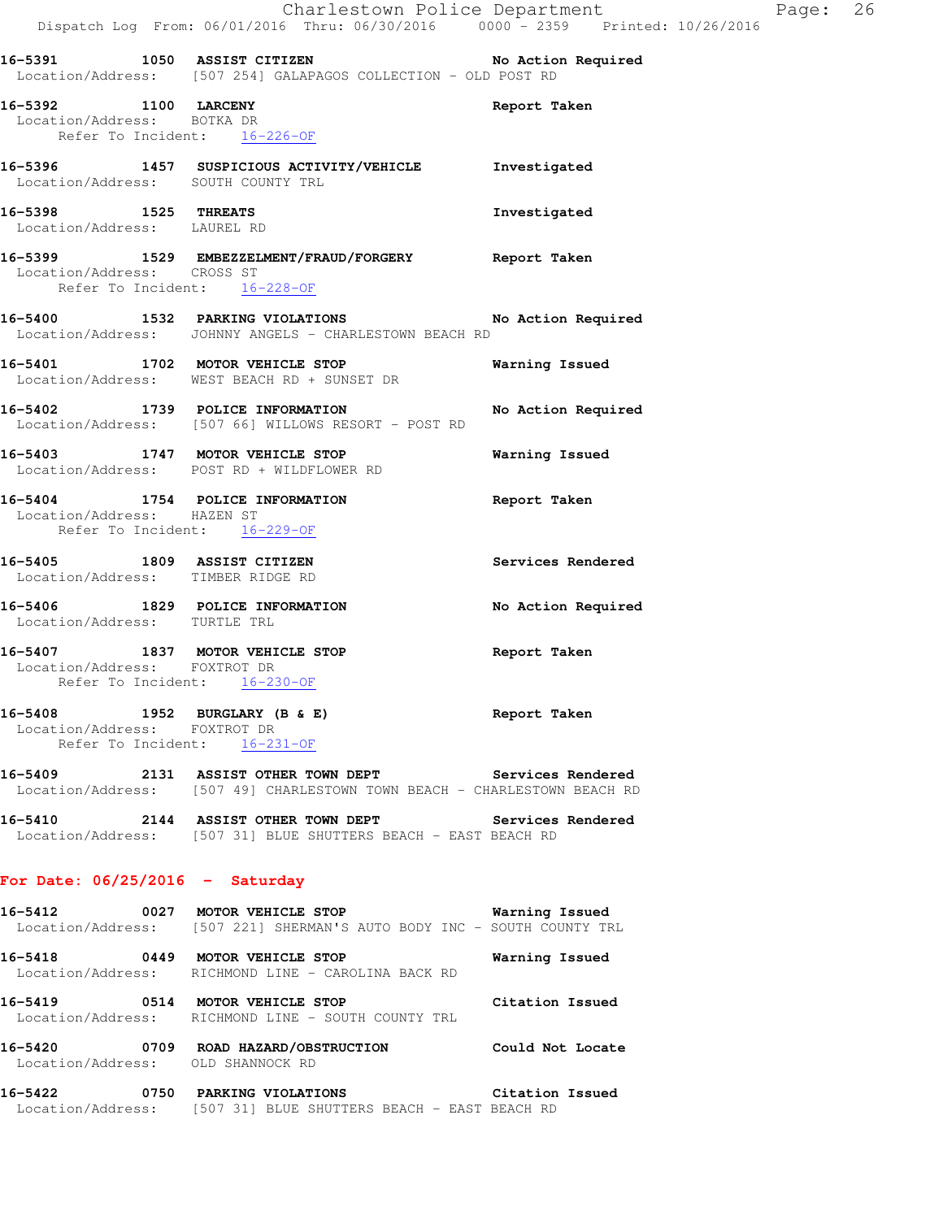|                                                     | Dispatch Log From: 06/01/2016 Thru: 06/30/2016 0000 <sup>-</sup> 2359 Printed: 10/26/2016                                         | Charlestown Police Department | Page: 26 |  |
|-----------------------------------------------------|-----------------------------------------------------------------------------------------------------------------------------------|-------------------------------|----------|--|
|                                                     | 16-5391 1050 ASSIST CITIZEN No Action Required<br>Location/Address: [507 254] GALAPAGOS COLLECTION - OLD POST RD                  |                               |          |  |
| 16-5392 1100 LARCENY<br>Location/Address: BOTKA DR  | Refer To Incident: 16-226-OF                                                                                                      | Report Taken                  |          |  |
|                                                     | 16-5396 1457 SUSPICIOUS ACTIVITY/VEHICLE Investigated<br>Location/Address: SOUTH COUNTY TRL                                       |                               |          |  |
| 16-5398 1525 THREATS<br>Location/Address: LAUREL RD |                                                                                                                                   | Investigated                  |          |  |
| Location/Address: CROSS ST                          | 16-5399 1529 EMBEZZELMENT/FRAUD/FORGERY Report Taken<br>Refer To Incident: 16-228-OF                                              |                               |          |  |
|                                                     | 16-5400 1532 PARKING VIOLATIONS No Action Required<br>Location/Address: JOHNNY ANGELS - CHARLESTOWN BEACH RD                      |                               |          |  |
|                                                     | 16-5401 1702 MOTOR VEHICLE STOP<br>Location/Address: WEST BEACH RD + SUNSET DR                                                    | Warning Issued                |          |  |
|                                                     | 16-5402 1739 POLICE INFORMATION<br>Location/Address: [507 66] WILLOWS RESORT - POST RD                                            | No Action Required            |          |  |
|                                                     | 16-5403 1747 MOTOR VEHICLE STOP<br>Location/Address: POST RD + WILDFLOWER RD                                                      | Warning Issued                |          |  |
| Location/Address: HAZEN ST                          | 16-5404 1754 POLICE INFORMATION<br>Refer To Incident: 16-229-OF                                                                   | Report Taken                  |          |  |
|                                                     | 16-5405 1809 ASSIST CITIZEN<br>Location/Address: TIMBER RIDGE RD                                                                  | Services Rendered             |          |  |
| Location/Address: TURTLE TRL                        | 16-5406 1829 POLICE INFORMATION                                                                                                   | No Action Required            |          |  |
| Location/Address: FOXTROT DR                        | 16-5407 1837 MOTOR VEHICLE STOP<br>Refer To Incident: 16-230-OF                                                                   | Report Taken                  |          |  |
| Location/Address: FOXTROT DR                        | 16-5408 1952 BURGLARY (B & E)<br>Refer To Incident: 16-231-OF                                                                     | Report Taken                  |          |  |
|                                                     | 16-5409 2131 ASSIST OTHER TOWN DEPT Services Rendered<br>Location/Address: [507 49] CHARLESTOWN TOWN BEACH - CHARLESTOWN BEACH RD |                               |          |  |
|                                                     | 16-5410 2144 ASSIST OTHER TOWN DEPT Services Rendered<br>Location/Address: [507 31] BLUE SHUTTERS BEACH - EAST BEACH RD           |                               |          |  |
| For Date: $06/25/2016$ - Saturday                   |                                                                                                                                   |                               |          |  |
|                                                     | 16-5412 0027 MOTOR VEHICLE STOP 600 Warning Issued<br>Location/Address: [507 221] SHERMAN'S AUTO BODY INC - SOUTH COUNTY TRL      |                               |          |  |
|                                                     | 16-5418 0449 MOTOR VEHICLE STOP<br>Location/Address: RICHMOND LINE - CAROLINA BACK RD                                             | Warning Issued                |          |  |
|                                                     | 16-5419 0514 MOTOR VEHICLE STOP Citation Issued<br>Location/Address: RICHMOND LINE - SOUTH COUNTY TRL                             |                               |          |  |
|                                                     | 16-5420 0709 ROAD HAZARD/OBSTRUCTION Could Not Locate<br>Location/Address: OLD SHANNOCK RD                                        |                               |          |  |
| 16-5422                                             | 0750 PARKING VIOLATIONS Citation Issued<br>Location/Address: [507 31] BLUE SHUTTERS BEACH - EAST BEACH RD                         |                               |          |  |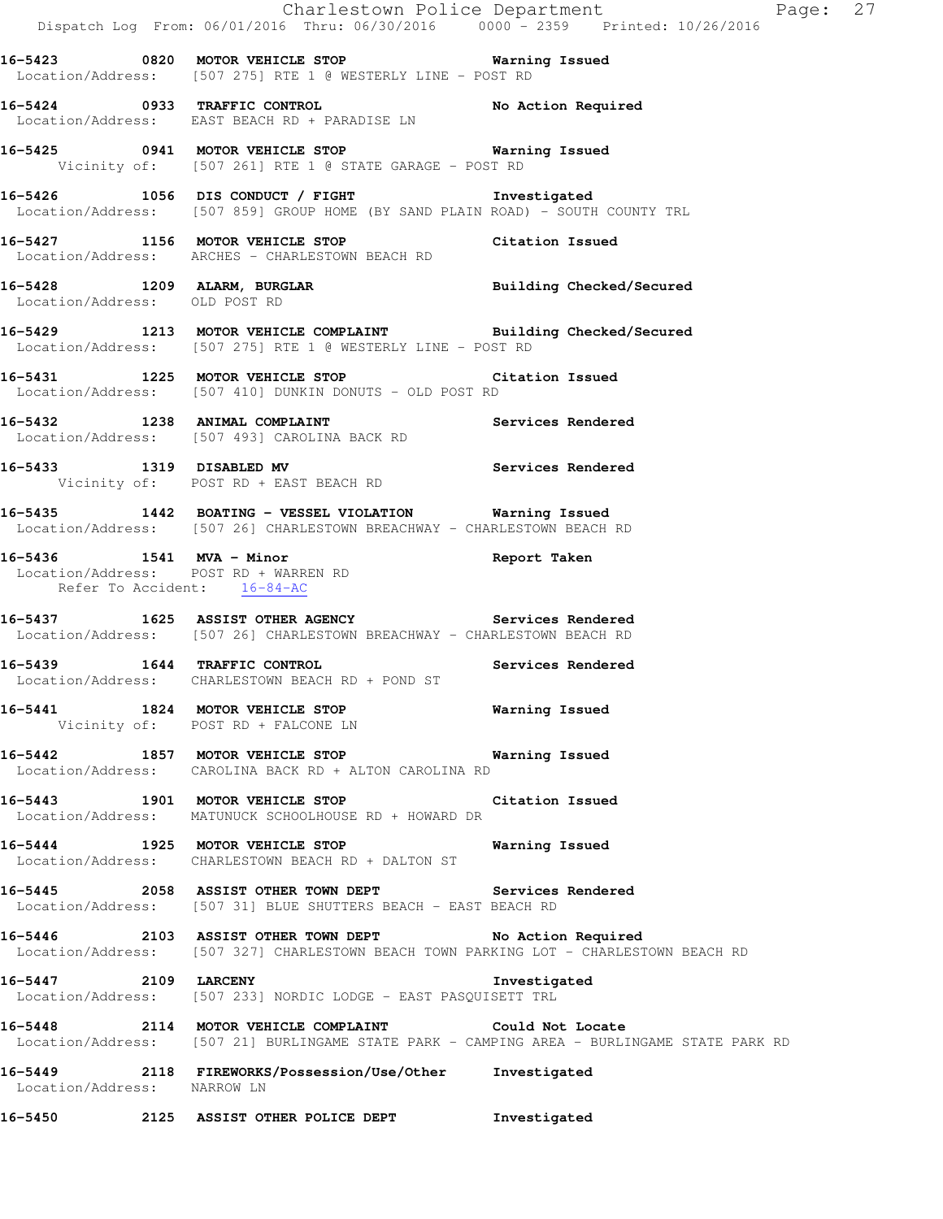|                               | Dispatch Log From: 06/01/2016 Thru: 06/30/2016 0000 <sup>-</sup> 2359 Printed: 10/26/2016                                                       | Charlestown Police Department Fage: 27                                                     |  |
|-------------------------------|-------------------------------------------------------------------------------------------------------------------------------------------------|--------------------------------------------------------------------------------------------|--|
|                               | 16-5423 0820 MOTOR VEHICLE STOP 6 Warning Issued<br>Location/Address: [507 275] RTE 1 @ WESTERLY LINE - POST RD                                 |                                                                                            |  |
|                               | 16-5424 0933 TRAFFIC CONTROL No Action Required<br>Location/Address: EAST BEACH RD + PARADISE LN                                                |                                                                                            |  |
|                               | 16-5425 		 0941 MOTOR VEHICLE STOP 		 Warning Issued<br>Vicinity of: [507 261] RTE 1 @ STATE GARAGE - POST RD                                   |                                                                                            |  |
|                               | 16-5426 1056 DIS CONDUCT / FIGHT Threstigated<br>Location/Address: [507 859] GROUP HOME (BY SAND PLAIN ROAD) - SOUTH COUNTY TRL                 |                                                                                            |  |
|                               | 16-5427 1156 MOTOR VEHICLE STOP Citation Issued<br>Location/Address: ARCHES - CHARLESTOWN BEACH RD                                              |                                                                                            |  |
| Location/Address: OLD POST RD | 16-5428 1209 ALARM, BURGLAR Building Checked/Secured                                                                                            |                                                                                            |  |
|                               | 16-5429 1213 MOTOR VEHICLE COMPLAINT Building Checked/Secured<br>Location/Address: [507 275] RTE 1 @ WESTERLY LINE - POST RD                    |                                                                                            |  |
|                               | 16-5431 1225 MOTOR VEHICLE STOP Citation Issued<br>Location/Address: [507 410] DUNKIN DONUTS - OLD POST RD                                      |                                                                                            |  |
|                               | 16-5432 1238 ANIMAL COMPLAINT Services Rendered<br>Location/Address: [507 493] CAROLINA BACK RD                                                 |                                                                                            |  |
|                               | 16-5433 1319 DISABLED MV Services Rendered<br>Vicinity of: POST RD + EAST BEACH RD                                                              |                                                                                            |  |
|                               | 16-5435 1442 BOATING - VESSEL VIOLATION Warning Issued<br>Location/Address: [507 26] CHARLESTOWN BREACHWAY - CHARLESTOWN BEACH RD               |                                                                                            |  |
| Refer To Accident: 16-84-AC   | 16-5436 1541 MVA - Minor 16 19 Report Taken<br>Location/Address: POST RD + WARREN RD                                                            |                                                                                            |  |
|                               | 16-5437 1625 ASSIST OTHER AGENCY Services Rendered<br>Location/Address: [507 26] CHARLESTOWN BREACHWAY - CHARLESTOWN BEACH RD                   |                                                                                            |  |
|                               | 16-5439 1644 TRAFFIC CONTROL 16-5439 Services Rendered<br>Location/Address: CHARLESTOWN BEACH RD + POND ST                                      |                                                                                            |  |
|                               | 16-5441 1824 MOTOR VEHICLE STOP 1997 Warning Issued<br>Vicinity of: POST RD + FALCONE LN                                                        |                                                                                            |  |
|                               | 16-5442 1857 MOTOR VEHICLE STOP 6 Warning Issued<br>Location/Address: CAROLINA BACK RD + ALTON CAROLINA RD                                      |                                                                                            |  |
|                               | 16-5443 1901 MOTOR VEHICLE STOP Citation Issued<br>Location/Address: MATUNUCK SCHOOLHOUSE RD + HOWARD DR                                        |                                                                                            |  |
|                               | 16-5444 1925 MOTOR VEHICLE STOP <b>Warning Issued</b><br>Location/Address: CHARLESTOWN BEACH RD + DALTON ST                                     |                                                                                            |  |
|                               | 16-5445 2058 ASSIST OTHER TOWN DEPT Services Rendered<br>Location/Address: [507 31] BLUE SHUTTERS BEACH - EAST BEACH RD                         |                                                                                            |  |
|                               | 16-5446 2103 ASSIST OTHER TOWN DEPT No Action Required<br>Location/Address: [507 327] CHARLESTOWN BEACH TOWN PARKING LOT - CHARLESTOWN BEACH RD |                                                                                            |  |
| 16-5447 2109 LARCENY          | Location/Address: [507 233] NORDIC LODGE - EAST PASQUISETT TRL                                                                                  | Investigated                                                                               |  |
|                               | 16-5448 2114 MOTOR VEHICLE COMPLAINT Could Not Locate                                                                                           | Location/Address: [507 21] BURLINGAME STATE PARK - CAMPING AREA - BURLINGAME STATE PARK RD |  |
| Location/Address: NARROW LN   | 16-5449 2118 FIREWORKS/Possession/Use/Other Investigated                                                                                        |                                                                                            |  |
| 16-5450                       | 2125 ASSIST OTHER POLICE DEPT                                                                                                                   | Investigated                                                                               |  |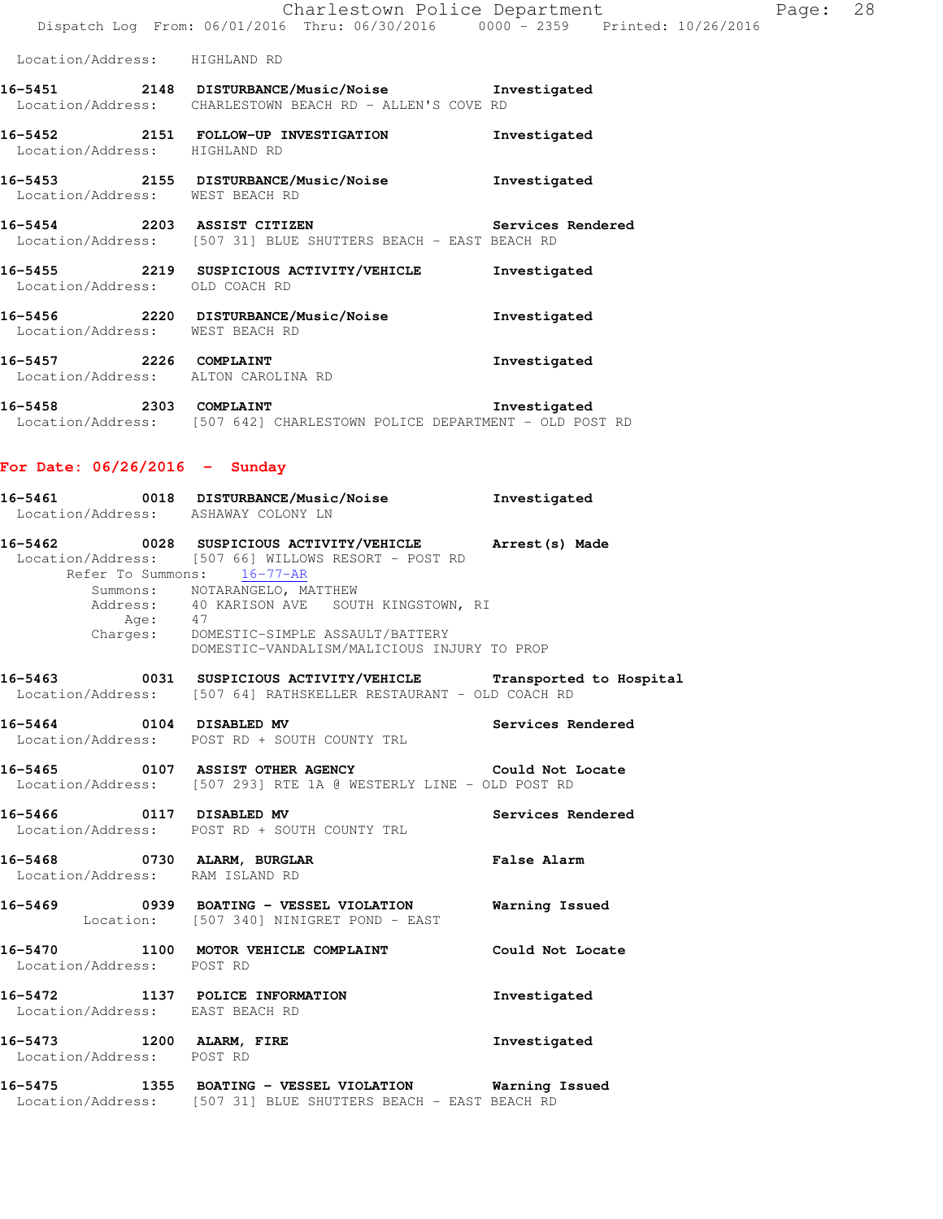|                                                               | Charlestown Police Department                                                                                   |                   | Page: 28 |  |
|---------------------------------------------------------------|-----------------------------------------------------------------------------------------------------------------|-------------------|----------|--|
|                                                               | Dispatch Log From: 06/01/2016 Thru: 06/30/2016 0000 - 2359 Printed: 10/26/2016                                  |                   |          |  |
| Location/Address: HIGHLAND RD                                 |                                                                                                                 |                   |          |  |
|                                                               | 16-5451  2148 DISTURBANCE/Music/Noise  Investigated<br>Location/Address: CHARLESTOWN BEACH RD - ALLEN'S COVE RD |                   |          |  |
| Location/Address:                                             | 16-5452 2151 FOLLOW-UP INVESTIGATION<br>HIGHLAND RD                                                             | Investigated      |          |  |
| Location/Address: WEST BEACH RD                               | 16-5453 2155 DISTURBANCE/Music/Noise                                                                            | Investigated      |          |  |
| 16-5454 2203 ASSIST CITIZEN                                   | Location/Address: [507 31] BLUE SHUTTERS BEACH - EAST BEACH RD                                                  | Services Rendered |          |  |
| Location/Address: OLD COACH RD                                |                                                                                                                 | Investigated      |          |  |
| Location/Address: WEST BEACH RD                               | 16-5456 2220 DISTURBANCE/Music/Noise                                                                            | Investigated      |          |  |
| 16-5457 2226 COMPLAINT<br>Location/Address: ALTON CAROLINA RD |                                                                                                                 | Investigated      |          |  |
| າາດາ<br>$16 - 5150$                                           | $COMDT$ $\lambda TM$                                                                                            | Terrortigatod     |          |  |

**16-5458 2303 COMPLAINT Investigated**  Location/Address: [507 642] CHARLESTOWN POLICE DEPARTMENT - OLD POST RD

# **For Date: 06/26/2016 - Sunday**

|                                 |         | 16-5461 0018 DISTURBANCE/Music/Noise Investigated<br>Location/Address: ASHAWAY COLONY LN                                                                                                                                                                                                                                |                    |
|---------------------------------|---------|-------------------------------------------------------------------------------------------------------------------------------------------------------------------------------------------------------------------------------------------------------------------------------------------------------------------------|--------------------|
|                                 | Age: 47 | 16-5462 0028 SUSPICIOUS ACTIVITY/VEHICLE Arrest(s) Made<br>Location/Address: [507 66] WILLOWS RESORT - POST RD<br>Refer To Summons: 16-77-AR<br>Summons: NOTARANGELO, MATTHEW<br>Address: 40 KARISON AVE SOUTH KINGSTOWN, RI<br>Charges: DOMESTIC-SIMPLE ASSAULT/BATTERY<br>DOMESTIC-VANDALISM/MALICIOUS INJURY TO PROP |                    |
|                                 |         | 16-5463 0031 SUSPICIOUS ACTIVITY/VEHICLE Transported to Hospital<br>Location/Address: [507 64] RATHSKELLER RESTAURANT - OLD COACH RD                                                                                                                                                                                    |                    |
|                                 |         | 16-5464 0104 DISABLED MV Services Rendered<br>Location/Address: POST RD + SOUTH COUNTY TRL                                                                                                                                                                                                                              |                    |
|                                 |         | 16-5465 0107 ASSIST OTHER AGENCY Could Not Locate<br>Location/Address: [507 293] RTE 1A @ WESTERLY LINE - OLD POST RD                                                                                                                                                                                                   |                    |
|                                 |         | 16-5466  0117 DISABLED MV    Services Rendered<br>Location/Address: POST RD + SOUTH COUNTY TRL                                                                                                                                                                                                                          |                    |
| Location/Address: RAM ISLAND RD |         | 16-5468 0730 ALARM, BURGLAR                                                                                                                                                                                                                                                                                             | <b>False Alarm</b> |
|                                 |         | 16-5469 0939 BOATING - VESSEL VIOLATION Warning Issued<br>Location: [507 340] NINIGRET POND - EAST                                                                                                                                                                                                                      |                    |
| Location/Address: POST RD       |         | 16-5470 1100 MOTOR VEHICLE COMPLAINT Could Not Locate                                                                                                                                                                                                                                                                   |                    |
| Location/Address: EAST BEACH RD |         | 16-5472 1137 POLICE INFORMATION                                                                                                                                                                                                                                                                                         | Investigated       |
| Location/Address: POST RD       |         | 16-5473 1200 ALARM, FIRE                                                                                                                                                                                                                                                                                                | Investigated       |
|                                 |         | 16-5475 1355 BOATING - VESSEL VIOLATION Warning Issued                                                                                                                                                                                                                                                                  |                    |

Location/Address: [507 31] BLUE SHUTTERS BEACH - EAST BEACH RD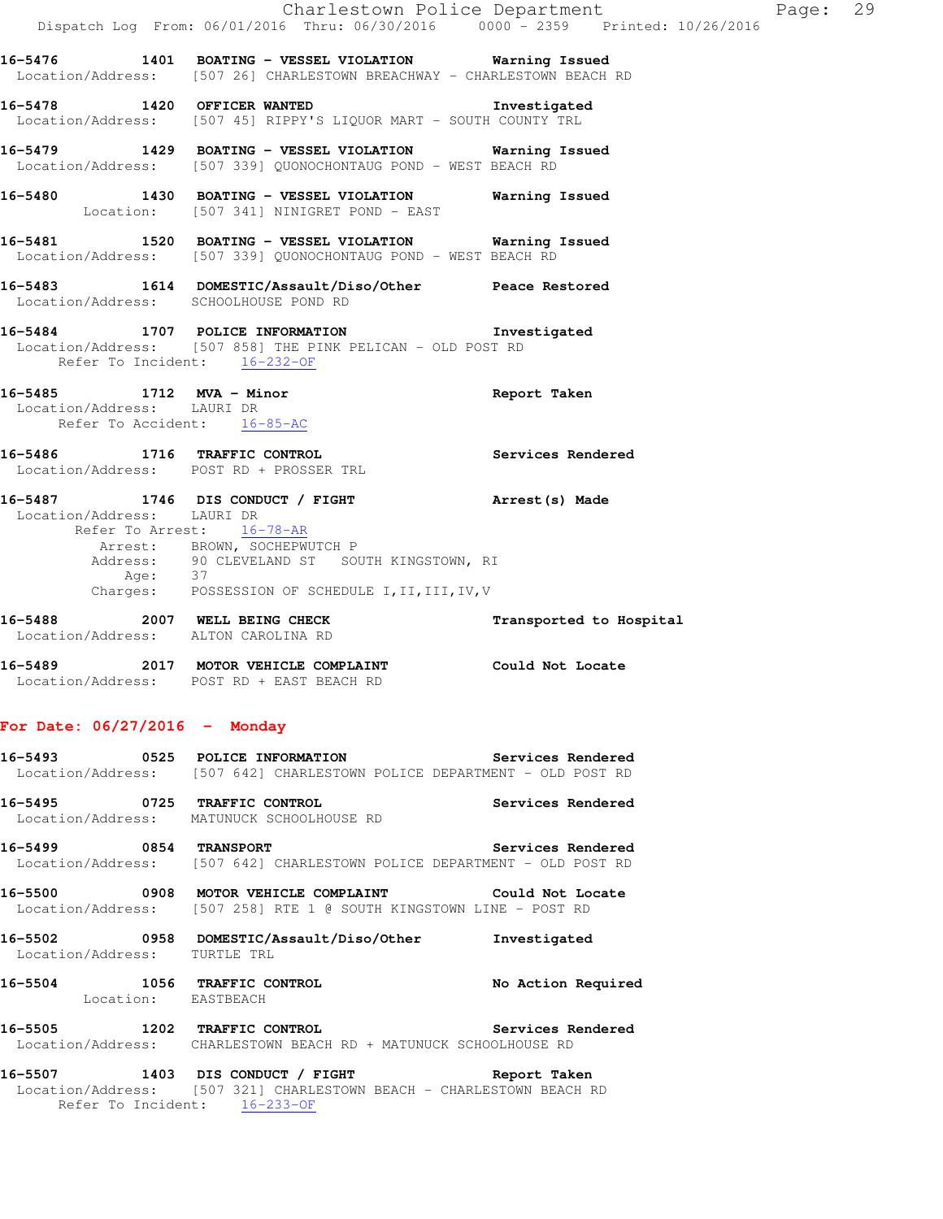|                                     | Dispatch Log From: 06/01/2016 Thru: 06/30/2016 0000 - 2359 Printed: 10/26/2016                                                                                                                                                | Charlestown Police Department | Page: 29 |  |
|-------------------------------------|-------------------------------------------------------------------------------------------------------------------------------------------------------------------------------------------------------------------------------|-------------------------------|----------|--|
|                                     | 16-5476 1401 BOATING - VESSEL VIOLATION Warning Issued<br>Location/Address: [507 26] CHARLESTOWN BREACHWAY - CHARLESTOWN BEACH RD                                                                                             |                               |          |  |
|                                     | 16-5478 1420 OFFICER WANTED 16-5478 Investigated<br>Location/Address: [507 45] RIPPY'S LIQUOR MART - SOUTH COUNTY TRL                                                                                                         |                               |          |  |
|                                     | 16-5479 1429 BOATING - VESSEL VIOLATION Warning Issued<br>Location/Address: [507 339] QUONOCHONTAUG POND - WEST BEACH RD                                                                                                      |                               |          |  |
|                                     | 16-5480 1430 BOATING - VESSEL VIOLATION Warning Issued<br>Location: [507 341] NINIGRET POND - EAST                                                                                                                            |                               |          |  |
|                                     | 16-5481 1520 BOATING - VESSEL VIOLATION Warning Issued<br>Location/Address: [507 339] QUONOCHONTAUG POND - WEST BEACH RD                                                                                                      |                               |          |  |
|                                     | 16-5483 1614 DOMESTIC/Assault/Diso/Other Peace Restored<br>Location/Address: SCHOOLHOUSE POND RD                                                                                                                              |                               |          |  |
| Refer To Incident: 16-232-OF        | 16-5484 1707 POLICE INFORMATION Investigated<br>Location/Address: [507 858] THE PINK PELICAN - OLD POST RD                                                                                                                    |                               |          |  |
| Refer To Accident: 16-85-AC         | 16-5485 1712 MVA - Minor<br>Location/Address: LAURI DR                                                                                                                                                                        | Report Taken                  |          |  |
|                                     | 16-5486 1716 TRAFFIC CONTROL Services Rendered<br>Location/Address: POST RD + PROSSER TRL                                                                                                                                     |                               |          |  |
| Location/Address: LAURI DR          | 16-5487 1746 DIS CONDUCT / FIGHT Arrest (s) Made<br>Refer To Arrest: 16-78-AR<br>Arrest: BROWN, SOCHEPWUTCH P<br>Address: 90 CLEVELAND ST SOUTH KINGSTOWN, RI<br>Age: 37<br>Charges: POSSESSION OF SCHEDULE I, II, III, IV, V |                               |          |  |
| Location/Address: ALTON CAROLINA RD | 16-5488 2007 WELL BEING CHECK                                                                                                                                                                                                 | Transported to Hospital       |          |  |
|                                     | 16-5489 2017 MOTOR VEHICLE COMPLAINT Could Not Locate<br>Location/Address: POST RD + EAST BEACH RD                                                                                                                            |                               |          |  |
| For Date: $06/27/2016$ - Monday     |                                                                                                                                                                                                                               |                               |          |  |
|                                     | 16-5493 0525 POLICE INFORMATION<br>Location/Address: [507 642] CHARLESTOWN POLICE DEPARTMENT - OLD POST RD                                                                                                                    | <b>Services Rendered</b>      |          |  |
|                                     | 16-5495 0725 TRAFFIC CONTROL<br>Location/Address: MATUNUCK SCHOOLHOUSE RD                                                                                                                                                     | Services Rendered             |          |  |
| 16-5499 0854 TRANSPORT              | Location/Address: [507 642] CHARLESTOWN POLICE DEPARTMENT - OLD POST RD                                                                                                                                                       | Services Rendered             |          |  |
|                                     | 16-5500 0908 MOTOR VEHICLE COMPLAINT Could Not Locate<br>Location/Address: [507 258] RTE 1 @ SOUTH KINGSTOWN LINE - POST RD                                                                                                   |                               |          |  |
|                                     | 16-5502 0958 DOMESTIC/Assault/Diso/Other Investigated                                                                                                                                                                         |                               |          |  |

- Location/Address: TURTLE TRL
- **16-5504 1056 TRAFFIC CONTROL No Action Required**  Location: EASTBEACH
- **16-5505 1202 TRAFFIC CONTROL Services Rendered**  Location/Address: CHARLESTOWN BEACH RD + MATUNUCK SCHOOLHOUSE RD
- **16-5507 1403 DIS CONDUCT / FIGHT Report Taken**  Location/Address: [507 321] CHARLESTOWN BEACH - CHARLESTOWN BEACH RD Refer To Incident: 16-233-OF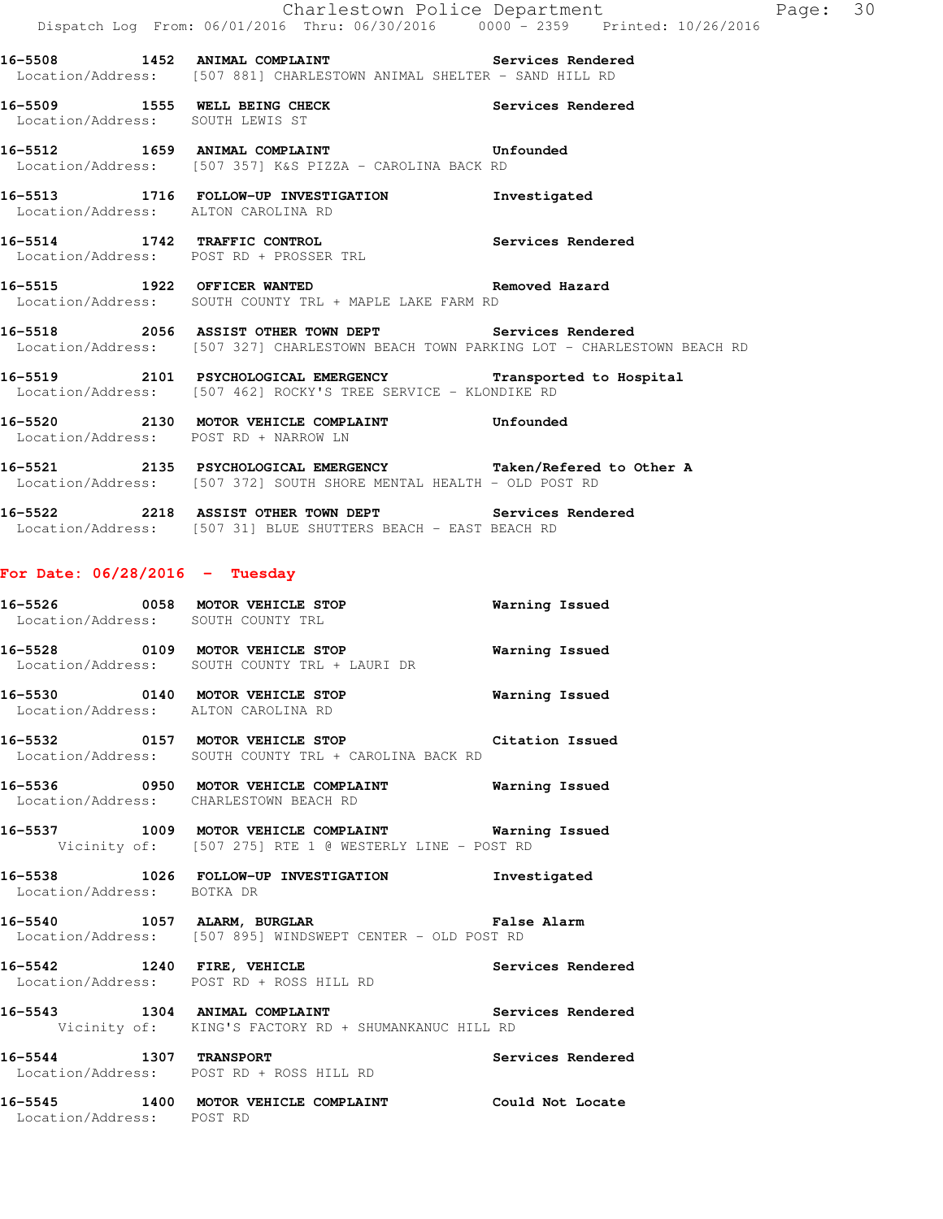**16-5508 1452 ANIMAL COMPLAINT Services Rendered**  Location/Address: [507 881] CHARLESTOWN ANIMAL SHELTER - SAND HILL RD

**16-5509 1555 WELL BEING CHECK Services Rendered**  Location/Address: SOUTH LEWIS ST

**16-5512 1659 ANIMAL COMPLAINT Unfounded**  Location/Address: [507 357] K&S PIZZA - CAROLINA BACK RD

**16-5513 1716 FOLLOW-UP INVESTIGATION Investigated**  Location/Address: ALTON CAROLINA RD

**16-5514 1742 TRAFFIC CONTROL Services Rendered**  Location/Address: POST RD + PROSSER TRL

**16-5515 1922 OFFICER WANTED Removed Hazard**  Location/Address: SOUTH COUNTY TRL + MAPLE LAKE FARM RD

**16-5518 2056 ASSIST OTHER TOWN DEPT Services Rendered**  Location/Address: [507 327] CHARLESTOWN BEACH TOWN PARKING LOT - CHARLESTOWN BEACH RD

**16-5519 2101 PSYCHOLOGICAL EMERGENCY Transported to Hospital**  Location/Address: [507 462] ROCKY'S TREE SERVICE - KLONDIKE RD

**16-5520 2130 MOTOR VEHICLE COMPLAINT Unfounded**  Location/Address: POST RD + NARROW LN

**16-5521 2135 PSYCHOLOGICAL EMERGENCY Taken/Refered to Other A**  Location/Address: [507 372] SOUTH SHORE MENTAL HEALTH - OLD POST RD

**16-5522 2218 ASSIST OTHER TOWN DEPT Services Rendered**  Location/Address: [507 31] BLUE SHUTTERS BEACH - EAST BEACH RD

### **For Date: 06/28/2016 - Tuesday**

Location/Address: POST RD

**16-5526 0058 MOTOR VEHICLE STOP Warning Issued**  Location/Address: SOUTH COUNTY TRL **16-5528 0109 MOTOR VEHICLE STOP Warning Issued**  Location/Address: SOUTH COUNTY TRL + LAURI DR **16-5530 0140 MOTOR VEHICLE STOP Warning Issued**  Location/Address: ALTON CAROLINA RD **16-5532 0157 MOTOR VEHICLE STOP Citation Issued**  Location/Address: SOUTH COUNTY TRL + CAROLINA BACK RD **16-5536 0950 MOTOR VEHICLE COMPLAINT Warning Issued**  Location/Address: CHARLESTOWN BEACH RD **16-5537 1009 MOTOR VEHICLE COMPLAINT Warning Issued**  Vicinity of: [507 275] RTE 1 @ WESTERLY LINE - POST RD **16-5538 1026 FOLLOW-UP INVESTIGATION Investigated**  Location/Address: BOTKA DR **16-5540 1057 ALARM, BURGLAR False Alarm**  Location/Address: [507 895] WINDSWEPT CENTER - OLD POST RD **16-5542 1240 FIRE, VEHICLE Services Rendered**  Location/Address: POST RD + ROSS HILL RD **16-5543 1304 ANIMAL COMPLAINT Services Rendered**  Vicinity of: KING'S FACTORY RD + SHUMANKANUC HILL RD 16-5544 1307 TRANSPORT **Services Rendered**  Location/Address: POST RD + ROSS HILL RD **16-5545 1400 MOTOR VEHICLE COMPLAINT Could Not Locate**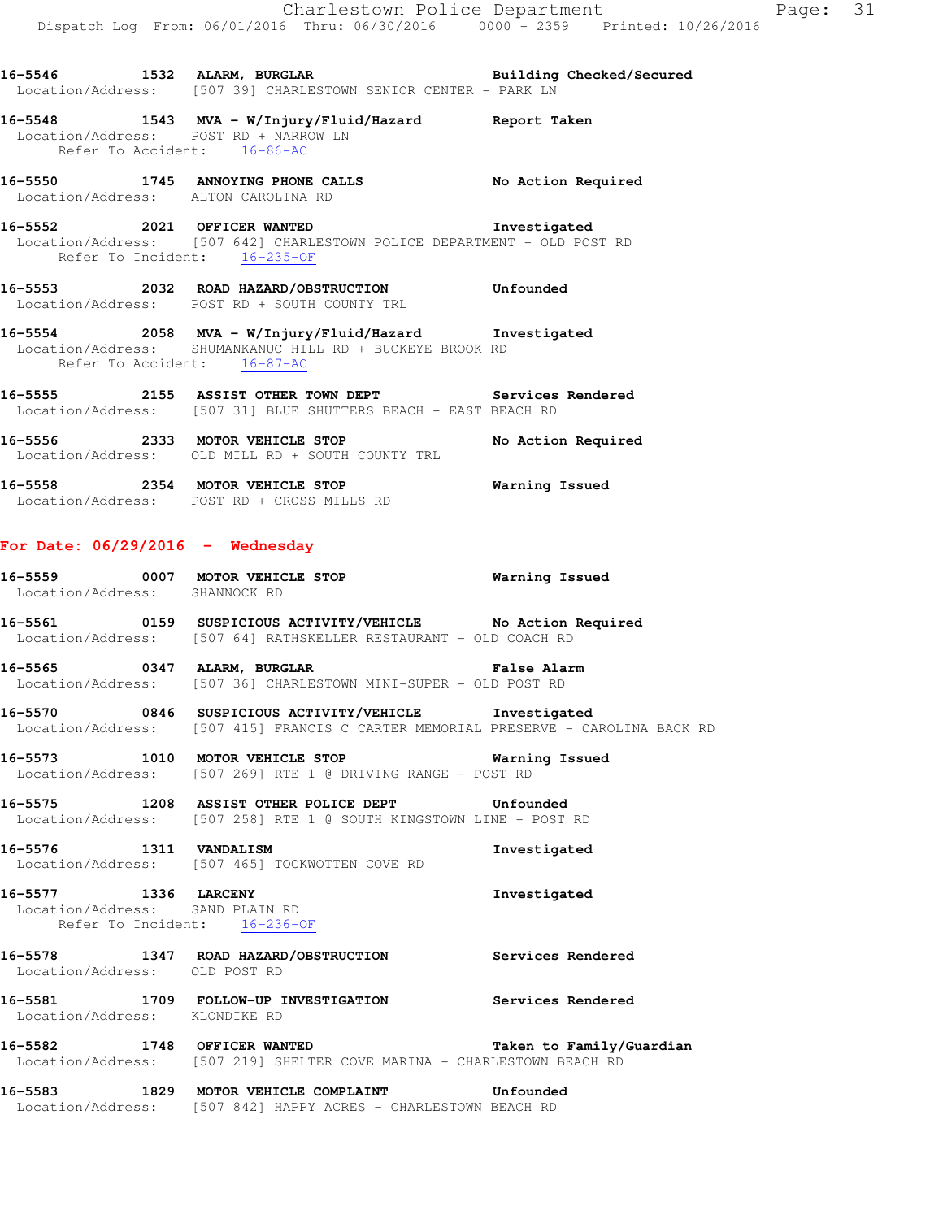**16-5548 1543 MVA - W/Injury/Fluid/Hazard Report Taken**  Location/Address: POST RD + NARROW LN Refer To Accident: 16-86-AC

**16-5550 1745 ANNOYING PHONE CALLS No Action Required**  Location/Address: ALTON CAROLINA RD

**16-5552 2021 OFFICER WANTED Investigated**  Location/Address: [507 642] CHARLESTOWN POLICE DEPARTMENT - OLD POST RD Refer To Incident: 16-235-OF

**16-5553 2032 ROAD HAZARD/OBSTRUCTION Unfounded**  Location/Address: POST RD + SOUTH COUNTY TRL

**16-5554 2058 MVA - W/Injury/Fluid/Hazard Investigated**  Location/Address: SHUMANKANUC HILL RD + BUCKEYE BROOK RD Refer To Accident: 16-87-AC

**16-5555 2155 ASSIST OTHER TOWN DEPT Services Rendered**  Location/Address: [507 31] BLUE SHUTTERS BEACH - EAST BEACH RD

16-5556 2333 MOTOR VEHICLE STOP No Action Required Location/Address: OLD MILL RD + SOUTH COUNTY TRL

**16-5558 2354 MOTOR VEHICLE STOP Warning Issued**  Location/Address: POST RD + CROSS MILLS RD

### **For Date: 06/29/2016 - Wednesday**

| 16-5559           | 0007 | MOTOR VEHICLE STOP | Warning Issued |
|-------------------|------|--------------------|----------------|
| Location/Address: |      | SHANNOCK RD        |                |

**16-5561 0159 SUSPICIOUS ACTIVITY/VEHICLE No Action Required**  Location/Address: [507 64] RATHSKELLER RESTAURANT - OLD COACH RD

**16-5565 0347 ALARM, BURGLAR False Alarm**  Location/Address: [507 36] CHARLESTOWN MINI-SUPER - OLD POST RD

**16-5570 0846 SUSPICIOUS ACTIVITY/VEHICLE Investigated**  Location/Address: [507 415] FRANCIS C CARTER MEMORIAL PRESERVE - CAROLINA BACK RD

**16-5573 1010 MOTOR VEHICLE STOP Warning Issued**  Location/Address: [507 269] RTE 1 @ DRIVING RANGE - POST RD

**16-5575 1208 ASSIST OTHER POLICE DEPT Unfounded**  Location/Address: [507 258] RTE 1 @ SOUTH KINGSTOWN LINE - POST RD

**16-5576 1311 VANDALISM Investigated**  Location/Address: [507 465] TOCKWOTTEN COVE RD

**16-5577 1336 LARCENY Investigated**  Location/Address: SAND PLAIN RD Refer To Incident: 16-236-OF

**16-5578 1347 ROAD HAZARD/OBSTRUCTION Services Rendered**  Location/Address: OLD POST RD

**16-5581 1709 FOLLOW-UP INVESTIGATION Services Rendered**  Location/Address: KLONDIKE RD

**16-5582 1748 OFFICER WANTED Taken to Family/Guardian**  Location/Address: [507 219] SHELTER COVE MARINA - CHARLESTOWN BEACH RD

**16-5583 1829 MOTOR VEHICLE COMPLAINT Unfounded**  Location/Address: [507 842] HAPPY ACRES - CHARLESTOWN BEACH RD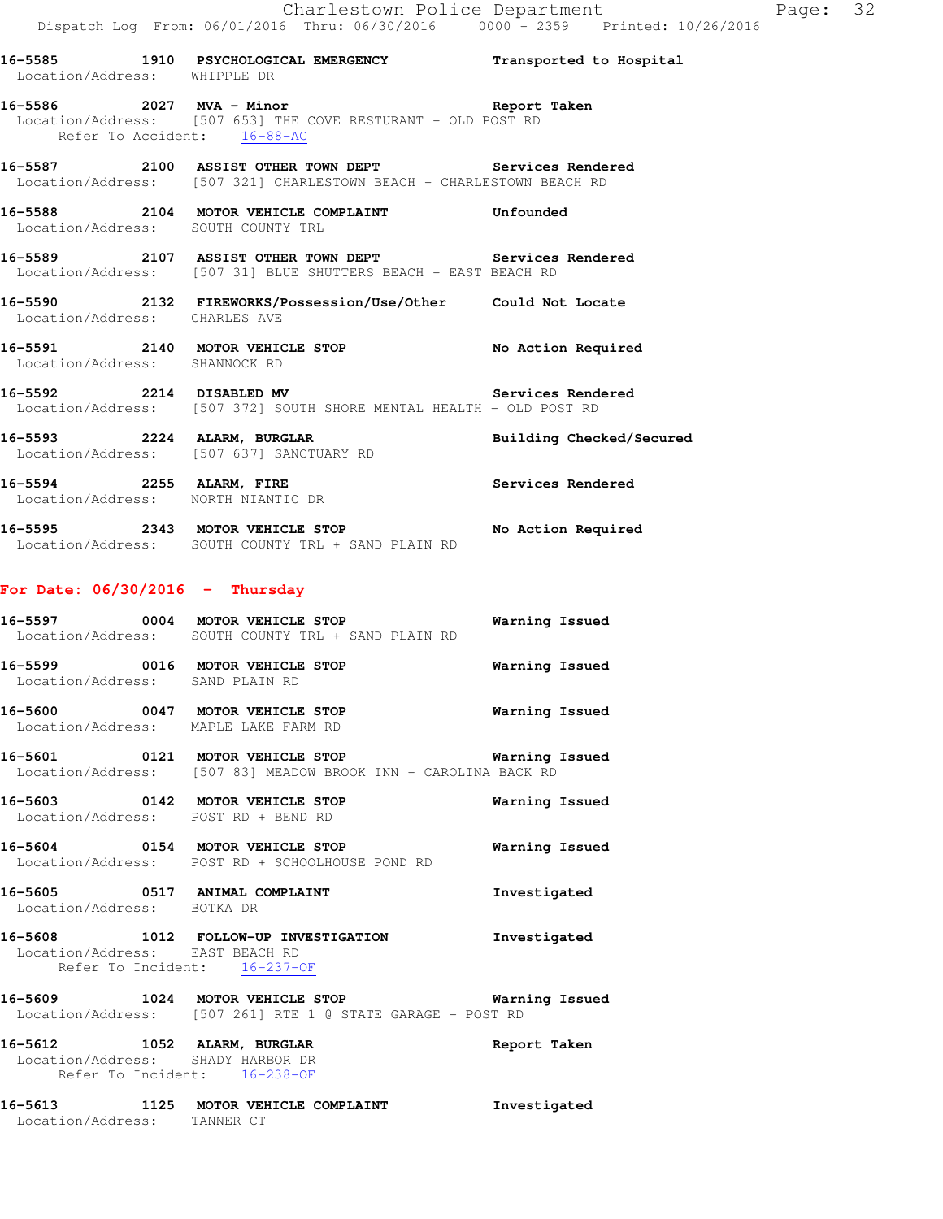**16-5585 1910 PSYCHOLOGICAL EMERGENCY Transported to Hospital**  Location/Address: WHIPPLE DR **16-5586 2027 MVA - Minor Report Taken**  Location/Address: [507 653] THE COVE RESTURANT - OLD POST RD

 Refer To Accident: 16-88-AC **16-5587 2100 ASSIST OTHER TOWN DEPT Services Rendered** 

Location/Address: [507 321] CHARLESTOWN BEACH - CHARLESTOWN BEACH RD

**16-5588 2104 MOTOR VEHICLE COMPLAINT Unfounded**  Location/Address: SOUTH COUNTY TRL

**16-5589 2107 ASSIST OTHER TOWN DEPT Services Rendered**  Location/Address: [507 31] BLUE SHUTTERS BEACH - EAST BEACH RD

**16-5590 2132 FIREWORKS/Possession/Use/Other Could Not Locate**  Location/Address: CHARLES AVE

**16-5591 2140 MOTOR VEHICLE STOP No Action Required**  Location/Address: SHANNOCK RD

**16-5592 2214 DISABLED MV Services Rendered**  Location/Address: [507 372] SOUTH SHORE MENTAL HEALTH - OLD POST RD

16-5593 2224 ALARM, BURGLAR **Building Checked/Secured** Location/Address: [507 637] SANCTUARY RD

**16-5594 2255 ALARM, FIRE Services Rendered**  Location/Address: NORTH NIANTIC DR

**16-5595 2343 MOTOR VEHICLE STOP No Action Required**  Location/Address: SOUTH COUNTY TRL + SAND PLAIN RD

#### **For Date: 06/30/2016 - Thursday**

| 16-5597<br>Location/Address: | 0004 | MOTOR VEHICLE STOP<br>SOUTH COUNTY TRL + SAND PLAIN RD | Warning Issued |  |
|------------------------------|------|--------------------------------------------------------|----------------|--|
| 16-5599<br>Location/Address: | 0016 | MOTOR VEHICLE STOP<br>SAND PLAIN RD                    | Warning Issued |  |
| 16-5600<br>Location/Address: | 0047 | MOTOR VEHICLE STOP<br>MAPLE LAKE FARM RD               | Warning Issued |  |

**16-5601 0121 MOTOR VEHICLE STOP Warning Issued**  Location/Address: [507 83] MEADOW BROOK INN - CAROLINA BACK RD

**16-5603 0142 MOTOR VEHICLE STOP Warning Issued**  Location/Address: POST RD + BEND RD

**16-5604 0154 MOTOR VEHICLE STOP Warning Issued**  Location/Address: POST RD + SCHOOLHOUSE POND RD

**16-5605 0517 ANIMAL COMPLAINT Investigated**  Location/Address: BOTKA DR

**16-5608 1012 FOLLOW-UP INVESTIGATION Investigated**  Location/Address: EAST BEACH RD

Refer To Incident: 16-237-OF

**16-5609 1024 MOTOR VEHICLE STOP Warning Issued**  Location/Address: [507 261] RTE 1 @ STATE GARAGE - POST RD

**16-5612 1052 ALARM, BURGLAR Report Taken**  Location/Address: SHADY HARBOR DR Refer To Incident: 16-238-OF

**16-5613 1125 MOTOR VEHICLE COMPLAINT Investigated**  Location/Address: TANNER CT